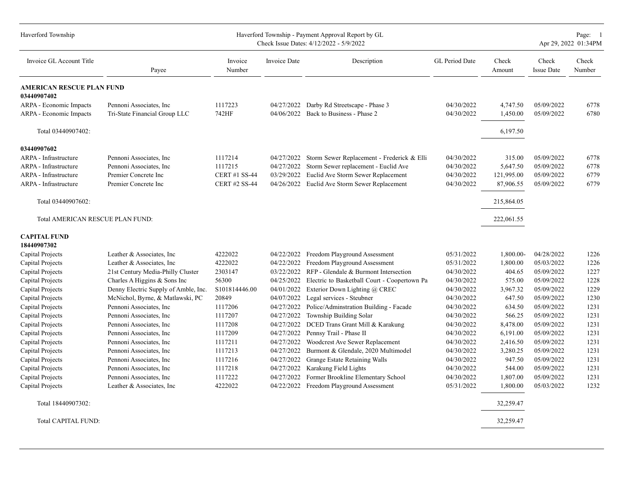| Haverford Township                              |                                      |                      |                     | Haverford Township - Payment Approval Report by GL<br>Check Issue Dates: 4/12/2022 - 5/9/2022 |                |                 |                            | Page: 1<br>Apr 29, 2022 01:34PM |
|-------------------------------------------------|--------------------------------------|----------------------|---------------------|-----------------------------------------------------------------------------------------------|----------------|-----------------|----------------------------|---------------------------------|
| Invoice GL Account Title                        | Payee                                | Invoice<br>Number    | <b>Invoice Date</b> | Description                                                                                   | GL Period Date | Check<br>Amount | Check<br><b>Issue Date</b> | Check<br>Number                 |
| <b>AMERICAN RESCUE PLAN FUND</b><br>03440907402 |                                      |                      |                     |                                                                                               |                |                 |                            |                                 |
| ARPA - Economic Impacts                         | Pennoni Associates, Inc.             | 1117223              | 04/27/2022          | Darby Rd Streetscape - Phase 3                                                                | 04/30/2022     | 4,747.50        | 05/09/2022                 | 6778                            |
| ARPA - Economic Impacts                         | Tri-State Financial Group LLC        | 742HF                | 04/06/2022          | Back to Business - Phase 2                                                                    | 04/30/2022     | 1,450.00        | 05/09/2022                 | 6780                            |
| Total 03440907402:                              |                                      |                      |                     |                                                                                               |                | 6,197.50        |                            |                                 |
| 03440907602                                     |                                      |                      |                     |                                                                                               |                |                 |                            |                                 |
| ARPA - Infrastructure                           | Pennoni Associates, Inc.             | 1117214              | 04/27/2022          | Storm Sewer Replacement - Frederick & Elli                                                    | 04/30/2022     | 315.00          | 05/09/2022                 | 6778                            |
| <b>ARPA</b> - Infrastructure                    | Pennoni Associates, Inc.             | 1117215              | 04/27/2022          | Storm Sewer replacement - Euclid Ave                                                          | 04/30/2022     | 5,647.50        | 05/09/2022                 | 6778                            |
| <b>ARPA</b> - Infrastructure                    | Premier Concrete Inc                 | <b>CERT #1 SS-44</b> | 03/29/2022          | Euclid Ave Storm Sewer Replacement                                                            | 04/30/2022     | 121,995.00      | 05/09/2022                 | 6779                            |
| ARPA - Infrastructure                           | Premier Concrete Inc                 | <b>CERT #2 SS-44</b> | 04/26/2022          | Euclid Ave Storm Sewer Replacement                                                            | 04/30/2022     | 87,906.55       | 05/09/2022                 | 6779                            |
| Total 03440907602:                              |                                      |                      |                     |                                                                                               |                | 215,864.05      |                            |                                 |
|                                                 |                                      |                      |                     |                                                                                               |                |                 |                            |                                 |
| Total AMERICAN RESCUE PLAN FUND:                |                                      |                      |                     |                                                                                               |                | 222,061.55      |                            |                                 |
| <b>CAPITAL FUND</b><br>18440907302              |                                      |                      |                     |                                                                                               |                |                 |                            |                                 |
| Capital Projects                                | Leather & Associates, Inc.           | 4222022              | 04/22/2022          | Freedom Playground Assessment                                                                 | 05/31/2022     | 1,800.00-       | 04/28/2022                 | 1226                            |
| Capital Projects                                | Leather & Associates, Inc.           | 4222022              | 04/22/2022          | Freedom Playground Assessment                                                                 | 05/31/2022     | 1,800.00        | 05/03/2022                 | 1226                            |
| Capital Projects                                | 21st Century Media-Philly Cluster    | 2303147              | 03/22/2022          | RFP - Glendale & Burmont Intersection                                                         | 04/30/2022     | 404.65          | 05/09/2022                 | 1227                            |
| Capital Projects                                | Charles A Higgins & Sons Inc         | 56300                | 04/25/2022          | Electric to Basketball Court - Coopertown Pa                                                  | 04/30/2022     | 575.00          | 05/09/2022                 | 1228                            |
| Capital Projects                                | Denny Electric Supply of Amble, Inc. | S101814446.00        | 04/01/2022          | Exterior Down Lighting @ CREC                                                                 | 04/30/2022     | 3,967.32        | 05/09/2022                 | 1229                            |
| Capital Projects                                | McNichol, Byrne, & Matlawski, PC     | 20849                | 04/07/2022          | Legal services - Steubner                                                                     | 04/30/2022     | 647.50          | 05/09/2022                 | 1230                            |
| Capital Projects                                | Pennoni Associates, Inc.             | 1117206              | 04/27/2022          | Police/Adminstration Building - Facade                                                        | 04/30/2022     | 634.50          | 05/09/2022                 | 1231                            |
| Capital Projects                                | Pennoni Associates, Inc.             | 1117207              | 04/27/2022          | Township Building Solar                                                                       | 04/30/2022     | 566.25          | 05/09/2022                 | 1231                            |
| Capital Projects                                | Pennoni Associates, Inc.             | 1117208              | 04/27/2022          | DCED Trans Grant Mill & Karakung                                                              | 04/30/2022     | 8,478.00        | 05/09/2022                 | 1231                            |
| Capital Projects                                | Pennoni Associates, Inc.             | 1117209              | 04/27/2022          | Pennsy Trail - Phase II                                                                       | 04/30/2022     | 6,191.00        | 05/09/2022                 | 1231                            |
| Capital Projects                                | Pennoni Associates, Inc.             | 1117211              | 04/27/2022          | Woodcrest Ave Sewer Replacement                                                               | 04/30/2022     | 2,416.50        | 05/09/2022                 | 1231                            |
| Capital Projects                                | Pennoni Associates, Inc.             | 1117213              | 04/27/2022          | Burmont & Glendale, 2020 Multimodel                                                           | 04/30/2022     | 3,280.25        | 05/09/2022                 | 1231                            |
| Capital Projects                                | Pennoni Associates, Inc.             | 1117216              | 04/27/2022          | Grange Estate Retaining Walls                                                                 | 04/30/2022     | 947.50          | 05/09/2022                 | 1231                            |
| Capital Projects                                | Pennoni Associates, Inc.             | 1117218              | 04/27/2022          | Karakung Field Lights                                                                         | 04/30/2022     | 544.00          | 05/09/2022                 | 1231                            |
| Capital Projects                                | Pennoni Associates, Inc.             | 1117222              | 04/27/2022          | Former Brookline Elementary School                                                            | 04/30/2022     | 1,807.00        | 05/09/2022                 | 1231                            |
| Capital Projects                                | Leather & Associates, Inc.           | 4222022              | 04/22/2022          | Freedom Playground Assessment                                                                 | 05/31/2022     | 1,800.00        | 05/03/2022                 | 1232                            |
| Total 18440907302:                              |                                      |                      |                     |                                                                                               |                | 32,259.47       |                            |                                 |
| <b>Total CAPITAL FUND:</b>                      |                                      |                      |                     |                                                                                               |                | 32,259.47       |                            |                                 |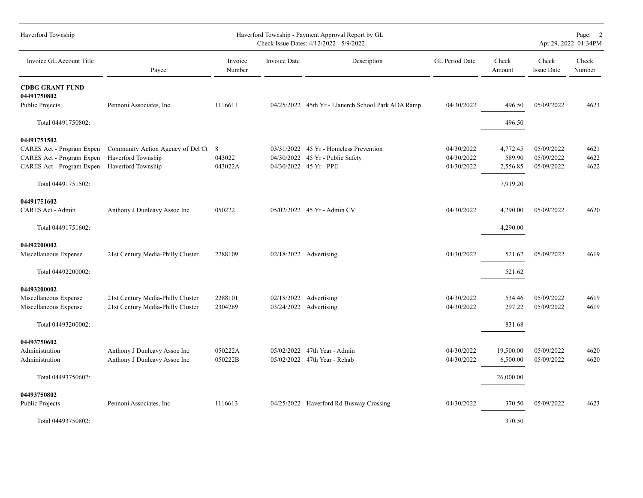| Haverford Township                           |                                   |                   |              | Haverford Township - Payment Approval Report by GL<br>Check Issue Dates: 4/12/2022 - 5/9/2022 |                |                 |                            | Page: 2<br>Apr 29, 2022 01:34PM |
|----------------------------------------------|-----------------------------------|-------------------|--------------|-----------------------------------------------------------------------------------------------|----------------|-----------------|----------------------------|---------------------------------|
| Invoice GL Account Title                     | Payee                             | Invoice<br>Number | Invoice Date | Description                                                                                   | GL Period Date | Check<br>Amount | Check<br><b>Issue Date</b> | Check<br>Number                 |
| <b>CDBG GRANT FUND</b><br>04491750802        |                                   |                   |              |                                                                                               |                |                 |                            |                                 |
| <b>Public Projects</b>                       | Pennoni Associates, Inc.          | 1116611           |              | 04/25/2022 45th Yr - Llanerch School Park ADA Ramp                                            | 04/30/2022     | 496.50          | 05/09/2022                 | 4623                            |
| Total 04491750802:                           |                                   |                   |              |                                                                                               |                | 496.50          |                            |                                 |
| 04491751502                                  |                                   |                   |              |                                                                                               |                |                 |                            |                                 |
| CARES Act - Program Expen                    | Community Action Agency of Del Ct | 8                 |              | 03/31/2022 45 Yr - Homeless Prevention                                                        | 04/30/2022     | 4,772.45        | 05/09/2022                 | 4621                            |
| CARES Act - Program Expen                    | Haverford Township                | 043022            |              | 04/30/2022 45 Yr - Public Safety                                                              | 04/30/2022     | 589.90          | 05/09/2022                 | 4622                            |
| CARES Act - Program Expen Haverford Township |                                   | 043022A           |              | 04/30/2022 45 Yr - PPE                                                                        | 04/30/2022     | 2,556.85        | 05/09/2022                 | 4622                            |
| Total 04491751502:                           |                                   |                   |              |                                                                                               |                | 7,919.20        |                            |                                 |
| 04491751602                                  |                                   |                   |              |                                                                                               |                |                 |                            |                                 |
| CARES Act - Admin                            | Anthony J Dunleavy Assoc Inc      | 050222            |              | 05/02/2022 45 Yr - Admin CV                                                                   | 04/30/2022     | 4,290.00        | 05/09/2022                 | 4620                            |
| Total 04491751602:                           |                                   |                   |              |                                                                                               |                | 4,290.00        |                            |                                 |
|                                              |                                   |                   |              |                                                                                               |                |                 |                            |                                 |
| 04492200002<br>Miscellaneous Expense         | 21st Century Media-Philly Cluster | 2288109           |              | 02/18/2022 Advertising                                                                        | 04/30/2022     | 521.62          | 05/09/2022                 | 4619                            |
| Total 04492200002:                           |                                   |                   |              |                                                                                               |                | 521.62          |                            |                                 |
| 04493200002                                  |                                   |                   |              |                                                                                               |                |                 |                            |                                 |
| Miscellaneous Expense                        | 21st Century Media-Philly Cluster | 2288101           | 02/18/2022   | Advertising                                                                                   | 04/30/2022     | 534.46          | 05/09/2022                 | 4619                            |
| Miscellaneous Expense                        | 21st Century Media-Philly Cluster | 2304269           |              | 03/24/2022 Advertising                                                                        | 04/30/2022     | 297.22          | 05/09/2022                 | 4619                            |
| Total 04493200002:                           |                                   |                   |              |                                                                                               |                | 831.68          |                            |                                 |
| 04493750602                                  |                                   |                   |              |                                                                                               |                |                 |                            |                                 |
| Administration                               | Anthony J Dunleavy Assoc Inc      | 050222A           |              | 05/02/2022 47th Year - Admin                                                                  | 04/30/2022     | 19,500.00       | 05/09/2022                 | 4620                            |
| Administration                               | Anthony J Dunleavy Assoc Inc      | 050222B           |              | 05/02/2022 47th Year - Rehab                                                                  | 04/30/2022     | 6,500.00        | 05/09/2022                 | 4620                            |
| Total 04493750602:                           |                                   |                   |              |                                                                                               |                | 26,000.00       |                            |                                 |
| 04493750802                                  |                                   |                   |              |                                                                                               |                |                 |                            |                                 |
| <b>Public Projects</b>                       | Pennoni Associates, Inc.          | 1116613           |              | 04/25/2022 Haverford Rd Busway Crossing                                                       | 04/30/2022     | 370.50          | 05/09/2022                 | 4623                            |
|                                              |                                   |                   |              |                                                                                               |                |                 |                            |                                 |
| Total 04493750802:                           |                                   |                   |              |                                                                                               |                | 370.50          |                            |                                 |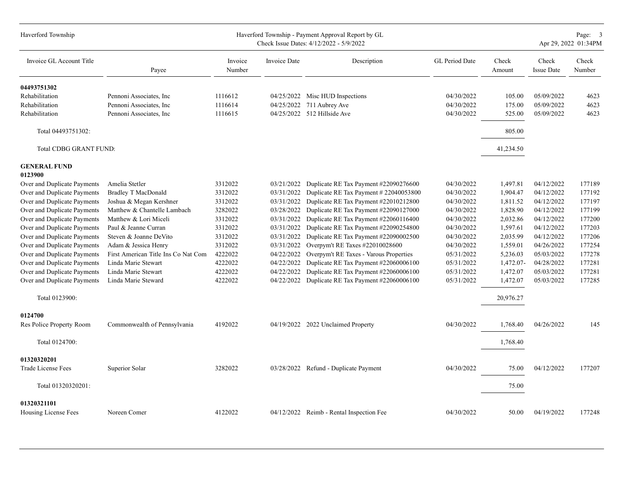| Haverford Township             |                                     |                   |                     | Haverford Township - Payment Approval Report by GL<br>Check Issue Dates: 4/12/2022 - 5/9/2022 |                |                 |                            | Page: 3<br>Apr 29, 2022 01:34PM |
|--------------------------------|-------------------------------------|-------------------|---------------------|-----------------------------------------------------------------------------------------------|----------------|-----------------|----------------------------|---------------------------------|
| Invoice GL Account Title       | Payee                               | Invoice<br>Number | <b>Invoice Date</b> | Description                                                                                   | GL Period Date | Check<br>Amount | Check<br><b>Issue Date</b> | Check<br>Number                 |
| 04493751302                    |                                     |                   |                     |                                                                                               |                |                 |                            |                                 |
| Rehabilitation                 | Pennoni Associates, Inc.            | 1116612           |                     | 04/25/2022 Misc HUD Inspections                                                               | 04/30/2022     | 105.00          | 05/09/2022                 | 4623                            |
| Rehabilitation                 | Pennoni Associates, Inc.            | 1116614           | 04/25/2022          | 711 Aubrey Ave                                                                                | 04/30/2022     | 175.00          | 05/09/2022                 | 4623                            |
| Rehabilitation                 | Pennoni Associates, Inc.            | 1116615           |                     | 04/25/2022 512 Hillside Ave                                                                   | 04/30/2022     | 525.00          | 05/09/2022                 | 4623                            |
| Total 04493751302:             |                                     |                   |                     |                                                                                               |                | 805.00          |                            |                                 |
| Total CDBG GRANT FUND:         |                                     |                   |                     |                                                                                               |                | 41,234.50       |                            |                                 |
| <b>GENERAL FUND</b><br>0123900 |                                     |                   |                     |                                                                                               |                |                 |                            |                                 |
| Over and Duplicate Payments    | Amelia Stetler                      | 3312022           | 03/21/2022          | Duplicate RE Tax Payment #22090276600                                                         | 04/30/2022     | 1,497.81        | 04/12/2022                 | 177189                          |
| Over and Duplicate Payments    | <b>Bradley T MacDonald</b>          | 3312022           | 03/31/2022          | Duplicate RE Tax Payment # 22040053800                                                        | 04/30/2022     | 1,904.47        | 04/12/2022                 | 177192                          |
| Over and Duplicate Payments    | Joshua & Megan Kershner             | 3312022           | 03/31/2022          | Duplicate RE Tax Payment #22010212800                                                         | 04/30/2022     | 1,811.52        | 04/12/2022                 | 177197                          |
| Over and Duplicate Payments    | Matthew & Chantelle Lambach         | 3282022           | 03/28/2022          | Duplicate RE Tax Payment #22090127000                                                         | 04/30/2022     | 1,828.90        | 04/12/2022                 | 177199                          |
| Over and Duplicate Payments    | Matthew & Lori Miceli               | 3312022           | 03/31/2022          | Duplicate RE Tax Payment #22060116400                                                         | 04/30/2022     | 2,032.86        | 04/12/2022                 | 177200                          |
| Over and Duplicate Payments    | Paul & Jeanne Curran                | 3312022           | 03/31/2022          | Duplicate RE Tax Payment #22090254800                                                         | 04/30/2022     | 1,597.61        | 04/12/2022                 | 177203                          |
| Over and Duplicate Payments    | Steven & Joanne DeVito              | 3312022           | 03/31/2022          | Duplicate RE Tax Payment #22090002500                                                         | 04/30/2022     | 2,035.99        | 04/12/2022                 | 177206                          |
| Over and Duplicate Payments    | Adam & Jessica Henry                | 3312022           | 03/31/2022          | Overpym't RE Taxes #22010028600                                                               | 04/30/2022     | 1,559.01        | 04/26/2022                 | 177254                          |
| Over and Duplicate Payments    | First American Title Ins Co Nat Com | 4222022           | 04/22/2022          | Overpym't RE Taxes - Varous Properties                                                        | 05/31/2022     | 5,236.03        | 05/03/2022                 | 177278                          |
| Over and Duplicate Payments    | Linda Marie Stewart                 | 4222022           | 04/22/2022          | Duplicate RE Tax Payment #22060006100                                                         | 05/31/2022     | 1,472.07-       | 04/28/2022                 | 177281                          |
| Over and Duplicate Payments    | Linda Marie Stewart                 | 4222022           | 04/22/2022          | Duplicate RE Tax Payment #22060006100                                                         | 05/31/2022     | 1,472.07        | 05/03/2022                 | 177281                          |
| Over and Duplicate Payments    | Linda Marie Steward                 | 4222022           | 04/22/2022          | Duplicate RE Tax Payment #22060006100                                                         | 05/31/2022     | 1,472.07        | 05/03/2022                 | 177285                          |
| Total 0123900:                 |                                     |                   |                     |                                                                                               |                | 20,976.27       |                            |                                 |
| 0124700                        |                                     |                   |                     |                                                                                               |                |                 |                            |                                 |
| Res Police Property Room       | Commonwealth of Pennsylvania        | 4192022           |                     | 04/19/2022 2022 Unclaimed Property                                                            | 04/30/2022     | 1,768.40        | 04/26/2022                 | 145                             |
| Total 0124700:                 |                                     |                   |                     |                                                                                               |                | 1,768.40        |                            |                                 |
| 01320320201                    |                                     |                   |                     |                                                                                               |                |                 |                            |                                 |
| Trade License Fees             | Superior Solar                      | 3282022           |                     | 03/28/2022 Refund - Duplicate Payment                                                         | 04/30/2022     | 75.00           | 04/12/2022                 | 177207                          |
| Total 01320320201:             |                                     |                   |                     |                                                                                               |                | 75.00           |                            |                                 |
| 01320321101                    |                                     |                   |                     |                                                                                               |                |                 |                            |                                 |
| Housing License Fees           | Noreen Comer                        | 4122022           |                     | 04/12/2022 Reimb - Rental Inspection Fee                                                      | 04/30/2022     | 50.00           | 04/19/2022                 | 177248                          |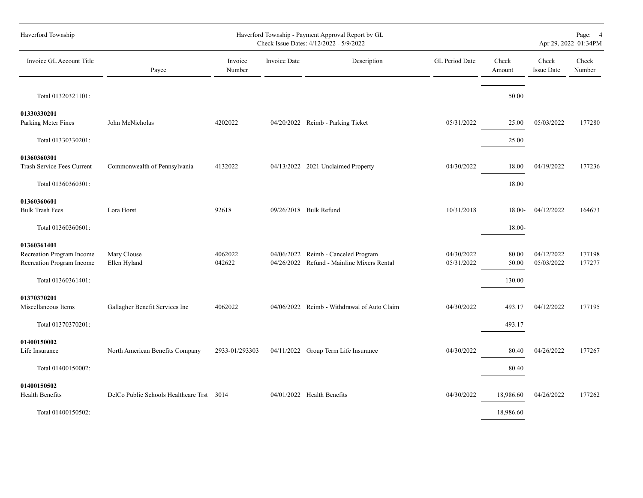| Haverford Township                                                    |                                           |                   |                     | Haverford Township - Payment Approval Report by GL<br>Check Issue Dates: 4/12/2022 - 5/9/2022 |                          |                 |                            | Page: 4<br>Apr 29, 2022 01:34PM |
|-----------------------------------------------------------------------|-------------------------------------------|-------------------|---------------------|-----------------------------------------------------------------------------------------------|--------------------------|-----------------|----------------------------|---------------------------------|
| Invoice GL Account Title                                              | Payee                                     | Invoice<br>Number | <b>Invoice Date</b> | Description                                                                                   | GL Period Date           | Check<br>Amount | Check<br><b>Issue Date</b> | Check<br>Number                 |
| Total 01320321101:                                                    |                                           |                   |                     |                                                                                               |                          | 50.00           |                            |                                 |
| 01330330201<br>Parking Meter Fines                                    | John McNicholas                           | 4202022           |                     | 04/20/2022 Reimb - Parking Ticket                                                             | 05/31/2022               | 25.00           | 05/03/2022                 | 177280                          |
| Total 01330330201:                                                    |                                           |                   |                     |                                                                                               |                          | 25.00           |                            |                                 |
| 01360360301<br>Trash Service Fees Current                             | Commonwealth of Pennsylvania              | 4132022           |                     | 04/13/2022 2021 Unclaimed Property                                                            | 04/30/2022               | 18.00           | 04/19/2022                 | 177236                          |
| Total 01360360301:                                                    |                                           |                   |                     |                                                                                               |                          | 18.00           |                            |                                 |
| 01360360601<br><b>Bulk Trash Fees</b>                                 | Lora Horst                                | 92618             |                     | 09/26/2018 Bulk Refund                                                                        | 10/31/2018               | 18.00-          | 04/12/2022                 | 164673                          |
| Total 01360360601:                                                    |                                           |                   |                     |                                                                                               |                          | 18.00-          |                            |                                 |
| 01360361401<br>Recreation Program Income<br>Recreation Program Income | Mary Clouse<br>Ellen Hyland               | 4062022<br>042622 | 04/06/2022          | Reimb - Canceled Program<br>04/26/2022 Refund - Mainline Mixers Rental                        | 04/30/2022<br>05/31/2022 | 80.00<br>50.00  | 04/12/2022<br>05/03/2022   | 177198<br>177277                |
| Total 01360361401:                                                    |                                           |                   |                     |                                                                                               |                          | 130.00          |                            |                                 |
| 01370370201<br>Miscellaneous Items                                    | Gallagher Benefit Services Inc            | 4062022           |                     | 04/06/2022 Reimb - Withdrawal of Auto Claim                                                   | 04/30/2022               | 493.17          | 04/12/2022                 | 177195                          |
| Total 01370370201:                                                    |                                           |                   |                     |                                                                                               |                          | 493.17          |                            |                                 |
| 01400150002<br>Life Insurance                                         | North American Benefits Company           | 2933-01/293303    |                     | 04/11/2022 Group Term Life Insurance                                                          | 04/30/2022               | 80.40           | 04/26/2022                 | 177267                          |
| Total 01400150002:                                                    |                                           |                   |                     |                                                                                               |                          | 80.40           |                            |                                 |
| 01400150502<br>Health Benefits                                        | DelCo Public Schools Healthcare Trst 3014 |                   |                     | 04/01/2022 Health Benefits                                                                    | 04/30/2022               | 18,986.60       | 04/26/2022                 | 177262                          |
| Total 01400150502:                                                    |                                           |                   |                     |                                                                                               |                          | 18,986.60       |                            |                                 |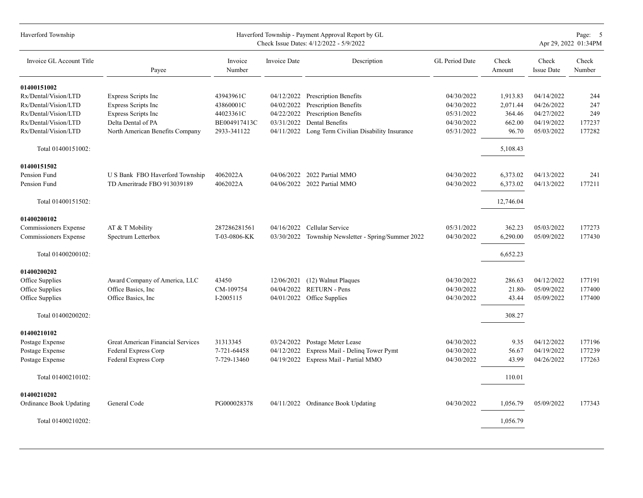| Haverford Township       |                                          |                   |                     | Haverford Township - Payment Approval Report by GL<br>Check Issue Dates: 4/12/2022 - 5/9/2022 |                |                 |                            | Page: 5<br>Apr 29, 2022 01:34PM |
|--------------------------|------------------------------------------|-------------------|---------------------|-----------------------------------------------------------------------------------------------|----------------|-----------------|----------------------------|---------------------------------|
| Invoice GL Account Title | Payee                                    | Invoice<br>Number | <b>Invoice Date</b> | Description                                                                                   | GL Period Date | Check<br>Amount | Check<br><b>Issue Date</b> | Check<br>Number                 |
| 01400151002              |                                          |                   |                     |                                                                                               |                |                 |                            |                                 |
| Rx/Dental/Vision/LTD     | Express Scripts Inc                      | 43943961C         | 04/12/2022          | <b>Prescription Benefits</b>                                                                  | 04/30/2022     | 1,913.83        | 04/14/2022                 | 244                             |
| Rx/Dental/Vision/LTD     | Express Scripts Inc                      | 43860001C         | 04/02/2022          | <b>Prescription Benefits</b>                                                                  | 04/30/2022     | 2,071.44        | 04/26/2022                 | 247                             |
| Rx/Dental/Vision/LTD     | Express Scripts Inc                      | 44023361C         | 04/22/2022          | Prescription Benefits                                                                         | 05/31/2022     | 364.46          | 04/27/2022                 | 249                             |
| Rx/Dental/Vision/LTD     | Delta Dental of PA                       | BE004917413C      | 03/31/2022          | Dental Benefits                                                                               | 04/30/2022     | 662.00          | 04/19/2022                 | 177237                          |
| Rx/Dental/Vision/LTD     | North American Benefits Company          | 2933-341122       | 04/11/2022          | Long Term Civilian Disability Insurance                                                       | 05/31/2022     | 96.70           | 05/03/2022                 | 177282                          |
| Total 01400151002:       |                                          |                   |                     |                                                                                               |                | 5,108.43        |                            |                                 |
| 01400151502              |                                          |                   |                     |                                                                                               |                |                 |                            |                                 |
| Pension Fund             | U S Bank FBO Haverford Township          | 4062022A          |                     | 04/06/2022 2022 Partial MMO                                                                   | 04/30/2022     | 6,373.02        | 04/13/2022                 | 241                             |
| Pension Fund             | TD Ameritrade FBO 913039189              | 4062022A          |                     | 04/06/2022 2022 Partial MMO                                                                   | 04/30/2022     | 6,373.02        | 04/13/2022                 | 177211                          |
| Total 01400151502:       |                                          |                   |                     |                                                                                               |                | 12,746.04       |                            |                                 |
| 01400200102              |                                          |                   |                     |                                                                                               |                |                 |                            |                                 |
| Commissioners Expense    | AT & T Mobility                          | 287286281561      | 04/16/2022          | Cellular Service                                                                              | 05/31/2022     | 362.23          | 05/03/2022                 | 177273                          |
| Commissioners Expense    | Spectrum Letterbox                       | T-03-0806-KK      |                     | 03/30/2022 Township Newsletter - Spring/Summer 2022                                           | 04/30/2022     | 6,290.00        | 05/09/2022                 | 177430                          |
| Total 01400200102:       |                                          |                   |                     |                                                                                               |                | 6,652.23        |                            |                                 |
| 01400200202              |                                          |                   |                     |                                                                                               |                |                 |                            |                                 |
| Office Supplies          | Award Company of America, LLC            | 43450             | 12/06/2021          | (12) Walnut Plaques                                                                           | 04/30/2022     | 286.63          | 04/12/2022                 | 177191                          |
| Office Supplies          | Office Basics, Inc                       | CM-109754         |                     | 04/04/2022 RETURN - Pens                                                                      | 04/30/2022     | 21.80-          | 05/09/2022                 | 177400                          |
| Office Supplies          | Office Basics, Inc.                      | I-2005115         |                     | 04/01/2022 Office Supplies                                                                    | 04/30/2022     | 43.44           | 05/09/2022                 | 177400                          |
| Total 01400200202:       |                                          |                   |                     |                                                                                               |                | 308.27          |                            |                                 |
| 01400210102              |                                          |                   |                     |                                                                                               |                |                 |                            |                                 |
| Postage Expense          | <b>Great American Financial Services</b> | 31313345          | 03/24/2022          | Postage Meter Lease                                                                           | 04/30/2022     | 9.35            | 04/12/2022                 | 177196                          |
| Postage Expense          | Federal Express Corp                     | 7-721-64458       | 04/12/2022          | Express Mail - Delinq Tower Pymt                                                              | 04/30/2022     | 56.67           | 04/19/2022                 | 177239                          |
| Postage Expense          | Federal Express Corp                     | 7-729-13460       |                     | 04/19/2022 Express Mail - Partial MMO                                                         | 04/30/2022     | 43.99           | 04/26/2022                 | 177263                          |
| Total 01400210102:       |                                          |                   |                     |                                                                                               |                | 110.01          |                            |                                 |
| 01400210202              |                                          |                   |                     |                                                                                               |                |                 |                            |                                 |
| Ordinance Book Updating  | General Code                             | PG000028378       |                     | 04/11/2022 Ordinance Book Updating                                                            | 04/30/2022     | 1,056.79        | 05/09/2022                 | 177343                          |
| Total 01400210202:       |                                          |                   |                     |                                                                                               |                | 1,056.79        |                            |                                 |
|                          |                                          |                   |                     |                                                                                               |                |                 |                            |                                 |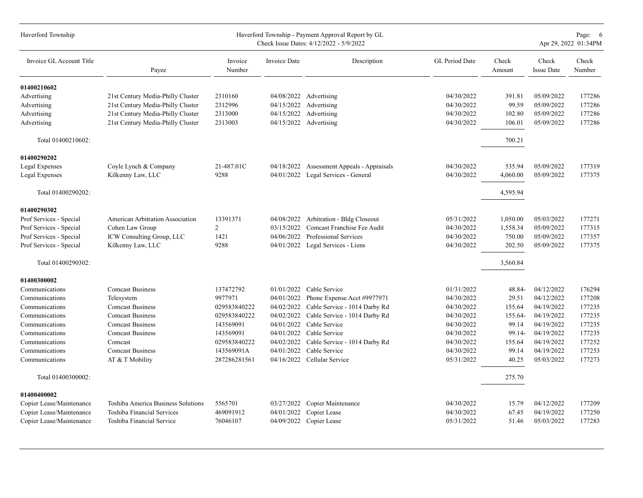| Haverford Township       |                                    |                   |                     | Haverford Township - Payment Approval Report by GL<br>Check Issue Dates: 4/12/2022 - 5/9/2022 |                |                 |                            | Page: 6<br>Apr 29, 2022 01:34PM |
|--------------------------|------------------------------------|-------------------|---------------------|-----------------------------------------------------------------------------------------------|----------------|-----------------|----------------------------|---------------------------------|
| Invoice GL Account Title | Payee                              | Invoice<br>Number | <b>Invoice Date</b> | Description                                                                                   | GL Period Date | Check<br>Amount | Check<br><b>Issue Date</b> | Check<br>Number                 |
| 01400210602              |                                    |                   |                     |                                                                                               |                |                 |                            |                                 |
| Advertising              | 21st Century Media-Philly Cluster  | 2310160           | 04/08/2022          | Advertising                                                                                   | 04/30/2022     | 391.81          | 05/09/2022                 | 177286                          |
| Advertising              | 21st Century Media-Philly Cluster  | 2312996           | 04/15/2022          | Advertising                                                                                   | 04/30/2022     | 99.59           | 05/09/2022                 | 177286                          |
| Advertising              | 21st Century Media-Philly Cluster  | 2313000           | 04/15/2022          | Advertising                                                                                   | 04/30/2022     | 102.80          | 05/09/2022                 | 177286                          |
| Advertising              | 21st Century Media-Philly Cluster  | 2313003           | 04/15/2022          | Advertising                                                                                   | 04/30/2022     | 106.01          | 05/09/2022                 | 177286                          |
| Total 01400210602:       |                                    |                   |                     |                                                                                               |                | 700.21          |                            |                                 |
| 01400290202              |                                    |                   |                     |                                                                                               |                |                 |                            |                                 |
| Legal Expenses           | Coyle Lynch & Company              | 21-487.01C        | 04/18/2022          | Assessment Appeals - Appraisals                                                               | 04/30/2022     | 535.94          | 05/09/2022                 | 177319                          |
| <b>Legal Expenses</b>    | Kilkenny Law, LLC                  | 9288              |                     | 04/01/2022 Legal Services - General                                                           | 04/30/2022     | 4,060.00        | 05/09/2022                 | 177375                          |
| Total 01400290202:       |                                    |                   |                     |                                                                                               |                | 4,595.94        |                            |                                 |
| 01400290302              |                                    |                   |                     |                                                                                               |                |                 |                            |                                 |
| Prof Services - Special  | American Arbitration Association   | 13391371          | 04/08/2022          | Arbitration - Bldg Closeout                                                                   | 05/31/2022     | 1,050.00        | 05/03/2022                 | 177271                          |
| Prof Services - Special  | Cohen Law Group                    | 2                 | 03/15/2022          | Comcast Franchise Fee Audit                                                                   | 04/30/2022     | 1,558.34        | 05/09/2022                 | 177315                          |
| Prof Services - Special  | ICW Consulting Group, LLC          | 1421              | 04/06/2022          | Professional Services                                                                         | 04/30/2022     | 750.00          | 05/09/2022                 | 177357                          |
| Prof Services - Special  | Kilkenny Law, LLC                  | 9288              |                     | 04/01/2022 Legal Services - Liens                                                             | 04/30/2022     | 202.50          | 05/09/2022                 | 177375                          |
| Total 01400290302:       |                                    |                   |                     |                                                                                               |                | 3,560.84        |                            |                                 |
| 01400300002              |                                    |                   |                     |                                                                                               |                |                 |                            |                                 |
| Communications           | <b>Comcast Business</b>            | 137472792         | 01/01/2022          | Cable Service                                                                                 | 01/31/2022     | 48.84-          | 04/12/2022                 | 176294                          |
| Communications           | Telesystem                         | 9977971           | 04/01/2022          | Phone Expense Acct #9977971                                                                   | 04/30/2022     | 29.51           | 04/12/2022                 | 177208                          |
| Communications           | <b>Comcast Business</b>            | 029583840222      | 04/02/2022          | Cable Service - 1014 Darby Rd                                                                 | 04/30/2022     | 155.64          | 04/19/2022                 | 177235                          |
| Communications           | <b>Comcast Business</b>            | 029583840222      | 04/02/2022          | Cable Service - 1014 Darby Rd                                                                 | 04/30/2022     | 155.64-         | 04/19/2022                 | 177235                          |
| Communications           | <b>Comcast Business</b>            | 143569091         | 04/01/2022          | Cable Service                                                                                 | 04/30/2022     | 99.14           | 04/19/2022                 | 177235                          |
| Communications           | <b>Comcast Business</b>            | 143569091         | 04/01/2022          | Cable Service                                                                                 | 04/30/2022     | 99.14-          | 04/19/2022                 | 177235                          |
| Communications           | Comcast                            | 029583840222      | 04/02/2022          | Cable Service - 1014 Darby Rd                                                                 | 04/30/2022     | 155.64          | 04/19/2022                 | 177252                          |
| Communications           | <b>Comcast Business</b>            | 143569091A        | 04/01/2022          | Cable Service                                                                                 | 04/30/2022     | 99.14           | 04/19/2022                 | 177253                          |
| Communications           | AT & T Mobility                    | 287286281561      | 04/16/2022          | Cellular Service                                                                              | 05/31/2022     | 40.25           | 05/03/2022                 | 177273                          |
| Total 01400300002:       |                                    |                   |                     |                                                                                               |                | 275.70          |                            |                                 |
| 01400400002              |                                    |                   |                     |                                                                                               |                |                 |                            |                                 |
| Copier Lease/Maintenance | Toshiba America Business Solutions | 5565701           | 03/27/2022          | Copier Maintenance                                                                            | 04/30/2022     | 15.79           | 04/12/2022                 | 177209                          |
| Copier Lease/Maintenance | Toshiba Financial Services         | 469091912         | 04/01/2022          | Copier Lease                                                                                  | 04/30/2022     | 67.45           | 04/19/2022                 | 177250                          |
| Copier Lease/Maintenance | Toshiba Financial Service          | 76046107          |                     | 04/09/2022 Copier Lease                                                                       | 05/31/2022     | 51.46           | 05/03/2022                 | 177283                          |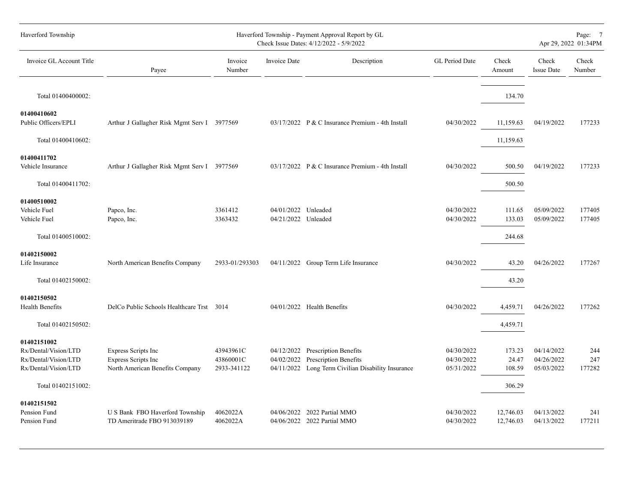| Haverford Township                                                                  |                                                                                      |                                       |                                            | Haverford Township - Payment Approval Report by GL<br>Check Issue Dates: 4/12/2022 - 5/9/2022                          |                                        |                           | Page: 7<br>Apr 29, 2022 01:34PM        |                      |  |  |  |  |
|-------------------------------------------------------------------------------------|--------------------------------------------------------------------------------------|---------------------------------------|--------------------------------------------|------------------------------------------------------------------------------------------------------------------------|----------------------------------------|---------------------------|----------------------------------------|----------------------|--|--|--|--|
| Invoice GL Account Title                                                            | Payee                                                                                | Invoice<br>Number                     | Invoice Date                               | Description                                                                                                            | GL Period Date                         | Check<br>Amount           | Check<br><b>Issue Date</b>             | Check<br>Number      |  |  |  |  |
| Total 01400400002:                                                                  |                                                                                      |                                       |                                            |                                                                                                                        |                                        | 134.70                    |                                        |                      |  |  |  |  |
| 01400410602<br>Public Officers/EPLI                                                 | Arthur J Gallagher Risk Mgmt Serv I 3977569                                          |                                       |                                            | 03/17/2022 P & C Insurance Premium - 4th Install                                                                       | 04/30/2022                             | 11,159.63                 | 04/19/2022                             | 177233               |  |  |  |  |
| Total 01400410602:                                                                  |                                                                                      |                                       |                                            |                                                                                                                        |                                        | 11,159.63                 |                                        |                      |  |  |  |  |
| 01400411702<br>Vehicle Insurance                                                    | Arthur J Gallagher Risk Mgmt Serv I 3977569                                          |                                       |                                            | 03/17/2022 P & C Insurance Premium - 4th Install                                                                       | 04/30/2022                             | 500.50                    | 04/19/2022                             | 177233               |  |  |  |  |
| Total 01400411702:                                                                  |                                                                                      |                                       |                                            |                                                                                                                        |                                        | 500.50                    |                                        |                      |  |  |  |  |
| 01400510002<br>Vehicle Fuel<br>Vehicle Fuel                                         | Papco, Inc.<br>Papco, Inc.                                                           | 3361412<br>3363432                    | 04/01/2022 Unleaded<br>04/21/2022 Unleaded |                                                                                                                        | 04/30/2022<br>04/30/2022               | 111.65<br>133.03          | 05/09/2022<br>05/09/2022               | 177405<br>177405     |  |  |  |  |
| Total 01400510002:                                                                  |                                                                                      |                                       |                                            |                                                                                                                        |                                        | 244.68                    |                                        |                      |  |  |  |  |
| 01402150002<br>Life Insurance                                                       | North American Benefits Company                                                      | 2933-01/293303                        |                                            | 04/11/2022 Group Term Life Insurance                                                                                   | 04/30/2022                             | 43.20                     | 04/26/2022                             | 177267               |  |  |  |  |
| Total 01402150002:                                                                  |                                                                                      |                                       |                                            |                                                                                                                        |                                        | 43.20                     |                                        |                      |  |  |  |  |
| 01402150502<br>Health Benefits                                                      | DelCo Public Schools Healthcare Trst 3014                                            |                                       |                                            | 04/01/2022 Health Benefits                                                                                             | 04/30/2022                             | 4,459.71                  | 04/26/2022                             | 177262               |  |  |  |  |
| Total 01402150502:                                                                  |                                                                                      |                                       |                                            |                                                                                                                        |                                        | 4,459.71                  |                                        |                      |  |  |  |  |
| 01402151002<br>Rx/Dental/Vision/LTD<br>Rx/Dental/Vision/LTD<br>Rx/Dental/Vision/LTD | <b>Express Scripts Inc</b><br>Express Scripts Inc<br>North American Benefits Company | 43943961C<br>43860001C<br>2933-341122 | 04/02/2022                                 | 04/12/2022 Prescription Benefits<br><b>Prescription Benefits</b><br>04/11/2022 Long Term Civilian Disability Insurance | 04/30/2022<br>04/30/2022<br>05/31/2022 | 173.23<br>24.47<br>108.59 | 04/14/2022<br>04/26/2022<br>05/03/2022 | 244<br>247<br>177282 |  |  |  |  |
| Total 01402151002:                                                                  |                                                                                      |                                       |                                            |                                                                                                                        |                                        | 306.29                    |                                        |                      |  |  |  |  |
| 01402151502<br>Pension Fund<br>Pension Fund                                         | U S Bank FBO Haverford Township<br>TD Ameritrade FBO 913039189                       | 4062022A<br>4062022A                  |                                            | 04/06/2022 2022 Partial MMO<br>04/06/2022 2022 Partial MMO                                                             | 04/30/2022<br>04/30/2022               | 12,746.03<br>12,746.03    | 04/13/2022<br>04/13/2022               | 241<br>177211        |  |  |  |  |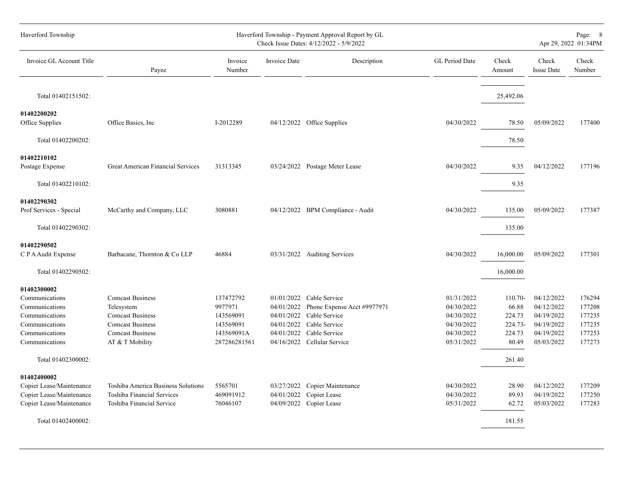| Haverford Township                                                                                                      |                                                                                                                                           |                                                                              |                                                      | Haverford Township - Payment Approval Report by GL<br>Check Issue Dates: 4/12/2022 - 5/9/2022                                               |                                                                                  |                                                          |                                                                                  | Page: 8<br>Apr 29, 2022 01:34PM                          |
|-------------------------------------------------------------------------------------------------------------------------|-------------------------------------------------------------------------------------------------------------------------------------------|------------------------------------------------------------------------------|------------------------------------------------------|---------------------------------------------------------------------------------------------------------------------------------------------|----------------------------------------------------------------------------------|----------------------------------------------------------|----------------------------------------------------------------------------------|----------------------------------------------------------|
| Invoice GL Account Title                                                                                                | Payee                                                                                                                                     | Invoice<br>Number                                                            | Invoice Date                                         | Description                                                                                                                                 | GL Period Date                                                                   | Check<br>Amount                                          | Check<br><b>Issue Date</b>                                                       | Check<br>Number                                          |
| Total 01402151502:                                                                                                      |                                                                                                                                           |                                                                              |                                                      |                                                                                                                                             |                                                                                  | 25,492.06                                                |                                                                                  |                                                          |
| 01402200202<br>Office Supplies                                                                                          | Office Basics, Inc.                                                                                                                       | I-2012289                                                                    |                                                      | 04/12/2022 Office Supplies                                                                                                                  | 04/30/2022                                                                       | 78.50                                                    | 05/09/2022                                                                       | 177400                                                   |
| Total 01402200202:                                                                                                      |                                                                                                                                           |                                                                              |                                                      |                                                                                                                                             |                                                                                  | 78.50                                                    |                                                                                  |                                                          |
| 01402210102<br>Postage Expense                                                                                          | Great American Financial Services                                                                                                         | 31313345                                                                     |                                                      | 03/24/2022 Postage Meter Lease                                                                                                              | 04/30/2022                                                                       | 9.35                                                     | 04/12/2022                                                                       | 177196                                                   |
| Total 01402210102:                                                                                                      |                                                                                                                                           |                                                                              |                                                      |                                                                                                                                             |                                                                                  | 9.35                                                     |                                                                                  |                                                          |
| 01402290302<br>Prof Services - Special                                                                                  | McCarthy and Company, LLC                                                                                                                 | 3080881                                                                      |                                                      | 04/12/2022 BPM Compliance - Audit                                                                                                           | 04/30/2022                                                                       | 135.00                                                   | 05/09/2022                                                                       | 177387                                                   |
| Total 01402290302:                                                                                                      |                                                                                                                                           |                                                                              |                                                      |                                                                                                                                             |                                                                                  | 135.00                                                   |                                                                                  |                                                          |
| 01402290502<br>C P A Audit Expense                                                                                      | Barbacane, Thornton & Co LLP                                                                                                              | 46884                                                                        |                                                      | 03/31/2022 Auditing Services                                                                                                                | 04/30/2022                                                                       | 16,000.00                                                | 05/09/2022                                                                       | 177301                                                   |
| Total 01402290502:                                                                                                      |                                                                                                                                           |                                                                              |                                                      |                                                                                                                                             |                                                                                  | 16,000.00                                                |                                                                                  |                                                          |
| 01402300002<br>Communications<br>Communications<br>Communications<br>Communications<br>Communications<br>Communications | <b>Comcast Business</b><br>Telesystem<br><b>Comcast Business</b><br><b>Comcast Business</b><br><b>Comcast Business</b><br>AT & T Mobility | 137472792<br>9977971<br>143569091<br>143569091<br>143569091A<br>287286281561 | 04/01/2022<br>04/01/2022<br>04/01/2022<br>04/01/2022 | $01/01/2022$ Cable Service<br>Phone Expense Acct #9977971<br>Cable Service<br>Cable Service<br>Cable Service<br>04/16/2022 Cellular Service | 01/31/2022<br>04/30/2022<br>04/30/2022<br>04/30/2022<br>04/30/2022<br>05/31/2022 | 110.70-<br>66.88<br>224.73<br>224.73-<br>224.73<br>80.49 | 04/12/2022<br>04/12/2022<br>04/19/2022<br>04/19/2022<br>04/19/2022<br>05/03/2022 | 176294<br>177208<br>177235<br>177235<br>177253<br>177273 |
| Total 01402300002:                                                                                                      |                                                                                                                                           |                                                                              |                                                      |                                                                                                                                             |                                                                                  | 261.40                                                   |                                                                                  |                                                          |
| 01402400002<br>Copier Lease/Maintenance<br>Copier Lease/Maintenance<br>Copier Lease/Maintenance<br>Total 01402400002:   | Toshiba America Business Solutions<br>Toshiba Financial Services<br>Toshiba Financial Service                                             | 5565701<br>469091912<br>76046107                                             | 04/01/2022<br>04/09/2022                             | 03/27/2022 Copier Maintenance<br>Copier Lease<br>Copier Lease                                                                               | 04/30/2022<br>04/30/2022<br>05/31/2022                                           | 28.90<br>89.93<br>62.72<br>181.55                        | 04/12/2022<br>04/19/2022<br>05/03/2022                                           | 177209<br>177250<br>177283                               |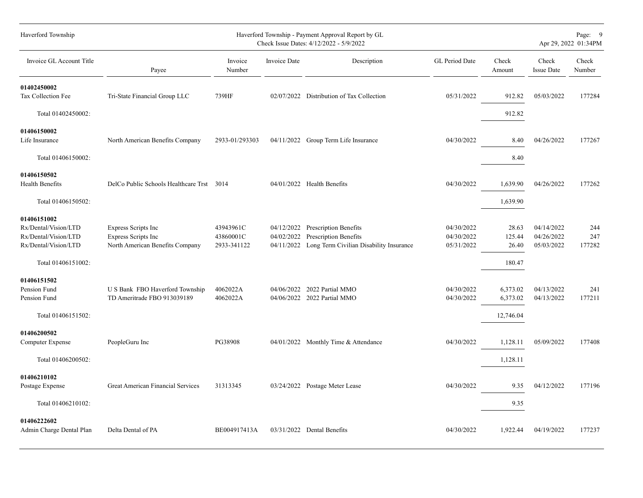| Haverford Township                                                                  |                                                                                             |                                       |                                        | Haverford Township - Payment Approval Report by GL<br>Check Issue Dates: 4/12/2022 - 5/9/2022 |                                        |                          |                                        | Page: 9<br>Apr 29, 2022 01:34PM |
|-------------------------------------------------------------------------------------|---------------------------------------------------------------------------------------------|---------------------------------------|----------------------------------------|-----------------------------------------------------------------------------------------------|----------------------------------------|--------------------------|----------------------------------------|---------------------------------|
| Invoice GL Account Title                                                            | Payee                                                                                       | Invoice<br>Number                     | Invoice Date                           | Description                                                                                   | GL Period Date                         | Check<br>Amount          | Check<br><b>Issue Date</b>             | Check<br>Number                 |
| 01402450002<br>Tax Collection Fee                                                   | Tri-State Financial Group LLC                                                               | 739HF                                 | 02/07/2022                             | Distribution of Tax Collection                                                                | 05/31/2022                             | 912.82                   | 05/03/2022                             | 177284                          |
| Total 01402450002:                                                                  |                                                                                             |                                       |                                        |                                                                                               |                                        | 912.82                   |                                        |                                 |
| 01406150002<br>Life Insurance                                                       | North American Benefits Company                                                             | 2933-01/293303                        |                                        | 04/11/2022 Group Term Life Insurance                                                          | 04/30/2022                             | 8.40                     | 04/26/2022                             | 177267                          |
| Total 01406150002:                                                                  |                                                                                             |                                       |                                        |                                                                                               |                                        | 8.40                     |                                        |                                 |
| 01406150502<br>Health Benefits                                                      | DelCo Public Schools Healthcare Trst 3014                                                   |                                       |                                        | 04/01/2022 Health Benefits                                                                    | 04/30/2022                             | 1,639.90                 | 04/26/2022                             | 177262                          |
| Total 01406150502:                                                                  |                                                                                             |                                       |                                        |                                                                                               |                                        | 1,639.90                 |                                        |                                 |
| 01406151002<br>Rx/Dental/Vision/LTD<br>Rx/Dental/Vision/LTD<br>Rx/Dental/Vision/LTD | <b>Express Scripts Inc</b><br><b>Express Scripts Inc</b><br>North American Benefits Company | 43943961C<br>43860001C<br>2933-341122 | 04/12/2022<br>04/02/2022<br>04/11/2022 | Prescription Benefits<br>Prescription Benefits<br>Long Term Civilian Disability Insurance     | 04/30/2022<br>04/30/2022<br>05/31/2022 | 28.63<br>125.44<br>26.40 | 04/14/2022<br>04/26/2022<br>05/03/2022 | 244<br>247<br>177282            |
| Total 01406151002:                                                                  |                                                                                             |                                       |                                        |                                                                                               |                                        | 180.47                   |                                        |                                 |
| 01406151502<br>Pension Fund<br>Pension Fund                                         | U S Bank FBO Haverford Township<br>TD Ameritrade FBO 913039189                              | 4062022A<br>4062022A                  | 04/06/2022                             | 2022 Partial MMO<br>04/06/2022 2022 Partial MMO                                               | 04/30/2022<br>04/30/2022               | 6,373.02<br>6,373.02     | 04/13/2022<br>04/13/2022               | 241<br>177211                   |
| Total 01406151502:                                                                  |                                                                                             |                                       |                                        |                                                                                               |                                        | 12,746.04                |                                        |                                 |
| 01406200502<br>Computer Expense                                                     | PeopleGuru Inc                                                                              | PG38908                               |                                        | 04/01/2022 Monthly Time & Attendance                                                          | 04/30/2022                             | 1,128.11                 | 05/09/2022                             | 177408                          |
| Total 01406200502:                                                                  |                                                                                             |                                       |                                        |                                                                                               |                                        | 1,128.11                 |                                        |                                 |
| 01406210102<br>Postage Expense                                                      | <b>Great American Financial Services</b>                                                    | 31313345                              |                                        | 03/24/2022 Postage Meter Lease                                                                | 04/30/2022                             | 9.35                     | 04/12/2022                             | 177196                          |
| Total 01406210102:                                                                  |                                                                                             |                                       |                                        |                                                                                               |                                        | 9.35                     |                                        |                                 |
| 01406222602<br>Admin Charge Dental Plan                                             | Delta Dental of PA                                                                          | BE004917413A                          |                                        | 03/31/2022 Dental Benefits                                                                    | 04/30/2022                             | 1,922.44                 | 04/19/2022                             | 177237                          |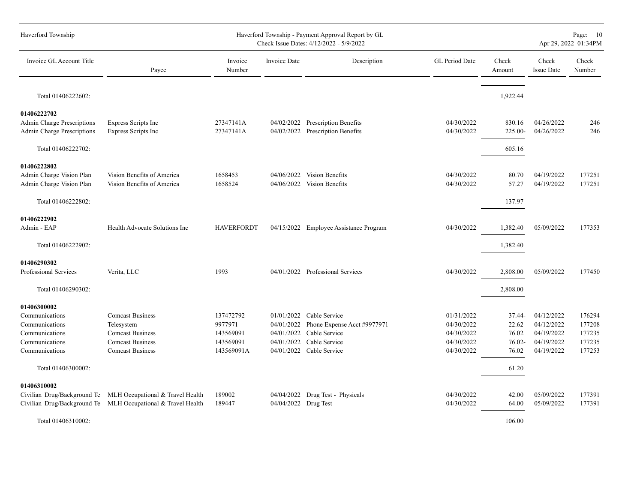| Haverford Township                                                                                    |                                                                                                                              |                                                              |                          | Haverford Township - Payment Approval Report by GL<br>Check Issue Dates: 4/12/2022 - 5/9/2022                                      |                                                                    |                                             | Page: 10<br>Apr 29, 2022 01:34PM                                   |                                                |  |  |  |  |  |  |
|-------------------------------------------------------------------------------------------------------|------------------------------------------------------------------------------------------------------------------------------|--------------------------------------------------------------|--------------------------|------------------------------------------------------------------------------------------------------------------------------------|--------------------------------------------------------------------|---------------------------------------------|--------------------------------------------------------------------|------------------------------------------------|--|--|--|--|--|--|
| Invoice GL Account Title                                                                              | Payee                                                                                                                        | Invoice<br>Number                                            | Invoice Date             | Description                                                                                                                        | GL Period Date                                                     | Check<br>Amount                             | Check<br><b>Issue Date</b>                                         | Check<br>Number                                |  |  |  |  |  |  |
| Total 01406222602:                                                                                    |                                                                                                                              |                                                              |                          |                                                                                                                                    |                                                                    | 1,922.44                                    |                                                                    |                                                |  |  |  |  |  |  |
| 01406222702<br><b>Admin Charge Prescriptions</b><br><b>Admin Charge Prescriptions</b>                 | Express Scripts Inc<br>Express Scripts Inc                                                                                   | 27347141A<br>27347141A                                       |                          | 04/02/2022 Prescription Benefits<br>04/02/2022 Prescription Benefits                                                               | 04/30/2022<br>04/30/2022                                           | 830.16<br>225.00-                           | 04/26/2022<br>04/26/2022                                           | 246<br>246                                     |  |  |  |  |  |  |
| Total 01406222702:                                                                                    |                                                                                                                              |                                                              |                          |                                                                                                                                    |                                                                    | 605.16                                      |                                                                    |                                                |  |  |  |  |  |  |
| 01406222802<br>Admin Charge Vision Plan<br>Admin Charge Vision Plan                                   | Vision Benefits of America<br>Vision Benefits of America                                                                     | 1658453<br>1658524                                           |                          | 04/06/2022 Vision Benefits<br>04/06/2022 Vision Benefits                                                                           | 04/30/2022<br>04/30/2022                                           | 80.70<br>57.27                              | 04/19/2022<br>04/19/2022                                           | 177251<br>177251                               |  |  |  |  |  |  |
| Total 01406222802:                                                                                    |                                                                                                                              |                                                              |                          |                                                                                                                                    |                                                                    | 137.97                                      |                                                                    |                                                |  |  |  |  |  |  |
| 01406222902<br>Admin - EAP                                                                            | Health Advocate Solutions Inc                                                                                                | <b>HAVERFORDT</b>                                            |                          | 04/15/2022 Employee Assistance Program                                                                                             | 04/30/2022                                                         | 1,382.40                                    | 05/09/2022                                                         | 177353                                         |  |  |  |  |  |  |
| Total 01406222902:                                                                                    |                                                                                                                              |                                                              |                          |                                                                                                                                    |                                                                    | 1,382.40                                    |                                                                    |                                                |  |  |  |  |  |  |
| 01406290302<br>Professional Services                                                                  | Verita, LLC                                                                                                                  | 1993                                                         |                          | 04/01/2022 Professional Services                                                                                                   | 04/30/2022                                                         | 2,808.00                                    | 05/09/2022                                                         | 177450                                         |  |  |  |  |  |  |
| Total 01406290302:                                                                                    |                                                                                                                              |                                                              |                          |                                                                                                                                    |                                                                    | 2,808.00                                    |                                                                    |                                                |  |  |  |  |  |  |
| 01406300002<br>Communications<br>Communications<br>Communications<br>Communications<br>Communications | <b>Comcast Business</b><br>Telesystem<br><b>Comcast Business</b><br><b>Comcast Business</b><br><b>Comcast Business</b>       | 137472792<br>9977971<br>143569091<br>143569091<br>143569091A | 04/01/2022<br>04/01/2022 | $01/01/2022$ Cable Service<br>Phone Expense Acct #9977971<br>Cable Service<br>04/01/2022 Cable Service<br>04/01/2022 Cable Service | 01/31/2022<br>04/30/2022<br>04/30/2022<br>04/30/2022<br>04/30/2022 | 37.44-<br>22.62<br>76.02<br>76.02-<br>76.02 | 04/12/2022<br>04/12/2022<br>04/19/2022<br>04/19/2022<br>04/19/2022 | 176294<br>177208<br>177235<br>177235<br>177253 |  |  |  |  |  |  |
| Total 01406300002:                                                                                    |                                                                                                                              |                                                              |                          |                                                                                                                                    |                                                                    | 61.20                                       |                                                                    |                                                |  |  |  |  |  |  |
| 01406310002                                                                                           | Civilian Drug/Background Te MLH Occupational & Travel Health<br>Civilian Drug/Background Te MLH Occupational & Travel Health | 189002<br>189447                                             | 04/04/2022 Drug Test     | 04/04/2022 Drug Test - Physicals                                                                                                   | 04/30/2022<br>04/30/2022                                           | 42.00<br>64.00                              | 05/09/2022<br>05/09/2022                                           | 177391<br>177391                               |  |  |  |  |  |  |
| Total 01406310002:                                                                                    |                                                                                                                              |                                                              |                          |                                                                                                                                    |                                                                    | 106.00                                      |                                                                    |                                                |  |  |  |  |  |  |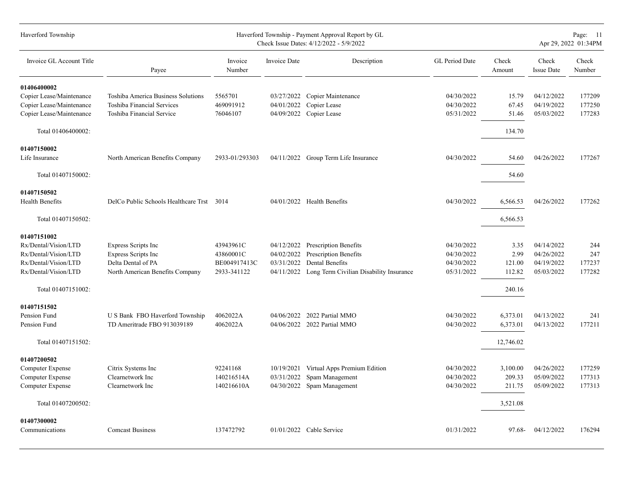| Haverford Township       |                                           |                   | Page: 11<br>Apr 29, 2022 01:34PM |                                         |                |                 |                            |                 |
|--------------------------|-------------------------------------------|-------------------|----------------------------------|-----------------------------------------|----------------|-----------------|----------------------------|-----------------|
| Invoice GL Account Title | Payee                                     | Invoice<br>Number | Invoice Date                     | Description                             | GL Period Date | Check<br>Amount | Check<br><b>Issue Date</b> | Check<br>Number |
| 01406400002              |                                           |                   |                                  |                                         |                |                 |                            |                 |
| Copier Lease/Maintenance | Toshiba America Business Solutions        | 5565701           | 03/27/2022                       | Copier Maintenance                      | 04/30/2022     | 15.79           | 04/12/2022                 | 177209          |
| Copier Lease/Maintenance | <b>Toshiba Financial Services</b>         | 469091912         | 04/01/2022                       | Copier Lease                            | 04/30/2022     | 67.45           | 04/19/2022                 | 177250          |
| Copier Lease/Maintenance | Toshiba Financial Service                 | 76046107          | 04/09/2022                       | Copier Lease                            | 05/31/2022     | 51.46           | 05/03/2022                 | 177283          |
| Total 01406400002:       |                                           |                   |                                  |                                         |                | 134.70          |                            |                 |
| 01407150002              |                                           |                   |                                  |                                         |                |                 |                            |                 |
| Life Insurance           | North American Benefits Company           | 2933-01/293303    |                                  | 04/11/2022 Group Term Life Insurance    | 04/30/2022     | 54.60           | 04/26/2022                 | 177267          |
| Total 01407150002:       |                                           |                   |                                  |                                         |                | 54.60           |                            |                 |
| 01407150502              |                                           |                   |                                  |                                         |                |                 |                            |                 |
| Health Benefits          | DelCo Public Schools Healthcare Trst 3014 |                   |                                  | 04/01/2022 Health Benefits              | 04/30/2022     | 6,566.53        | 04/26/2022                 | 177262          |
| Total 01407150502:       |                                           |                   |                                  |                                         |                | 6,566.53        |                            |                 |
| 01407151002              |                                           |                   |                                  |                                         |                |                 |                            |                 |
| Rx/Dental/Vision/LTD     | <b>Express Scripts Inc</b>                | 43943961C         | 04/12/2022                       | Prescription Benefits                   | 04/30/2022     | 3.35            | 04/14/2022                 | 244             |
| Rx/Dental/Vision/LTD     | <b>Express Scripts Inc</b>                | 43860001C         | 04/02/2022                       | Prescription Benefits                   | 04/30/2022     | 2.99            | 04/26/2022                 | 247             |
| Rx/Dental/Vision/LTD     | Delta Dental of PA                        | BE004917413C      | 03/31/2022                       | Dental Benefits                         | 04/30/2022     | 121.00          | 04/19/2022                 | 177237          |
| Rx/Dental/Vision/LTD     | North American Benefits Company           | 2933-341122       | 04/11/2022                       | Long Term Civilian Disability Insurance | 05/31/2022     | 112.82          | 05/03/2022                 | 177282          |
| Total 01407151002:       |                                           |                   |                                  |                                         |                | 240.16          |                            |                 |
| 01407151502              |                                           |                   |                                  |                                         |                |                 |                            |                 |
| Pension Fund             | U S Bank FBO Haverford Township           | 4062022A          | 04/06/2022                       | 2022 Partial MMO                        | 04/30/2022     | 6,373.01        | 04/13/2022                 | 241             |
| Pension Fund             | TD Ameritrade FBO 913039189               | 4062022A          |                                  | 04/06/2022 2022 Partial MMO             | 04/30/2022     | 6,373.01        | 04/13/2022                 | 177211          |
| Total 01407151502:       |                                           |                   |                                  |                                         |                | 12,746.02       |                            |                 |
| 01407200502              |                                           |                   |                                  |                                         |                |                 |                            |                 |
| <b>Computer Expense</b>  | Citrix Systems Inc                        | 92241168          | 10/19/2021                       | Virtual Apps Premium Edition            | 04/30/2022     | 3,100.00        | 04/26/2022                 | 177259          |
| Computer Expense         | Clearnetwork Inc                          | 140216514A        | 03/31/2022                       | Spam Management                         | 04/30/2022     | 209.33          | 05/09/2022                 | 177313          |
| Computer Expense         | Clearnetwork Inc                          | 140216610A        | 04/30/2022                       | Spam Management                         | 04/30/2022     | 211.75          | 05/09/2022                 | 177313          |
| Total 01407200502:       |                                           |                   |                                  |                                         |                | 3,521.08        |                            |                 |
|                          |                                           |                   |                                  |                                         |                |                 |                            |                 |
| 01407300002              |                                           |                   |                                  |                                         |                |                 |                            |                 |
| Communications           | <b>Comcast Business</b>                   | 137472792         |                                  | 01/01/2022 Cable Service                | 01/31/2022     | 97.68-          | 04/12/2022                 | 176294          |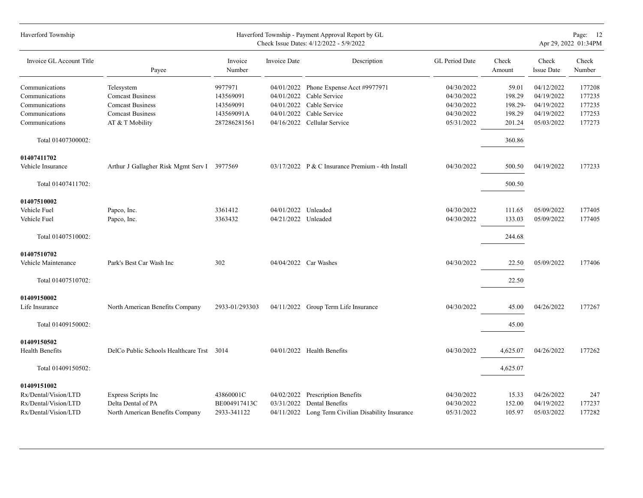| Haverford Township                 |                                             |                   |                     | Haverford Township - Payment Approval Report by GL<br>Check Issue Dates: 4/12/2022 - 5/9/2022 |                | Page: 12<br>Apr 29, 2022 01:34PM |                            |                 |  |  |  |  |  |
|------------------------------------|---------------------------------------------|-------------------|---------------------|-----------------------------------------------------------------------------------------------|----------------|----------------------------------|----------------------------|-----------------|--|--|--|--|--|
| Invoice GL Account Title           | Payee                                       | Invoice<br>Number | Invoice Date        | Description                                                                                   | GL Period Date | Check<br>Amount                  | Check<br><b>Issue Date</b> | Check<br>Number |  |  |  |  |  |
| Communications                     | Telesystem                                  | 9977971           | 04/01/2022          | Phone Expense Acct #9977971                                                                   | 04/30/2022     | 59.01                            | 04/12/2022                 | 177208          |  |  |  |  |  |
| Communications                     | <b>Comcast Business</b>                     | 143569091         | 04/01/2022          | Cable Service                                                                                 | 04/30/2022     | 198.29                           | 04/19/2022                 | 177235          |  |  |  |  |  |
| Communications                     | <b>Comcast Business</b>                     | 143569091         | 04/01/2022          | Cable Service                                                                                 | 04/30/2022     | 198.29-                          | 04/19/2022                 | 177235          |  |  |  |  |  |
| Communications                     | <b>Comcast Business</b>                     | 143569091A        | 04/01/2022          | Cable Service                                                                                 | 04/30/2022     | 198.29                           | 04/19/2022                 | 177253          |  |  |  |  |  |
| Communications                     | AT & T Mobility                             | 287286281561      |                     | 04/16/2022 Cellular Service                                                                   | 05/31/2022     | 201.24                           | 05/03/2022                 | 177273          |  |  |  |  |  |
| Total 01407300002:                 |                                             |                   |                     |                                                                                               |                | 360.86                           |                            |                 |  |  |  |  |  |
| 01407411702                        |                                             |                   |                     |                                                                                               |                |                                  |                            |                 |  |  |  |  |  |
| Vehicle Insurance                  | Arthur J Gallagher Risk Mgmt Serv I 3977569 |                   |                     | $03/17/2022$ P & C Insurance Premium - 4th Install                                            | 04/30/2022     | 500.50                           | 04/19/2022                 | 177233          |  |  |  |  |  |
| Total 01407411702:                 |                                             |                   |                     |                                                                                               |                | 500.50                           |                            |                 |  |  |  |  |  |
| 01407510002                        |                                             |                   |                     |                                                                                               |                |                                  |                            |                 |  |  |  |  |  |
| Vehicle Fuel                       | Papco, Inc.                                 | 3361412           | 04/01/2022 Unleaded |                                                                                               | 04/30/2022     | 111.65                           | 05/09/2022                 | 177405          |  |  |  |  |  |
| Vehicle Fuel                       | Papco, Inc.                                 | 3363432           | 04/21/2022 Unleaded |                                                                                               | 04/30/2022     | 133.03                           | 05/09/2022                 | 177405          |  |  |  |  |  |
| Total 01407510002:                 |                                             |                   |                     |                                                                                               |                | 244.68                           |                            |                 |  |  |  |  |  |
|                                    |                                             |                   |                     |                                                                                               |                |                                  |                            |                 |  |  |  |  |  |
| 01407510702<br>Vehicle Maintenance | Park's Best Car Wash Inc                    | 302               |                     | 04/04/2022 Car Washes                                                                         | 04/30/2022     | 22.50                            | 05/09/2022                 | 177406          |  |  |  |  |  |
|                                    |                                             |                   |                     |                                                                                               |                |                                  |                            |                 |  |  |  |  |  |
| Total 01407510702:                 |                                             |                   |                     |                                                                                               |                | 22.50                            |                            |                 |  |  |  |  |  |
| 01409150002                        |                                             |                   |                     |                                                                                               |                |                                  |                            |                 |  |  |  |  |  |
| Life Insurance                     | North American Benefits Company             | 2933-01/293303    |                     | 04/11/2022 Group Term Life Insurance                                                          | 04/30/2022     | 45.00                            | 04/26/2022                 | 177267          |  |  |  |  |  |
| Total 01409150002:                 |                                             |                   |                     |                                                                                               |                | 45.00                            |                            |                 |  |  |  |  |  |
| 01409150502                        |                                             |                   |                     |                                                                                               |                |                                  |                            |                 |  |  |  |  |  |
| <b>Health Benefits</b>             | DelCo Public Schools Healthcare Trst 3014   |                   |                     | $04/01/2022$ Health Benefits                                                                  | 04/30/2022     | 4,625.07                         | 04/26/2022                 | 177262          |  |  |  |  |  |
| Total 01409150502:                 |                                             |                   |                     |                                                                                               |                | 4,625.07                         |                            |                 |  |  |  |  |  |
| 01409151002                        |                                             |                   |                     |                                                                                               |                |                                  |                            |                 |  |  |  |  |  |
| Rx/Dental/Vision/LTD               | <b>Express Scripts Inc</b>                  | 43860001C         | 04/02/2022          | Prescription Benefits                                                                         | 04/30/2022     | 15.33                            | 04/26/2022                 | 247             |  |  |  |  |  |
| Rx/Dental/Vision/LTD               | Delta Dental of PA                          | BE004917413C      | 03/31/2022          | Dental Benefits                                                                               | 04/30/2022     | 152.00                           | 04/19/2022                 | 177237          |  |  |  |  |  |
| Rx/Dental/Vision/LTD               | North American Benefits Company             | 2933-341122       |                     | 04/11/2022 Long Term Civilian Disability Insurance                                            | 05/31/2022     | 105.97                           | 05/03/2022                 | 177282          |  |  |  |  |  |
|                                    |                                             |                   |                     |                                                                                               |                |                                  |                            |                 |  |  |  |  |  |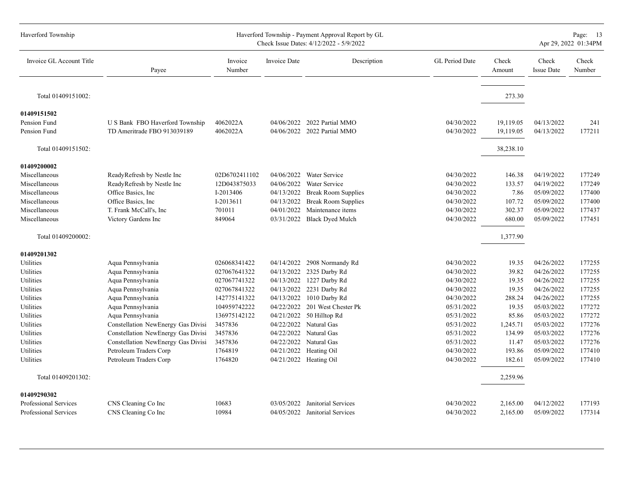| Haverford Township       |                                    |                   |                     | Haverford Township - Payment Approval Report by GL<br>Check Issue Dates: 4/12/2022 - 5/9/2022 |                       |                 |                            | Page: 13<br>Apr 29, 2022 01:34PM |
|--------------------------|------------------------------------|-------------------|---------------------|-----------------------------------------------------------------------------------------------|-----------------------|-----------------|----------------------------|----------------------------------|
| Invoice GL Account Title | Payee                              | Invoice<br>Number | <b>Invoice Date</b> | Description                                                                                   | <b>GL</b> Period Date | Check<br>Amount | Check<br><b>Issue Date</b> | Check<br>Number                  |
| Total 01409151002:       |                                    |                   |                     |                                                                                               |                       | 273.30          |                            |                                  |
| 01409151502              |                                    |                   |                     |                                                                                               |                       |                 |                            |                                  |
| Pension Fund             | U S Bank FBO Haverford Township    | 4062022A          |                     | 04/06/2022 2022 Partial MMO                                                                   | 04/30/2022            | 19,119.05       | 04/13/2022                 | 241                              |
| Pension Fund             | TD Ameritrade FBO 913039189        | 4062022A          |                     | 04/06/2022 2022 Partial MMO                                                                   | 04/30/2022            | 19,119.05       | 04/13/2022                 | 177211                           |
| Total 01409151502:       |                                    |                   |                     |                                                                                               |                       | 38,238.10       |                            |                                  |
| 01409200002              |                                    |                   |                     |                                                                                               |                       |                 |                            |                                  |
| Miscellaneous            | ReadyRefresh by Nestle Inc         | 02D6702411102     | 04/06/2022          | Water Service                                                                                 | 04/30/2022            | 146.38          | 04/19/2022                 | 177249                           |
| Miscellaneous            | ReadyRefresh by Nestle Inc         | 12D043875033      | 04/06/2022          | Water Service                                                                                 | 04/30/2022            | 133.57          | 04/19/2022                 | 177249                           |
| Miscellaneous            | Office Basics, Inc.                | I-2013406         | 04/13/2022          | <b>Break Room Supplies</b>                                                                    | 04/30/2022            | 7.86            | 05/09/2022                 | 177400                           |
| Miscellaneous            | Office Basics, Inc.                | I-2013611         | 04/13/2022          | <b>Break Room Supplies</b>                                                                    | 04/30/2022            | 107.72          | 05/09/2022                 | 177400                           |
| Miscellaneous            | T. Frank McCall's, Inc             | 701011            | 04/01/2022          | Maintenance items                                                                             | 04/30/2022            | 302.37          | 05/09/2022                 | 177437                           |
| Miscellaneous            | Victory Gardens Inc                | 849064            | 03/31/2022          | <b>Black Dyed Mulch</b>                                                                       | 04/30/2022            | 680.00          | 05/09/2022                 | 177451                           |
| Total 01409200002:       |                                    |                   |                     |                                                                                               |                       | 1,377.90        |                            |                                  |
| 01409201302              |                                    |                   |                     |                                                                                               |                       |                 |                            |                                  |
| Utilities                | Aqua Pennsylvania                  | 026068341422      | 04/14/2022          | 2908 Normandy Rd                                                                              | 04/30/2022            | 19.35           | 04/26/2022                 | 177255                           |
| Utilities                | Aqua Pennsylvania                  | 027067641322      | 04/13/2022          | 2325 Darby Rd                                                                                 | 04/30/2022            | 39.82           | 04/26/2022                 | 177255                           |
| Utilities                | Aqua Pennsylvania                  | 027067741322      |                     | 04/13/2022 1227 Darby Rd                                                                      | 04/30/2022            | 19.35           | 04/26/2022                 | 177255                           |
| Utilities                | Aqua Pennsylvania                  | 027067841322      | 04/13/2022          | 2231 Darby Rd                                                                                 | 04/30/2022            | 19.35           | 04/26/2022                 | 177255                           |
| Utilities                | Aqua Pennsylvania                  | 142775141322      | 04/13/2022          | 1010 Darby Rd                                                                                 | 04/30/2022            | 288.24          | 04/26/2022                 | 177255                           |
| Utilities                | Aqua Pennsylvania                  | 104959742222      | 04/22/2022          | 201 West Chester Pk                                                                           | 05/31/2022            | 19.35           | 05/03/2022                 | 177272                           |
| Utilities                | Aqua Pennsylvania                  | 136975142122      | 04/21/2022          | 50 Hilltop Rd                                                                                 | 05/31/2022            | 85.86           | 05/03/2022                 | 177272                           |
| Utilities                | Constellation NewEnergy Gas Divisi | 3457836           | 04/22/2022          | Natural Gas                                                                                   | 05/31/2022            | 1,245.71        | 05/03/2022                 | 177276                           |
| Utilities                | Constellation NewEnergy Gas Divisi | 3457836           | 04/22/2022          | Natural Gas                                                                                   | 05/31/2022            | 134.99          | 05/03/2022                 | 177276                           |
| Utilities                | Constellation NewEnergy Gas Divisi | 3457836           |                     | 04/22/2022 Natural Gas                                                                        | 05/31/2022            | 11.47           | 05/03/2022                 | 177276                           |
| Utilities                | Petroleum Traders Corp             | 1764819           |                     | 04/21/2022 Heating Oil                                                                        | 04/30/2022            | 193.86          | 05/09/2022                 | 177410                           |
| Utilities                | Petroleum Traders Corp             | 1764820           |                     | 04/21/2022 Heating Oil                                                                        | 04/30/2022            | 182.61          | 05/09/2022                 | 177410                           |
| Total 01409201302:       |                                    |                   |                     |                                                                                               |                       | 2,259.96        |                            |                                  |
| 01409290302              |                                    |                   |                     |                                                                                               |                       |                 |                            |                                  |
| Professional Services    | CNS Cleaning Co Inc                | 10683             | 03/05/2022          | Janitorial Services                                                                           | 04/30/2022            | 2,165.00        | 04/12/2022                 | 177193                           |
| Professional Services    | CNS Cleaning Co Inc                | 10984             | 04/05/2022          | Janitorial Services                                                                           | 04/30/2022            | 2,165.00        | 05/09/2022                 | 177314                           |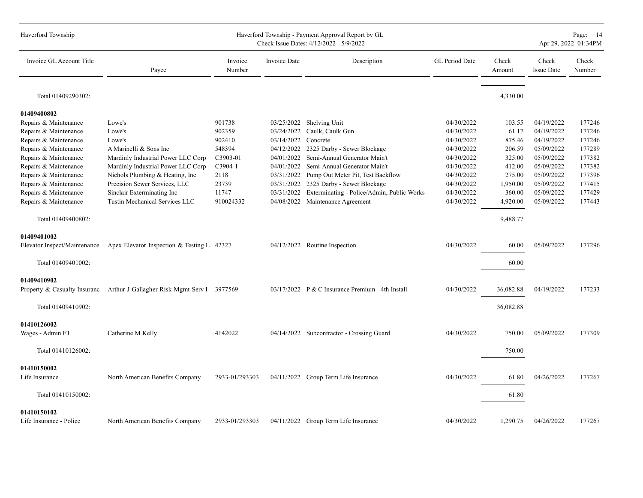| Haverford Township                     |                                                                         |                   |              | Haverford Township - Payment Approval Report by GL<br>Check Issue Dates: 4/12/2022 - 5/9/2022 |                |                 |                            | Page: 14<br>Apr 29, 2022 01:34PM |
|----------------------------------------|-------------------------------------------------------------------------|-------------------|--------------|-----------------------------------------------------------------------------------------------|----------------|-----------------|----------------------------|----------------------------------|
| Invoice GL Account Title               | Payee                                                                   | Invoice<br>Number | Invoice Date | Description                                                                                   | GL Period Date | Check<br>Amount | Check<br><b>Issue Date</b> | Check<br>Number                  |
| Total 01409290302:                     |                                                                         |                   |              |                                                                                               |                | 4,330.00        |                            |                                  |
| 01409400802                            |                                                                         |                   |              |                                                                                               |                |                 |                            |                                  |
| Repairs & Maintenance                  | Lowe's                                                                  | 901738            |              | 03/25/2022 Shelving Unit                                                                      | 04/30/2022     | 103.55          | 04/19/2022                 | 177246                           |
| Repairs & Maintenance                  | Lowe's                                                                  | 902359            | 03/24/2022   | Caulk, Caulk Gun                                                                              | 04/30/2022     | 61.17           | 04/19/2022                 | 177246                           |
| Repairs & Maintenance                  | Lowe's                                                                  | 902410            | 03/14/2022   | Concrete                                                                                      | 04/30/2022     | 875.46          | 04/19/2022                 | 177246                           |
| Repairs & Maintenance                  | A Marinelli & Sons Inc                                                  | 548394            | 04/12/2022   | 2325 Darby - Sewer Blockage                                                                   | 04/30/2022     | 206.59          | 05/09/2022                 | 177289                           |
| Repairs & Maintenance                  | Mardinly Industrial Power LLC Corp                                      | C3903-01          | 04/01/2022   | Semi-Annual Generator Main't                                                                  | 04/30/2022     | 325.00          | 05/09/2022                 | 177382                           |
| Repairs & Maintenance                  | Mardinly Industrial Power LLC Corp                                      | $C3904-1$         |              | 04/01/2022 Semi-Annual Generator Main't                                                       | 04/30/2022     | 412.00          | 05/09/2022                 | 177382                           |
| Repairs & Maintenance                  | Nichols Plumbing & Heating, Inc.                                        | 2118              | 03/31/2022   | Pump Out Meter Pit, Test Backflow                                                             | 04/30/2022     | 275.00          | 05/09/2022                 | 177396                           |
| Repairs & Maintenance                  | Precision Sewer Services, LLC                                           | 23739             | 03/31/2022   | 2325 Darby - Sewer Blockage                                                                   | 04/30/2022     | 1,950.00        | 05/09/2022                 | 177415                           |
| Repairs & Maintenance                  | Sinclair Exterminating Inc                                              | 11747             | 03/31/2022   | Exterminating - Police/Admin, Public Works                                                    | 04/30/2022     | 360.00          | 05/09/2022                 | 177429                           |
| Repairs & Maintenance                  | Tustin Mechanical Services LLC                                          | 910024332         |              | 04/08/2022 Maintenance Agreement                                                              | 04/30/2022     | 4,920.00        | 05/09/2022                 | 177443                           |
| Total 01409400802:                     |                                                                         |                   |              |                                                                                               |                | 9,488.77        |                            |                                  |
| 01409401002                            |                                                                         |                   |              |                                                                                               |                |                 |                            |                                  |
|                                        | Elevator Inspect/Maintenance Apex Elevator Inspection & Testing L 42327 |                   |              | 04/12/2022 Routine Inspection                                                                 | 04/30/2022     | 60.00           | 05/09/2022                 | 177296                           |
| Total 01409401002:                     |                                                                         |                   |              |                                                                                               |                | 60.00           |                            |                                  |
| 01409410902                            |                                                                         |                   |              |                                                                                               |                |                 |                            |                                  |
| Property & Casualty Insuranc           | Arthur J Gallagher Risk Mgmt Serv I 3977569                             |                   |              | 03/17/2022 P & C Insurance Premium - 4th Install                                              | 04/30/2022     | 36,082.88       | 04/19/2022                 | 177233                           |
| Total 01409410902:                     |                                                                         |                   |              |                                                                                               |                | 36,082.88       |                            |                                  |
| 01410126002                            |                                                                         |                   |              |                                                                                               |                |                 |                            |                                  |
| Wages - Admin FT                       | Catherine M Kelly                                                       | 4142022           |              | 04/14/2022 Subcontractor - Crossing Guard                                                     | 04/30/2022     | 750.00          | 05/09/2022                 | 177309                           |
| Total 01410126002:                     |                                                                         |                   |              |                                                                                               |                | 750.00          |                            |                                  |
|                                        |                                                                         |                   |              |                                                                                               |                |                 |                            |                                  |
| 01410150002<br>Life Insurance          | North American Benefits Company                                         | 2933-01/293303    |              | 04/11/2022 Group Term Life Insurance                                                          | 04/30/2022     | 61.80           | 04/26/2022                 | 177267                           |
| Total 01410150002:                     |                                                                         |                   |              |                                                                                               |                | 61.80           |                            |                                  |
|                                        |                                                                         |                   |              |                                                                                               |                |                 |                            |                                  |
| 01410150102<br>Life Insurance - Police | North American Benefits Company                                         | 2933-01/293303    |              | 04/11/2022 Group Term Life Insurance                                                          | 04/30/2022     | 1,290.75        | 04/26/2022                 | 177267                           |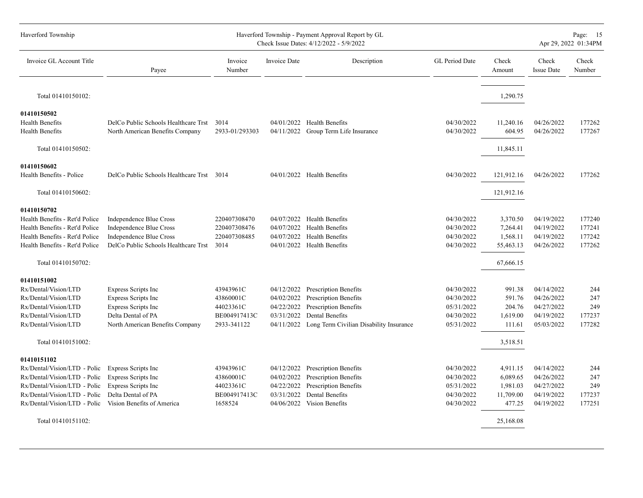| Haverford Township             |                                           |                   |              | Haverford Township - Payment Approval Report by GL<br>Check Issue Dates: 4/12/2022 - 5/9/2022 |                |                 |                            | Page: 15<br>Apr 29, 2022 01:34PM |
|--------------------------------|-------------------------------------------|-------------------|--------------|-----------------------------------------------------------------------------------------------|----------------|-----------------|----------------------------|----------------------------------|
| Invoice GL Account Title       | Payee                                     | Invoice<br>Number | Invoice Date | Description                                                                                   | GL Period Date | Check<br>Amount | Check<br><b>Issue Date</b> | Check<br>Number                  |
| Total 01410150102:             |                                           |                   |              |                                                                                               |                | 1,290.75        |                            |                                  |
| 01410150502                    |                                           |                   |              |                                                                                               |                |                 |                            |                                  |
| <b>Health Benefits</b>         | DelCo Public Schools Healthcare Trst      | 3014              |              | 04/01/2022 Health Benefits                                                                    | 04/30/2022     | 11,240.16       | 04/26/2022                 | 177262                           |
| <b>Health Benefits</b>         | North American Benefits Company           | 2933-01/293303    |              | 04/11/2022 Group Term Life Insurance                                                          | 04/30/2022     | 604.95          | 04/26/2022                 | 177267                           |
| Total 01410150502:             |                                           |                   |              |                                                                                               |                | 11,845.11       |                            |                                  |
| 01410150602                    |                                           |                   |              |                                                                                               |                |                 |                            |                                  |
| Health Benefits - Police       | DelCo Public Schools Healthcare Trst 3014 |                   |              | 04/01/2022 Health Benefits                                                                    | 04/30/2022     | 121,912.16      | 04/26/2022                 | 177262                           |
| Total 01410150602:             |                                           |                   |              |                                                                                               |                | 121,912.16      |                            |                                  |
| 01410150702                    |                                           |                   |              |                                                                                               |                |                 |                            |                                  |
| Health Benefits - Ret'd Police | Independence Blue Cross                   | 220407308470      |              | 04/07/2022 Health Benefits                                                                    | 04/30/2022     | 3,370.50        | 04/19/2022                 | 177240                           |
| Health Benefits - Ret'd Police | Independence Blue Cross                   | 220407308476      | 04/07/2022   | <b>Health Benefits</b>                                                                        | 04/30/2022     | 7,264.41        | 04/19/2022                 | 177241                           |
| Health Benefits - Ret'd Police | <b>Independence Blue Cross</b>            | 220407308485      | 04/07/2022   | <b>Health Benefits</b>                                                                        | 04/30/2022     | 1,568.11        | 04/19/2022                 | 177242                           |
| Health Benefits - Ret'd Police | DelCo Public Schools Healthcare Trst      | 3014              |              | 04/01/2022 Health Benefits                                                                    | 04/30/2022     | 55,463.13       | 04/26/2022                 | 177262                           |
| Total 01410150702:             |                                           |                   |              |                                                                                               |                | 67,666.15       |                            |                                  |
| 01410151002                    |                                           |                   |              |                                                                                               |                |                 |                            |                                  |
| Rx/Dental/Vision/LTD           | <b>Express Scripts Inc</b>                | 43943961C         | 04/12/2022   | Prescription Benefits                                                                         | 04/30/2022     | 991.38          | 04/14/2022                 | 244                              |
| Rx/Dental/Vision/LTD           | <b>Express Scripts Inc</b>                | 43860001C         | 04/02/2022   | <b>Prescription Benefits</b>                                                                  | 04/30/2022     | 591.76          | 04/26/2022                 | 247                              |
| Rx/Dental/Vision/LTD           | <b>Express Scripts Inc</b>                | 44023361C         | 04/22/2022   | <b>Prescription Benefits</b>                                                                  | 05/31/2022     | 204.76          | 04/27/2022                 | 249                              |
| Rx/Dental/Vision/LTD           | Delta Dental of PA                        | BE004917413C      | 03/31/2022   | Dental Benefits                                                                               | 04/30/2022     | 1,619.00        | 04/19/2022                 | 177237                           |
| Rx/Dental/Vision/LTD           | North American Benefits Company           | 2933-341122       |              | 04/11/2022 Long Term Civilian Disability Insurance                                            | 05/31/2022     | 111.61          | 05/03/2022                 | 177282                           |
| Total 01410151002:             |                                           |                   |              |                                                                                               |                | 3,518.51        |                            |                                  |
| 01410151102                    |                                           |                   |              |                                                                                               |                |                 |                            |                                  |
| Rx/Dental/Vision/LTD - Polic   | Express Scripts Inc                       | 43943961C         | 04/12/2022   | Prescription Benefits                                                                         | 04/30/2022     | 4,911.15        | 04/14/2022                 | 244                              |
| Rx/Dental/Vision/LTD - Polic   | Express Scripts Inc                       | 43860001C         |              | 04/02/2022 Prescription Benefits                                                              | 04/30/2022     | 6,089.65        | 04/26/2022                 | 247                              |
| Rx/Dental/Vision/LTD - Polic   | Express Scripts Inc                       | 44023361C         | 04/22/2022   | <b>Prescription Benefits</b>                                                                  | 05/31/2022     | 1,981.03        | 04/27/2022                 | 249                              |
| Rx/Dental/Vision/LTD - Polic   | Delta Dental of PA                        | BE004917413C      | 03/31/2022   | Dental Benefits                                                                               | 04/30/2022     | 11,709.00       | 04/19/2022                 | 177237                           |
| Rx/Dental/Vision/LTD - Polic   | Vision Benefits of America                | 1658524           |              | 04/06/2022 Vision Benefits                                                                    | 04/30/2022     | 477.25          | 04/19/2022                 | 177251                           |
| Total 01410151102:             |                                           |                   |              |                                                                                               |                | 25,168.08       |                            |                                  |
|                                |                                           |                   |              |                                                                                               |                |                 |                            |                                  |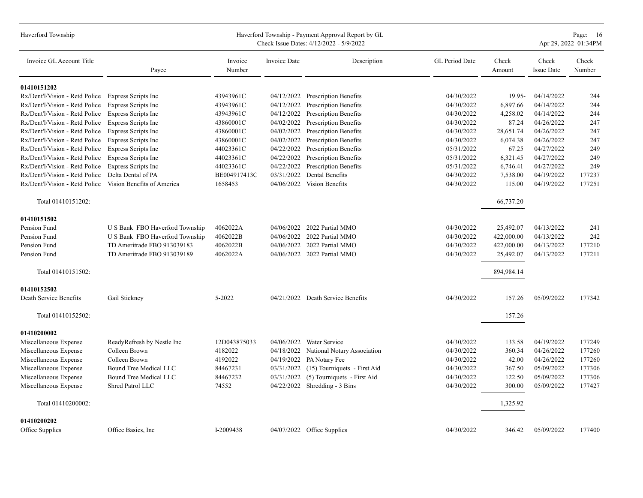| Haverford Township                                        |                                 |                   |                     | Haverford Township - Payment Approval Report by GL<br>Check Issue Dates: 4/12/2022 - 5/9/2022 |                |                 |                            | Page: 16<br>Apr 29, 2022 01:34PM |
|-----------------------------------------------------------|---------------------------------|-------------------|---------------------|-----------------------------------------------------------------------------------------------|----------------|-----------------|----------------------------|----------------------------------|
| Invoice GL Account Title                                  | Payee                           | Invoice<br>Number | <b>Invoice Date</b> | Description                                                                                   | GL Period Date | Check<br>Amount | Check<br><b>Issue Date</b> | Check<br>Number                  |
| 01410151202                                               |                                 |                   |                     |                                                                                               |                |                 |                            |                                  |
| Rx/Dent'l/Vision - Retd Police Express Scripts Inc        |                                 | 43943961C         | 04/12/2022          | <b>Prescription Benefits</b>                                                                  | 04/30/2022     | 19.95-          | 04/14/2022                 | 244                              |
| Rx/Dent'l/Vision - Retd Police Express Scripts Inc        |                                 | 43943961C         | 04/12/2022          | Prescription Benefits                                                                         | 04/30/2022     | 6,897.66        | 04/14/2022                 | 244                              |
| Rx/Dent'l/Vision - Retd Police Express Scripts Inc        |                                 | 43943961C         | 04/12/2022          | <b>Prescription Benefits</b>                                                                  | 04/30/2022     | 4,258.02        | 04/14/2022                 | 244                              |
| Rx/Dent'l/Vision - Retd Police Express Scripts Inc        |                                 | 43860001C         | 04/02/2022          | <b>Prescription Benefits</b>                                                                  | 04/30/2022     | 87.24           | 04/26/2022                 | 247                              |
| Rx/Dent'l/Vision - Retd Police Express Scripts Inc        |                                 | 43860001C         | 04/02/2022          | Prescription Benefits                                                                         | 04/30/2022     | 28,651.74       | 04/26/2022                 | 247                              |
| Rx/Dent'l/Vision - Retd Police                            | <b>Express Scripts Inc</b>      | 43860001C         | 04/02/2022          | <b>Prescription Benefits</b>                                                                  | 04/30/2022     | 6,074.38        | 04/26/2022                 | 247                              |
| Rx/Dent'l/Vision - Retd Police                            | Express Scripts Inc             | 44023361C         | 04/22/2022          | Prescription Benefits                                                                         | 05/31/2022     | 67.25           | 04/27/2022                 | 249                              |
| Rx/Dent'l/Vision - Retd Police                            | <b>Express Scripts Inc</b>      | 44023361C         | 04/22/2022          | Prescription Benefits                                                                         | 05/31/2022     | 6,321.45        | 04/27/2022                 | 249                              |
| Rx/Dent'l/Vision - Retd Police Express Scripts Inc        |                                 | 44023361C         | 04/22/2022          | <b>Prescription Benefits</b>                                                                  | 05/31/2022     | 6,746.41        | 04/27/2022                 | 249                              |
| Rx/Dent'l/Vision - Retd Police                            | Delta Dental of PA              | BE004917413C      | 03/31/2022          | Dental Benefits                                                                               | 04/30/2022     | 7,538.00        | 04/19/2022                 | 177237                           |
| Rx/Dent'l/Vision - Retd Police Vision Benefits of America |                                 | 1658453           | 04/06/2022          | Vision Benefits                                                                               | 04/30/2022     | 115.00          | 04/19/2022                 | 177251                           |
| Total 01410151202:                                        |                                 |                   |                     |                                                                                               |                | 66,737.20       |                            |                                  |
| 01410151502                                               |                                 |                   |                     |                                                                                               |                |                 |                            |                                  |
| Pension Fund                                              | U S Bank FBO Haverford Township | 4062022A          | 04/06/2022          | 2022 Partial MMO                                                                              | 04/30/2022     | 25,492.07       | 04/13/2022                 | 241                              |
| Pension Fund                                              | U S Bank FBO Haverford Township | 4062022B          | 04/06/2022          | 2022 Partial MMO                                                                              | 04/30/2022     | 422,000.00      | 04/13/2022                 | 242                              |
| Pension Fund                                              | TD Ameritrade FBO 913039183     | 4062022B          |                     | 04/06/2022 2022 Partial MMO                                                                   | 04/30/2022     | 422,000.00      | 04/13/2022                 | 177210                           |
| Pension Fund                                              | TD Ameritrade FBO 913039189     | 4062022A          |                     | 04/06/2022 2022 Partial MMO                                                                   | 04/30/2022     | 25,492.07       | 04/13/2022                 | 177211                           |
| Total 01410151502:                                        |                                 |                   |                     |                                                                                               |                | 894,984.14      |                            |                                  |
|                                                           |                                 |                   |                     |                                                                                               |                |                 |                            |                                  |
| 01410152502                                               |                                 |                   |                     |                                                                                               |                |                 |                            |                                  |
| Death Service Benefits                                    | Gail Stickney                   | 5-2022            |                     | 04/21/2022 Death Service Benefits                                                             | 04/30/2022     | 157.26          | 05/09/2022                 | 177342                           |
| Total 01410152502:                                        |                                 |                   |                     |                                                                                               |                | 157.26          |                            |                                  |
| 01410200002                                               |                                 |                   |                     |                                                                                               |                |                 |                            |                                  |
| Miscellaneous Expense                                     | ReadyRefresh by Nestle Inc      | 12D043875033      | 04/06/2022          | <b>Water Service</b>                                                                          | 04/30/2022     | 133.58          | 04/19/2022                 | 177249                           |
| Miscellaneous Expense                                     | Colleen Brown                   | 4182022           |                     | 04/18/2022 National Notary Association                                                        | 04/30/2022     | 360.34          | 04/26/2022                 | 177260                           |
| Miscellaneous Expense                                     | Colleen Brown                   | 4192022           | 04/19/2022          | PA Notary Fee                                                                                 | 04/30/2022     | 42.00           | 04/26/2022                 | 177260                           |
| Miscellaneous Expense                                     | Bound Tree Medical LLC          | 84467231          | 03/31/2022          | (15) Tourniquets - First Aid                                                                  | 04/30/2022     | 367.50          | 05/09/2022                 | 177306                           |
| Miscellaneous Expense                                     | Bound Tree Medical LLC          | 84467232          | 03/31/2022          | (5) Tourniquets - First Aid                                                                   | 04/30/2022     | 122.50          | 05/09/2022                 | 177306                           |
| Miscellaneous Expense                                     | Shred Patrol LLC                | 74552             | 04/22/2022          | Shredding - 3 Bins                                                                            | 04/30/2022     | 300.00          | 05/09/2022                 | 177427                           |
| Total 01410200002:                                        |                                 |                   |                     |                                                                                               |                | 1,325.92        |                            |                                  |
|                                                           |                                 |                   |                     |                                                                                               |                |                 |                            |                                  |
| 01410200202                                               |                                 |                   |                     |                                                                                               |                |                 |                            |                                  |
| Office Supplies                                           | Office Basics, Inc.             | I-2009438         |                     | 04/07/2022 Office Supplies                                                                    | 04/30/2022     | 346.42          | 05/09/2022                 | 177400                           |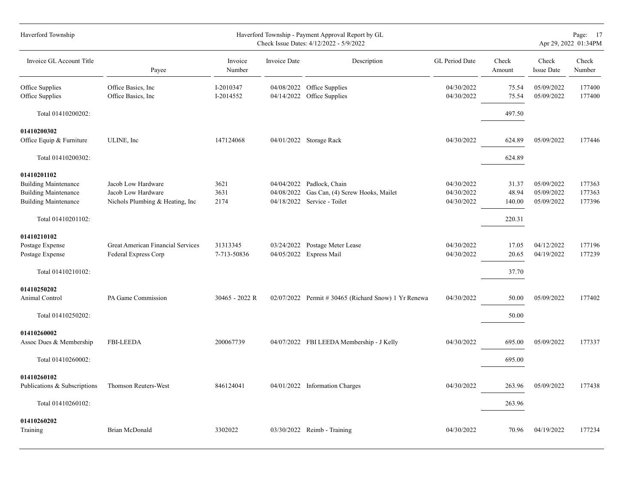| Haverford Township                                                                                       |                                                                              |                         |                     | Haverford Township - Payment Approval Report by GL<br>Check Issue Dates: 4/12/2022 - 5/9/2022 |                                        |                          |                                        | Page: 17<br>Apr 29, 2022 01:34PM |
|----------------------------------------------------------------------------------------------------------|------------------------------------------------------------------------------|-------------------------|---------------------|-----------------------------------------------------------------------------------------------|----------------------------------------|--------------------------|----------------------------------------|----------------------------------|
| Invoice GL Account Title                                                                                 | Payee                                                                        | Invoice<br>Number       | <b>Invoice Date</b> | Description                                                                                   | GL Period Date                         | Check<br>Amount          | Check<br><b>Issue Date</b>             | Check<br>Number                  |
| Office Supplies<br>Office Supplies                                                                       | Office Basics, Inc.<br>Office Basics, Inc.                                   | I-2010347<br>I-2014552  | 04/14/2022          | 04/08/2022 Office Supplies<br>Office Supplies                                                 | 04/30/2022<br>04/30/2022               | 75.54<br>75.54           | 05/09/2022<br>05/09/2022               | 177400<br>177400                 |
| Total 01410200202:                                                                                       |                                                                              |                         |                     |                                                                                               |                                        | 497.50                   |                                        |                                  |
| 01410200302<br>Office Equip & Furniture                                                                  | ULINE, Inc                                                                   | 147124068               |                     | 04/01/2022 Storage Rack                                                                       | 04/30/2022                             | 624.89                   | 05/09/2022                             | 177446                           |
| Total 01410200302:                                                                                       |                                                                              |                         |                     |                                                                                               |                                        | 624.89                   |                                        |                                  |
| 01410201102<br><b>Building Maintenance</b><br><b>Building Maintenance</b><br><b>Building Maintenance</b> | Jacob Low Hardware<br>Jacob Low Hardware<br>Nichols Plumbing & Heating, Inc. | 3621<br>3631<br>2174    | 04/08/2022          | 04/04/2022 Padlock, Chain<br>Gas Can, (4) Screw Hooks, Mailet<br>04/18/2022 Service - Toilet  | 04/30/2022<br>04/30/2022<br>04/30/2022 | 31.37<br>48.94<br>140.00 | 05/09/2022<br>05/09/2022<br>05/09/2022 | 177363<br>177363<br>177396       |
| Total 01410201102:                                                                                       |                                                                              |                         |                     |                                                                                               |                                        | 220.31                   |                                        |                                  |
| 01410210102<br>Postage Expense<br>Postage Expense                                                        | Great American Financial Services<br>Federal Express Corp                    | 31313345<br>7-713-50836 |                     | 03/24/2022 Postage Meter Lease<br>04/05/2022 Express Mail                                     | 04/30/2022<br>04/30/2022               | 17.05<br>20.65           | 04/12/2022<br>04/19/2022               | 177196<br>177239                 |
| Total 01410210102:<br>01410250202<br>Animal Control<br>Total 01410250202:                                | PA Game Commission                                                           | 30465 - 2022 R          |                     | $02/07/2022$ Permit # 30465 (Richard Snow) 1 Yr Renewa                                        | 04/30/2022                             | 37.70<br>50.00<br>50.00  | 05/09/2022                             | 177402                           |
| 01410260002<br>Assoc Dues & Membership                                                                   | <b>FBI-LEEDA</b>                                                             | 200067739               |                     | 04/07/2022 FBI LEEDA Membership - J Kelly                                                     | 04/30/2022                             | 695.00                   | 05/09/2022                             | 177337                           |
| Total 01410260002:                                                                                       |                                                                              |                         |                     |                                                                                               |                                        | 695.00                   |                                        |                                  |
| 01410260102<br>Publications & Subscriptions                                                              | Thomson Reuters-West                                                         | 846124041               |                     | 04/01/2022 Information Charges                                                                | 04/30/2022                             | 263.96                   | 05/09/2022                             | 177438                           |
| Total 01410260102:                                                                                       |                                                                              |                         |                     |                                                                                               |                                        | 263.96                   |                                        |                                  |
| 01410260202<br>Training                                                                                  | Brian McDonald                                                               | 3302022                 |                     | $03/30/2022$ Reimb - Training                                                                 | 04/30/2022                             | 70.96                    | 04/19/2022                             | 177234                           |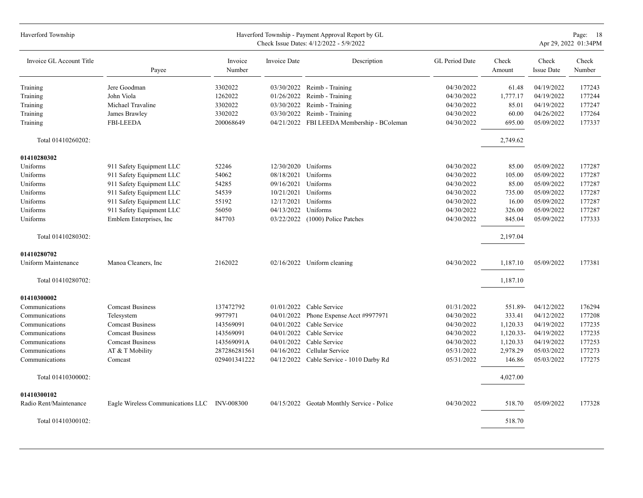| Haverford Township       |                                              |                   |              | Haverford Township - Payment Approval Report by GL<br>Check Issue Dates: 4/12/2022 - 5/9/2022 |                |                 |                            | Page: 18<br>Apr 29, 2022 01:34PM |
|--------------------------|----------------------------------------------|-------------------|--------------|-----------------------------------------------------------------------------------------------|----------------|-----------------|----------------------------|----------------------------------|
| Invoice GL Account Title | Payee                                        | Invoice<br>Number | Invoice Date | Description                                                                                   | GL Period Date | Check<br>Amount | Check<br><b>Issue Date</b> | Check<br>Number                  |
| Training                 | Jere Goodman                                 | 3302022           |              | $03/30/2022$ Reimb - Training                                                                 | 04/30/2022     | 61.48           | 04/19/2022                 | 177243                           |
| Training                 | John Viola                                   | 1262022           | 01/26/2022   | Reimb - Training                                                                              | 04/30/2022     | 1,777.17        | 04/19/2022                 | 177244                           |
| Training                 | Michael Travaline                            | 3302022           |              | 03/30/2022 Reimb - Training                                                                   | 04/30/2022     | 85.01           | 04/19/2022                 | 177247                           |
| Training                 | James Brawley                                | 3302022           | 03/30/2022   | Reimb - Training                                                                              | 04/30/2022     | 60.00           | 04/26/2022                 | 177264                           |
| Training                 | <b>FBI-LEEDA</b>                             | 200068649         |              | 04/21/2022 FBI LEEDA Membership - BColeman                                                    | 04/30/2022     | 695.00          | 05/09/2022                 | 177337                           |
| Total 01410260202:       |                                              |                   |              |                                                                                               |                | 2,749.62        |                            |                                  |
| 01410280302              |                                              |                   |              |                                                                                               |                |                 |                            |                                  |
| Uniforms                 | 911 Safety Equipment LLC                     | 52246             | 12/30/2020   | Uniforms                                                                                      | 04/30/2022     | 85.00           | 05/09/2022                 | 177287                           |
| Uniforms                 | 911 Safety Equipment LLC                     | 54062             | 08/18/2021   | Uniforms                                                                                      | 04/30/2022     | 105.00          | 05/09/2022                 | 177287                           |
| Uniforms                 | 911 Safety Equipment LLC                     | 54285             | 09/16/2021   | Uniforms                                                                                      | 04/30/2022     | 85.00           | 05/09/2022                 | 177287                           |
| Uniforms                 | 911 Safety Equipment LLC                     | 54539             | 10/21/2021   | Uniforms                                                                                      | 04/30/2022     | 735.00          | 05/09/2022                 | 177287                           |
| Uniforms                 | 911 Safety Equipment LLC                     | 55192             | 12/17/2021   | Uniforms                                                                                      | 04/30/2022     | 16.00           | 05/09/2022                 | 177287                           |
| Uniforms                 | 911 Safety Equipment LLC                     | 56050             | 04/13/2022   | Uniforms                                                                                      | 04/30/2022     | 326.00          | 05/09/2022                 | 177287                           |
| Uniforms                 | Emblem Enterprises, Inc.                     | 847703            | 03/22/2022   | (1000) Police Patches                                                                         | 04/30/2022     | 845.04          | 05/09/2022                 | 177333                           |
| Total 01410280302:       |                                              |                   |              |                                                                                               |                | 2,197.04        |                            |                                  |
| 01410280702              |                                              |                   |              |                                                                                               |                |                 |                            |                                  |
| Uniform Maintenance      | Manoa Cleaners, Inc                          | 2162022           |              | 02/16/2022 Uniform cleaning                                                                   | 04/30/2022     | 1,187.10        | 05/09/2022                 | 177381                           |
| Total 01410280702:       |                                              |                   |              |                                                                                               |                | 1,187.10        |                            |                                  |
| 01410300002              |                                              |                   |              |                                                                                               |                |                 |                            |                                  |
| Communications           | <b>Comcast Business</b>                      | 137472792         |              | $01/01/2022$ Cable Service                                                                    | 01/31/2022     | 551.89-         | 04/12/2022                 | 176294                           |
| Communications           | Telesystem                                   | 9977971           | 04/01/2022   | Phone Expense Acct #9977971                                                                   | 04/30/2022     | 333.41          | 04/12/2022                 | 177208                           |
| Communications           | <b>Comcast Business</b>                      | 143569091         | 04/01/2022   | Cable Service                                                                                 | 04/30/2022     | 1,120.33        | 04/19/2022                 | 177235                           |
| Communications           | <b>Comcast Business</b>                      | 143569091         | 04/01/2022   | Cable Service                                                                                 | 04/30/2022     | 1,120.33-       | 04/19/2022                 | 177235                           |
| Communications           | <b>Comcast Business</b>                      | 143569091A        | 04/01/2022   | Cable Service                                                                                 | 04/30/2022     | 1,120.33        | 04/19/2022                 | 177253                           |
| Communications           | AT & T Mobility                              | 287286281561      | 04/16/2022   | Cellular Service                                                                              | 05/31/2022     | 2,978.29        | 05/03/2022                 | 177273                           |
| Communications           | Comcast                                      | 029401341222      |              | 04/12/2022 Cable Service - 1010 Darby Rd                                                      | 05/31/2022     | 146.86          | 05/03/2022                 | 177275                           |
| Total 01410300002:       |                                              |                   |              |                                                                                               |                | 4,027.00        |                            |                                  |
| 01410300102              |                                              |                   |              |                                                                                               |                |                 |                            |                                  |
| Radio Rent/Maintenance   | Eagle Wireless Communications LLC INV-008300 |                   | 04/15/2022   | Geotab Monthly Service - Police                                                               | 04/30/2022     | 518.70          | 05/09/2022                 | 177328                           |
| Total 01410300102:       |                                              |                   |              |                                                                                               |                | 518.70          |                            |                                  |
|                          |                                              |                   |              |                                                                                               |                |                 |                            |                                  |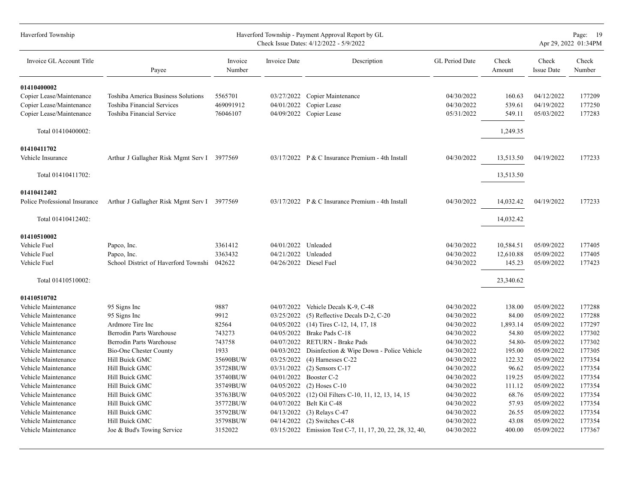| Haverford Township            |                                             |                   |              | Haverford Township - Payment Approval Report by GL<br>Check Issue Dates: 4/12/2022 - 5/9/2022 |                |                 |                            | Page: 19<br>Apr 29, 2022 01:34PM |
|-------------------------------|---------------------------------------------|-------------------|--------------|-----------------------------------------------------------------------------------------------|----------------|-----------------|----------------------------|----------------------------------|
| Invoice GL Account Title      | Payee                                       | Invoice<br>Number | Invoice Date | Description                                                                                   | GL Period Date | Check<br>Amount | Check<br><b>Issue Date</b> | Check<br>Number                  |
| 01410400002                   |                                             |                   |              |                                                                                               |                |                 |                            |                                  |
| Copier Lease/Maintenance      | Toshiba America Business Solutions          | 5565701           | 03/27/2022   | Copier Maintenance                                                                            | 04/30/2022     | 160.63          | 04/12/2022                 | 177209                           |
| Copier Lease/Maintenance      | Toshiba Financial Services                  | 469091912         | 04/01/2022   | Copier Lease                                                                                  | 04/30/2022     | 539.61          | 04/19/2022                 | 177250                           |
| Copier Lease/Maintenance      | Toshiba Financial Service                   | 76046107          | 04/09/2022   | Copier Lease                                                                                  | 05/31/2022     | 549.11          | 05/03/2022                 | 177283                           |
| Total 01410400002:            |                                             |                   |              |                                                                                               |                | 1,249.35        |                            |                                  |
| 01410411702                   |                                             |                   |              |                                                                                               |                |                 |                            |                                  |
| Vehicle Insurance             | Arthur J Gallagher Risk Mgmt Serv I 3977569 |                   |              | $03/17/2022$ P & C Insurance Premium - 4th Install                                            | 04/30/2022     | 13,513.50       | 04/19/2022                 | 177233                           |
|                               |                                             |                   |              |                                                                                               |                |                 |                            |                                  |
| Total 01410411702:            |                                             |                   |              |                                                                                               |                | 13,513.50       |                            |                                  |
| 01410412402                   |                                             |                   |              |                                                                                               |                |                 |                            |                                  |
| Police Professional Insurance | Arthur J Gallagher Risk Mgmt Serv I 3977569 |                   |              | $03/17/2022$ P & C Insurance Premium - 4th Install                                            | 04/30/2022     | 14,032.42       | 04/19/2022                 | 177233                           |
| Total 01410412402:            |                                             |                   |              |                                                                                               |                | 14,032.42       |                            |                                  |
|                               |                                             |                   |              |                                                                                               |                |                 |                            |                                  |
| 01410510002                   |                                             |                   |              |                                                                                               |                |                 |                            |                                  |
| Vehicle Fuel                  | Papco, Inc.                                 | 3361412           | 04/01/2022   | Unleaded                                                                                      | 04/30/2022     | 10,584.51       | 05/09/2022                 | 177405                           |
| Vehicle Fuel                  | Papco, Inc.                                 | 3363432           | 04/21/2022   | Unleaded                                                                                      | 04/30/2022     | 12,610.88       | 05/09/2022                 | 177405                           |
| Vehicle Fuel                  | School District of Haverford Townshi        | 042622            |              | 04/26/2022 Diesel Fuel                                                                        | 04/30/2022     | 145.23          | 05/09/2022                 | 177423                           |
| Total 01410510002:            |                                             |                   |              |                                                                                               |                | 23,340.62       |                            |                                  |
| 01410510702                   |                                             |                   |              |                                                                                               |                |                 |                            |                                  |
| Vehicle Maintenance           | 95 Signs Inc                                | 9887              | 04/07/2022   | Vehicle Decals K-9, C-48                                                                      | 04/30/2022     | 138.00          | 05/09/2022                 | 177288                           |
| Vehicle Maintenance           | 95 Signs Inc                                | 9912              | 03/25/2022   | (5) Reflective Decals D-2, C-20                                                               | 04/30/2022     | 84.00           | 05/09/2022                 | 177288                           |
| Vehicle Maintenance           | Ardmore Tire Inc                            | 82564             | 04/05/2022   | $(14)$ Tires C-12, 14, 17, 18                                                                 | 04/30/2022     | 1,893.14        | 05/09/2022                 | 177297                           |
| Vehicle Maintenance           | Berrodin Parts Warehouse                    | 743273            | 04/05/2022   | Brake Pads C-18                                                                               | 04/30/2022     | 54.80           | 05/09/2022                 | 177302                           |
| Vehicle Maintenance           | Berrodin Parts Warehouse                    | 743758            | 04/07/2022   | <b>RETURN - Brake Pads</b>                                                                    | 04/30/2022     | 54.80-          | 05/09/2022                 | 177302                           |
| Vehicle Maintenance           | <b>Bio-One Chester County</b>               | 1933              | 04/03/2022   | Disinfection & Wipe Down - Police Vehicle                                                     | 04/30/2022     | 195.00          | 05/09/2022                 | 177305                           |
| Vehicle Maintenance           | Hill Buick GMC                              | 35690BUW          | 03/25/2022   | $(4)$ Harnesses C-22                                                                          | 04/30/2022     | 122.32          | 05/09/2022                 | 177354                           |
| Vehicle Maintenance           | Hill Buick GMC                              | 35728BUW          | 03/31/2022   | $(2)$ Sensors C-17                                                                            | 04/30/2022     | 96.62           | 05/09/2022                 | 177354                           |
| Vehicle Maintenance           | Hill Buick GMC                              | 35740BUW          | 04/01/2022   | Booster C-2                                                                                   | 04/30/2022     | 119.25          | 05/09/2022                 | 177354                           |
| Vehicle Maintenance           | Hill Buick GMC                              | 35749BUW          | 04/05/2022   | $(2)$ Hoses C-10                                                                              | 04/30/2022     | 111.12          | 05/09/2022                 | 177354                           |
| Vehicle Maintenance           | Hill Buick GMC                              | 35763BUW          | 04/05/2022   | (12) Oil Filters C-10, 11, 12, 13, 14, 15                                                     | 04/30/2022     | 68.76           | 05/09/2022                 | 177354                           |
| Vehicle Maintenance           | Hill Buick GMC                              | 35772BUW          |              | 04/07/2022 Belt Kit C-48                                                                      | 04/30/2022     | 57.93           | 05/09/2022                 | 177354                           |
| Vehicle Maintenance           | Hill Buick GMC                              | 35792BUW          | 04/13/2022   | $(3)$ Relays C-47                                                                             | 04/30/2022     | 26.55           | 05/09/2022                 | 177354                           |
| Vehicle Maintenance           | Hill Buick GMC                              | 35798BUW          | 04/14/2022   | (2) Switches C-48                                                                             | 04/30/2022     | 43.08           | 05/09/2022                 | 177354                           |
| Vehicle Maintenance           | Joe & Bud's Towing Service                  | 3152022           |              | 03/15/2022 Emission Test C-7, 11, 17, 20, 22, 28, 32, 40,                                     | 04/30/2022     | 400.00          | 05/09/2022                 | 177367                           |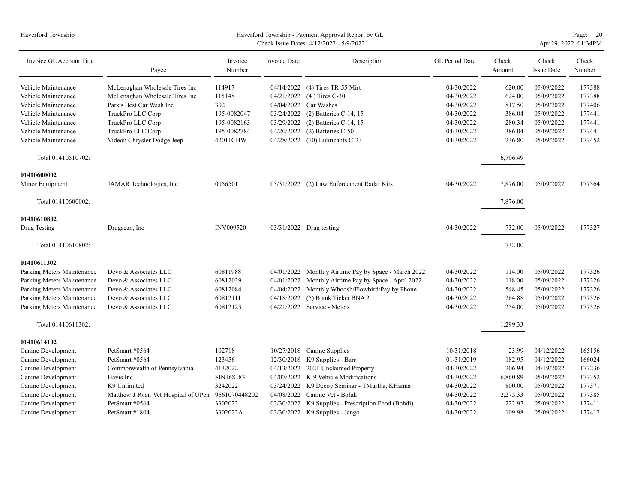| Haverford Township         |                                                   |                   |              | Haverford Township - Payment Approval Report by GL<br>Check Issue Dates: 4/12/2022 - 5/9/2022 |                |                 |                            | Page: 20<br>Apr 29, 2022 01:34PM |
|----------------------------|---------------------------------------------------|-------------------|--------------|-----------------------------------------------------------------------------------------------|----------------|-----------------|----------------------------|----------------------------------|
| Invoice GL Account Title   | Payee                                             | Invoice<br>Number | Invoice Date | Description                                                                                   | GL Period Date | Check<br>Amount | Check<br><b>Issue Date</b> | Check<br>Number                  |
| Vehicle Maintenance        | McLenaghan Wholesale Tires Inc                    | 114917            | 04/14/2022   | $(4)$ Tires TR-55 Mirt                                                                        | 04/30/2022     | 620.00          | 05/09/2022                 | 177388                           |
| Vehicle Maintenance        | McLenaghan Wholesale Tires Inc                    | 115148            | 04/21/2022   | $(4)$ Tires C-30                                                                              | 04/30/2022     | 624.00          | 05/09/2022                 | 177388                           |
| Vehicle Maintenance        | Park's Best Car Wash Inc                          | 302               | 04/04/2022   | Car Washes                                                                                    | 04/30/2022     | 817.50          | 05/09/2022                 | 177406                           |
| Vehicle Maintenance        | TruckPro LLC Corp                                 | 195-0082047       | 03/24/2022   | $(2)$ Batteries C-14, 15                                                                      | 04/30/2022     | 386.04          | 05/09/2022                 | 177441                           |
| Vehicle Maintenance        | TruckPro LLC Corp                                 | 195-0082163       | 03/29/2022   | $(2)$ Batteries C-14, 15                                                                      | 04/30/2022     | 280.34          | 05/09/2022                 | 177441                           |
| Vehicle Maintenance        | TruckPro LLC Corp                                 | 195-0082784       | 04/20/2022   | (2) Batteries C-50                                                                            | 04/30/2022     | 386.04          | 05/09/2022                 | 177441                           |
| Vehicle Maintenance        | Videon Chrysler Dodge Jeep                        | 42011CHW          | 04/28/2022   | $(10)$ Lubricants C-23                                                                        | 04/30/2022     | 236.80          | 05/09/2022                 | 177452                           |
| Total 01410510702:         |                                                   |                   |              |                                                                                               |                | 6,706.49        |                            |                                  |
| 01410600002                |                                                   |                   |              |                                                                                               |                |                 |                            |                                  |
| Minor Equipment            | JAMAR Technologies, Inc.                          | 0056501           | 03/31/2022   | (2) Law Enforcement Radar Kits                                                                | 04/30/2022     | 7,876.00        | 05/09/2022                 | 177364                           |
| Total 01410600002:         |                                                   |                   |              |                                                                                               |                | 7,876.00        |                            |                                  |
| 01410610802                |                                                   |                   |              |                                                                                               |                |                 |                            |                                  |
| Drug Testing               | Drugscan, Inc                                     | <b>INV009520</b>  |              | 03/31/2022 Drug testing                                                                       | 04/30/2022     | 732.00          | 05/09/2022                 | 177327                           |
| Total 01410610802:         |                                                   |                   |              |                                                                                               |                | 732.00          |                            |                                  |
| 01410611302                |                                                   |                   |              |                                                                                               |                |                 |                            |                                  |
| Parking Meters Maintenance | Devo & Associates LLC                             | 60811988          | 04/01/2022   | Monthly Airtime Pay by Space - March 2022                                                     | 04/30/2022     | 114.00          | 05/09/2022                 | 177326                           |
| Parking Meters Maintenance | Devo & Associates LLC                             | 60812039          | 04/01/2022   | Monthly Airtime Pay by Space - April 2022                                                     | 04/30/2022     | 118.00          | 05/09/2022                 | 177326                           |
| Parking Meters Maintenance | Devo & Associates LLC                             | 60812084          | 04/04/2022   | Monthly Whoosh/Flowbird/Pay by Phone                                                          | 04/30/2022     | 548.45          | 05/09/2022                 | 177326                           |
| Parking Meters Maintenance | Devo & Associates LLC                             | 60812111          | 04/18/2022   | (5) Blank Ticket BNA 2                                                                        | 04/30/2022     | 264.88          | 05/09/2022                 | 177326                           |
| Parking Meters Maintenance | Devo & Associates LLC                             | 60812123          | 04/21/2022   | Service - Meters                                                                              | 04/30/2022     | 254.00          | 05/09/2022                 | 177326                           |
| Total 01410611302:         |                                                   |                   |              |                                                                                               |                | 1,299.33        |                            |                                  |
| 01410614102                |                                                   |                   |              |                                                                                               |                |                 |                            |                                  |
| Canine Development         | PetSmart #0564                                    | 102718            | 10/27/2018   | Canine Supplies                                                                               | 10/31/2018     | 23.99-          | 04/12/2022                 | 165156                           |
| Canine Development         | PetSmart #0564                                    | 123456            | 12/30/2018   | K9 Supplies - Barr                                                                            | 01/31/2019     | 182.95-         | 04/12/2022                 | 166024                           |
| Canine Development         | Commonwealth of Pennsylvania                      | 4132022           | 04/13/2022   | 2021 Unclaimed Property                                                                       | 04/30/2022     | 206.94          | 04/19/2022                 | 177236                           |
| Canine Development         | Havis Inc                                         | SIN168183         | 04/07/2022   | K-9 Vehicle Modifications                                                                     | 04/30/2022     | 6,860.89        | 05/09/2022                 | 177352                           |
| Canine Development         | K9 Unlimited                                      | 3242022           | 03/24/2022   | K9 Decoy Seminar - TMurtha, KHanna                                                            | 04/30/2022     | 800.00          | 05/09/2022                 | 177371                           |
| Canine Development         | Matthew J Ryan Vet Hospital of UPen 9661070448202 |                   | 04/08/2022   | Canine Vet - Bohdi                                                                            | 04/30/2022     | 2,275.33        | 05/09/2022                 | 177385                           |
| Canine Development         | PetSmart #0564                                    | 3302022           | 03/30/2022   | K9 Supplies - Prescription Food (Bohdi)                                                       | 04/30/2022     | 222.97          | 05/09/2022                 | 177411                           |
| Canine Development         | PetSmart #1804                                    | 3302022A          | 03/30/2022   | K9 Supplies - Jango                                                                           | 04/30/2022     | 109.98          | 05/09/2022                 | 177412                           |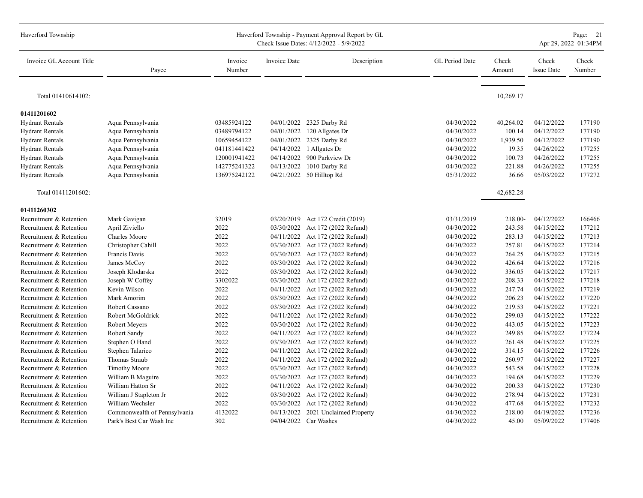| Haverford Township       |                              |                   |                     | Haverford Township - Payment Approval Report by GL<br>Check Issue Dates: 4/12/2022 - 5/9/2022 |                |                 |                            | Page: 21<br>Apr 29, 2022 01:34PM |
|--------------------------|------------------------------|-------------------|---------------------|-----------------------------------------------------------------------------------------------|----------------|-----------------|----------------------------|----------------------------------|
| Invoice GL Account Title | Payee                        | Invoice<br>Number | <b>Invoice Date</b> | Description                                                                                   | GL Period Date | Check<br>Amount | Check<br><b>Issue Date</b> | Check<br>Number                  |
| Total 01410614102:       |                              |                   |                     |                                                                                               |                | 10,269.17       |                            |                                  |
| 01411201602              |                              |                   |                     |                                                                                               |                |                 |                            |                                  |
| <b>Hydrant Rentals</b>   | Aqua Pennsylvania            | 03485924122       |                     | 04/01/2022 2325 Darby Rd                                                                      | 04/30/2022     | 40,264.02       | 04/12/2022                 | 177190                           |
| <b>Hydrant Rentals</b>   | Aqua Pennsylvania            | 03489794122       | 04/01/2022          | 120 Allgates Dr                                                                               | 04/30/2022     | 100.14          | 04/12/2022                 | 177190                           |
| <b>Hydrant Rentals</b>   | Aqua Pennsylvania            | 10659454122       |                     | 04/01/2022 2325 Darby Rd                                                                      | 04/30/2022     | 1,939.50        | 04/12/2022                 | 177190                           |
| <b>Hydrant Rentals</b>   | Aqua Pennsylvania            | 041181441422      | 04/14/2022          | 1 Allgates Dr                                                                                 | 04/30/2022     | 19.35           | 04/26/2022                 | 177255                           |
| <b>Hydrant Rentals</b>   | Aqua Pennsylvania            | 120001941422      | 04/14/2022          | 900 Parkview Dr                                                                               | 04/30/2022     | 100.73          | 04/26/2022                 | 177255                           |
| <b>Hydrant Rentals</b>   | Aqua Pennsylvania            | 142775241322      | 04/13/2022          | 1010 Darby Rd                                                                                 | 04/30/2022     | 221.88          | 04/26/2022                 | 177255                           |
| <b>Hydrant Rentals</b>   | Aqua Pennsylvania            | 136975242122      |                     | 04/21/2022 50 Hilltop Rd                                                                      | 05/31/2022     | 36.66           | 05/03/2022                 | 177272                           |
| Total 01411201602:       |                              |                   |                     |                                                                                               |                | 42,682.28       |                            |                                  |
| 01411260302              |                              |                   |                     |                                                                                               |                |                 |                            |                                  |
| Recruitment & Retention  | Mark Gavigan                 | 32019             |                     | 03/20/2019 Act 172 Credit (2019)                                                              | 03/31/2019     | 218.00-         | 04/12/2022                 | 166466                           |
| Recruitment & Retention  | April Ziviello               | 2022              |                     | 03/30/2022 Act 172 (2022 Refund)                                                              | 04/30/2022     | 243.58          | 04/15/2022                 | 177212                           |
| Recruitment & Retention  | Charles Moore                | 2022              |                     | 04/11/2022 Act 172 (2022 Refund)                                                              | 04/30/2022     | 283.13          | 04/15/2022                 | 177213                           |
| Recruitment & Retention  | Christopher Cahill           | 2022              |                     | 03/30/2022 Act 172 (2022 Refund)                                                              | 04/30/2022     | 257.81          | 04/15/2022                 | 177214                           |
| Recruitment & Retention  | Francis Davis                | 2022              | 03/30/2022          | Act 172 (2022 Refund)                                                                         | 04/30/2022     | 264.25          | 04/15/2022                 | 177215                           |
| Recruitment & Retention  | James McCoy                  | 2022              | 03/30/2022          | Act 172 (2022 Refund)                                                                         | 04/30/2022     | 426.64          | 04/15/2022                 | 177216                           |
| Recruitment & Retention  | Joseph Klodarska             | 2022              |                     | 03/30/2022 Act 172 (2022 Refund)                                                              | 04/30/2022     | 336.05          | 04/15/2022                 | 177217                           |
| Recruitment & Retention  | Joseph W Coffey              | 3302022           |                     | 03/30/2022 Act 172 (2022 Refund)                                                              | 04/30/2022     | 208.33          | 04/15/2022                 | 177218                           |
| Recruitment & Retention  | Kevin Wilson                 | 2022              |                     | 04/11/2022 Act 172 (2022 Refund)                                                              | 04/30/2022     | 247.74          | 04/15/2022                 | 177219                           |
| Recruitment & Retention  | Mark Amorim                  | 2022              |                     | 03/30/2022 Act 172 (2022 Refund)                                                              | 04/30/2022     | 206.23          | 04/15/2022                 | 177220                           |
| Recruitment & Retention  | Robert Cassano               | 2022              | 03/30/2022          | Act 172 (2022 Refund)                                                                         | 04/30/2022     | 219.53          | 04/15/2022                 | 177221                           |
| Recruitment & Retention  | Robert McGoldrick            | 2022              | 04/11/2022          | Act 172 (2022 Refund)                                                                         | 04/30/2022     | 299.03          | 04/15/2022                 | 177222                           |
| Recruitment & Retention  | Robert Meyers                | 2022              |                     | 03/30/2022 Act 172 (2022 Refund)                                                              | 04/30/2022     | 443.05          | 04/15/2022                 | 177223                           |
| Recruitment & Retention  | Robert Sandy                 | 2022              | 04/11/2022          | Act 172 (2022 Refund)                                                                         | 04/30/2022     | 249.85          | 04/15/2022                 | 177224                           |
| Recruitment & Retention  | Stephen O Hand               | 2022              | 03/30/2022          | Act 172 (2022 Refund)                                                                         | 04/30/2022     | 261.48          | 04/15/2022                 | 177225                           |
| Recruitment & Retention  | Stephen Talarico             | 2022              | 04/11/2022          | Act 172 (2022 Refund)                                                                         | 04/30/2022     | 314.15          | 04/15/2022                 | 177226                           |
| Recruitment & Retention  | Thomas Straub                | 2022              | 04/11/2022          | Act 172 (2022 Refund)                                                                         | 04/30/2022     | 260.97          | 04/15/2022                 | 177227                           |
| Recruitment & Retention  | <b>Timothy Moore</b>         | 2022              |                     | 03/30/2022 Act 172 (2022 Refund)                                                              | 04/30/2022     | 543.58          | 04/15/2022                 | 177228                           |
| Recruitment & Retention  | William B Maguire            | 2022              | 03/30/2022          | Act 172 (2022 Refund)                                                                         | 04/30/2022     | 194.68          | 04/15/2022                 | 177229                           |
| Recruitment & Retention  | William Hatton Sr            | 2022              | 04/11/2022          | Act 172 (2022 Refund)                                                                         | 04/30/2022     | 200.33          | 04/15/2022                 | 177230                           |
| Recruitment & Retention  | William J Stapleton Jr       | 2022              |                     | 03/30/2022 Act 172 (2022 Refund)                                                              | 04/30/2022     | 278.94          | 04/15/2022                 | 177231                           |
| Recruitment & Retention  | William Wechsler             | 2022              | 03/30/2022          | Act 172 (2022 Refund)                                                                         | 04/30/2022     | 477.68          | 04/15/2022                 | 177232                           |
| Recruitment & Retention  | Commonwealth of Pennsylvania | 4132022           | 04/13/2022          | 2021 Unclaimed Property                                                                       | 04/30/2022     | 218.00          | 04/19/2022                 | 177236                           |
| Recruitment & Retention  | Park's Best Car Wash Inc     | 302               |                     | 04/04/2022 Car Washes                                                                         | 04/30/2022     | 45.00           | 05/09/2022                 | 177406                           |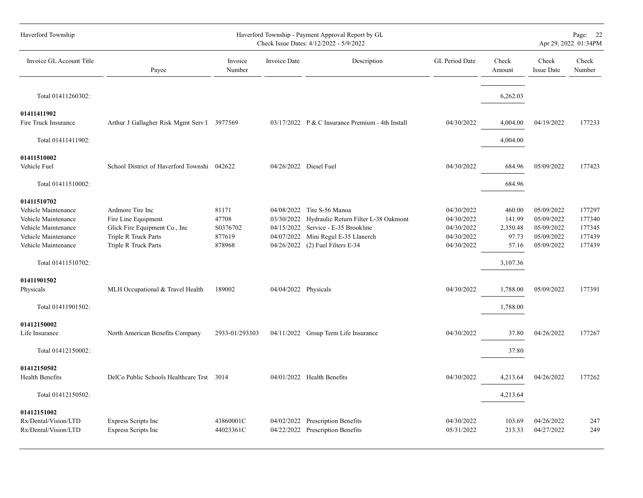| Haverford Township                                                                                                                                   | Haverford Township - Payment Approval Report by GL<br>Check Issue Dates: 4/12/2022 - 5/9/2022                            |                                                |                                                      |                                                                                                                                                     |                                                                    | Page: 22<br>Apr 29, 2022 01:34PM                           |                                                                    |                                                |
|------------------------------------------------------------------------------------------------------------------------------------------------------|--------------------------------------------------------------------------------------------------------------------------|------------------------------------------------|------------------------------------------------------|-----------------------------------------------------------------------------------------------------------------------------------------------------|--------------------------------------------------------------------|------------------------------------------------------------|--------------------------------------------------------------------|------------------------------------------------|
| Invoice GL Account Title                                                                                                                             | Payee                                                                                                                    | Invoice<br>Number                              | Invoice Date                                         | Description                                                                                                                                         | GL Period Date                                                     | Check<br>Amount                                            | Check<br><b>Issue Date</b>                                         | Check<br>Number                                |
| Total 01411260302:                                                                                                                                   |                                                                                                                          |                                                |                                                      |                                                                                                                                                     |                                                                    | 6,262.03                                                   |                                                                    |                                                |
| 01411411902<br>Fire Truck Insurance                                                                                                                  | Arthur J Gallagher Risk Mgmt Serv I 3977569                                                                              |                                                |                                                      | 03/17/2022 P & C Insurance Premium - 4th Install                                                                                                    | 04/30/2022                                                         | 4,004.00                                                   | 04/19/2022                                                         | 177233                                         |
| Total 01411411902:                                                                                                                                   |                                                                                                                          |                                                |                                                      |                                                                                                                                                     |                                                                    | 4,004.00                                                   |                                                                    |                                                |
| 01411510002<br>Vehicle Fuel                                                                                                                          | School District of Haverford Townshi 042622                                                                              |                                                | 04/26/2022 Diesel Fuel                               |                                                                                                                                                     | 04/30/2022                                                         | 684.96                                                     | 05/09/2022                                                         | 177423                                         |
| Total 01411510002:                                                                                                                                   |                                                                                                                          |                                                |                                                      |                                                                                                                                                     |                                                                    | 684.96                                                     |                                                                    |                                                |
| 01411510702<br>Vehicle Maintenance<br>Vehicle Maintenance<br>Vehicle Maintenance<br>Vehicle Maintenance<br>Vehicle Maintenance<br>Total 01411510702: | Ardmore Tire Inc<br>Fire Line Equipment<br>Glick Fire Equipment Co., Inc<br>Triple R Truck Parts<br>Triple R Truck Parts | 81171<br>47708<br>S0376702<br>877619<br>878968 | 04/08/2022<br>03/30/2022<br>04/07/2022<br>04/26/2022 | Tire S-56 Manoa<br>Hydraulic Return Filter L-38 Oakmont<br>04/15/2022 Service - E-35 Brookline<br>Mini Regul E-35 Llanerch<br>(2) Fuel Filters E-34 | 04/30/2022<br>04/30/2022<br>04/30/2022<br>04/30/2022<br>04/30/2022 | 460.00<br>141.99<br>2,350.48<br>97.73<br>57.16<br>3,107.36 | 05/09/2022<br>05/09/2022<br>05/09/2022<br>05/09/2022<br>05/09/2022 | 177297<br>177340<br>177345<br>177439<br>177439 |
| 01411901502<br>Physicals<br>Total 01411901502:                                                                                                       | MLH Occupational & Travel Health                                                                                         | 189002                                         | 04/04/2022 Physicals                                 |                                                                                                                                                     | 04/30/2022                                                         | 1,788.00<br>1,788.00                                       | 05/09/2022                                                         | 177391                                         |
| 01412150002<br>Life Insurance<br>Total 01412150002:                                                                                                  | North American Benefits Company                                                                                          | 2933-01/293303                                 |                                                      | 04/11/2022 Group Term Life Insurance                                                                                                                | 04/30/2022                                                         | 37.80<br>37.80                                             | 04/26/2022                                                         | 177267                                         |
| 01412150502<br>Health Benefits<br>Total 01412150502:                                                                                                 | DelCo Public Schools Healthcare Trst 3014                                                                                |                                                |                                                      | 04/01/2022 Health Benefits                                                                                                                          | 04/30/2022                                                         | 4,213.64<br>4,213.64                                       | 04/26/2022                                                         | 177262                                         |
| 01412151002<br>Rx/Dental/Vision/LTD<br>Rx/Dental/Vision/LTD                                                                                          | Express Scripts Inc<br>Express Scripts Inc                                                                               | 43860001C<br>44023361C                         |                                                      | 04/02/2022 Prescription Benefits<br>04/22/2022 Prescription Benefits                                                                                | 04/30/2022<br>05/31/2022                                           | 103.69<br>213.33                                           | 04/26/2022<br>04/27/2022                                           | 247<br>249                                     |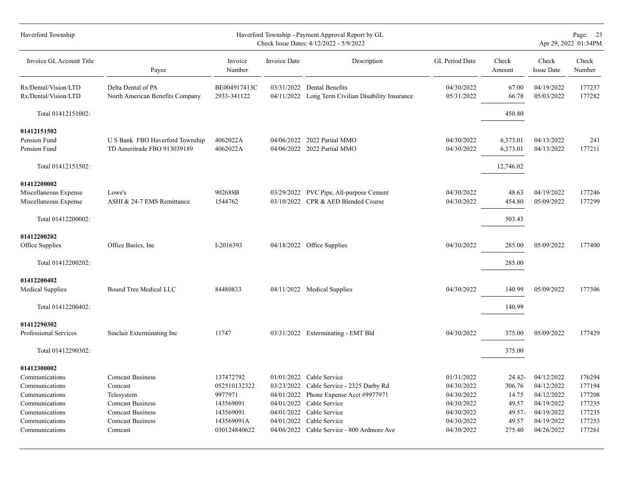| Haverford Township                                            |                                                                |                             |              | Haverford Township - Payment Approval Report by GL<br>Check Issue Dates: 4/12/2022 - 5/9/2022 |                          |                      |                            | Page: 23<br>Apr 29, 2022 01:34PM |
|---------------------------------------------------------------|----------------------------------------------------------------|-----------------------------|--------------|-----------------------------------------------------------------------------------------------|--------------------------|----------------------|----------------------------|----------------------------------|
| Invoice GL Account Title                                      | Payee                                                          | Invoice<br>Number           | Invoice Date | Description                                                                                   | GL Period Date           | Check<br>Amount      | Check<br><b>Issue Date</b> | Check<br>Number                  |
| Rx/Dental/Vision/LTD<br>Rx/Dental/Vision/LTD                  | Delta Dental of PA<br>North American Benefits Company          | BE004917413C<br>2933-341122 |              | 03/31/2022 Dental Benefits<br>04/11/2022 Long Term Civilian Disability Insurance              | 04/30/2022<br>05/31/2022 | 67.00<br>66.78       | 04/19/2022<br>05/03/2022   | 177237<br>177282                 |
| Total 01412151002:                                            |                                                                |                             |              |                                                                                               |                          | 450.80               |                            |                                  |
| 01412151502<br>Pension Fund<br>Pension Fund                   | U S Bank FBO Haverford Township<br>TD Ameritrade FBO 913039189 | 4062022A<br>4062022A        |              | 04/06/2022 2022 Partial MMO<br>04/06/2022 2022 Partial MMO                                    | 04/30/2022<br>04/30/2022 | 6,373.01<br>6,373.01 | 04/13/2022<br>04/13/2022   | 241<br>177211                    |
| Total 01412151502:                                            |                                                                |                             |              |                                                                                               |                          | 12,746.02            |                            |                                  |
| 01412200002<br>Miscellaneous Expense<br>Miscellaneous Expense | Lowe's<br>ASHI & 24-7 EMS Remittance                           | 902688B<br>1544762          |              | 03/29/2022 PVC Pipe, All-purpose Cement<br>03/10/2022 CPR & AED Blended Course                | 04/30/2022<br>04/30/2022 | 48.63<br>454.80      | 04/19/2022<br>05/09/2022   | 177246<br>177299                 |
| Total 01412200002:                                            |                                                                |                             |              |                                                                                               |                          | 503.43               |                            |                                  |
| 01412200202<br>Office Supplies                                | Office Basics, Inc.                                            | I-2016393                   |              | 04/18/2022 Office Supplies                                                                    | 04/30/2022               | 285.00               | 05/09/2022                 | 177400                           |
| Total 01412200202:                                            |                                                                |                             |              |                                                                                               |                          | 285.00               |                            |                                  |
| 01412200402<br><b>Medical Supplies</b>                        | Bound Tree Medical LLC                                         | 84480833                    |              | 04/11/2022 Medical Supplies                                                                   | 04/30/2022               | 140.99               | 05/09/2022                 | 177306                           |
| Total 01412200402:                                            |                                                                |                             |              |                                                                                               |                          | 140.99               |                            |                                  |
| 01412290302<br>Professional Services                          | Sinclair Exterminating Inc                                     | 11747                       |              | 03/31/2022 Exterminating - EMT Bld                                                            | 04/30/2022               | 375.00               | 05/09/2022                 | 177429                           |
| Total 01412290302:                                            |                                                                |                             |              |                                                                                               |                          | 375.00               |                            |                                  |
| 01412300002                                                   |                                                                |                             |              |                                                                                               |                          |                      |                            |                                  |
| Communications                                                | <b>Comcast Business</b>                                        | 137472792                   |              | $01/01/2022$ Cable Service                                                                    | 01/31/2022               | $24.42 -$            | 04/12/2022                 | 176294                           |
| Communications                                                | Comcast                                                        | 052510132322                |              | 03/23/2022 Cable Service - 2325 Darby Rd                                                      | 04/30/2022               | 306.76               | 04/12/2022                 | 177194                           |
| Communications                                                | Telesystem                                                     | 9977971                     |              | 04/01/2022 Phone Expense Acct #9977971                                                        | 04/30/2022               | 14.75                | 04/12/2022                 | 177208                           |
| Communications<br>Communications                              | <b>Comcast Business</b><br><b>Comcast Business</b>             | 143569091<br>143569091      |              | 04/01/2022 Cable Service<br>04/01/2022 Cable Service                                          | 04/30/2022<br>04/30/2022 | 49.57<br>$49.57 -$   | 04/19/2022<br>04/19/2022   | 177235<br>177235                 |
| Communications                                                | <b>Comcast Business</b>                                        | 143569091A                  | 04/01/2022   | Cable Service                                                                                 | 04/30/2022               | 49.57                | 04/19/2022                 | 177253                           |
| Communications                                                | Comcast                                                        | 030124840622                |              | 04/06/2022 Cable Service - 800 Ardmore Ave                                                    | 04/30/2022               | 275.40               | 04/26/2022                 | 177261                           |
|                                                               |                                                                |                             |              |                                                                                               |                          |                      |                            |                                  |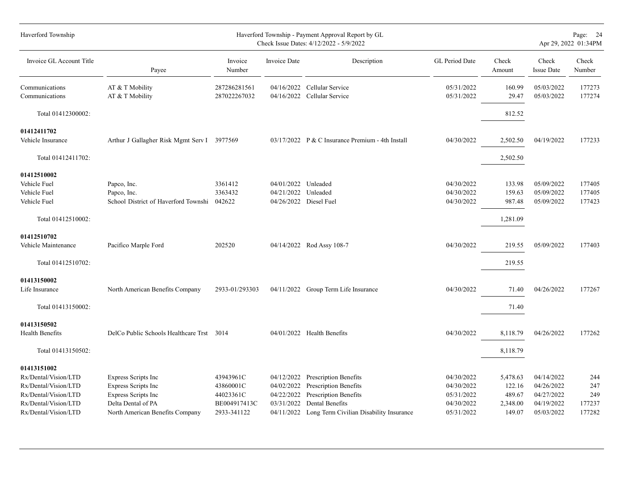| Haverford Township       |                                             |                   |                     | Haverford Township - Payment Approval Report by GL<br>Check Issue Dates: 4/12/2022 - 5/9/2022 |                |                 |                            | Page: 24<br>Apr 29, 2022 01:34PM |
|--------------------------|---------------------------------------------|-------------------|---------------------|-----------------------------------------------------------------------------------------------|----------------|-----------------|----------------------------|----------------------------------|
| Invoice GL Account Title | Payee                                       | Invoice<br>Number | Invoice Date        | Description                                                                                   | GL Period Date | Check<br>Amount | Check<br><b>Issue Date</b> | Check<br>Number                  |
| Communications           | AT & T Mobility                             | 287286281561      |                     | 04/16/2022 Cellular Service                                                                   | 05/31/2022     | 160.99          | 05/03/2022                 | 177273                           |
| Communications           | AT & T Mobility                             | 287022267032      |                     | 04/16/2022 Cellular Service                                                                   | 05/31/2022     | 29.47           | 05/03/2022                 | 177274                           |
| Total 01412300002:       |                                             |                   |                     |                                                                                               |                | 812.52          |                            |                                  |
| 01412411702              |                                             |                   |                     |                                                                                               |                |                 |                            |                                  |
| Vehicle Insurance        | Arthur J Gallagher Risk Mgmt Serv I 3977569 |                   |                     | $03/17/2022$ P & C Insurance Premium - 4th Install                                            | 04/30/2022     | 2,502.50        | 04/19/2022                 | 177233                           |
| Total 01412411702:       |                                             |                   |                     |                                                                                               |                | 2,502.50        |                            |                                  |
| 01412510002              |                                             |                   |                     |                                                                                               |                |                 |                            |                                  |
| Vehicle Fuel             | Papco, Inc.                                 | 3361412           | 04/01/2022 Unleaded |                                                                                               | 04/30/2022     | 133.98          | 05/09/2022                 | 177405                           |
| Vehicle Fuel             | Papco, Inc.                                 | 3363432           | 04/21/2022          | Unleaded                                                                                      | 04/30/2022     | 159.63          | 05/09/2022                 | 177405                           |
| Vehicle Fuel             | School District of Haverford Townshi 042622 |                   |                     | 04/26/2022 Diesel Fuel                                                                        | 04/30/2022     | 987.48          | 05/09/2022                 | 177423                           |
| Total 01412510002:       |                                             |                   |                     |                                                                                               |                | 1,281.09        |                            |                                  |
| 01412510702              |                                             |                   |                     |                                                                                               |                |                 |                            |                                  |
| Vehicle Maintenance      | Pacifico Marple Ford                        | 202520            |                     | 04/14/2022 Rod Assy 108-7                                                                     | 04/30/2022     | 219.55          | 05/09/2022                 | 177403                           |
| Total 01412510702:       |                                             |                   |                     |                                                                                               |                | 219.55          |                            |                                  |
| 01413150002              |                                             |                   |                     |                                                                                               |                |                 |                            |                                  |
| Life Insurance           | North American Benefits Company             | 2933-01/293303    |                     | 04/11/2022 Group Term Life Insurance                                                          | 04/30/2022     | 71.40           | 04/26/2022                 | 177267                           |
| Total 01413150002:       |                                             |                   |                     |                                                                                               |                | 71.40           |                            |                                  |
| 01413150502              |                                             |                   |                     |                                                                                               |                |                 |                            |                                  |
| <b>Health Benefits</b>   | DelCo Public Schools Healthcare Trst 3014   |                   |                     | 04/01/2022 Health Benefits                                                                    | 04/30/2022     | 8,118.79        | 04/26/2022                 | 177262                           |
| Total 01413150502:       |                                             |                   |                     |                                                                                               |                | 8,118.79        |                            |                                  |
| 01413151002              |                                             |                   |                     |                                                                                               |                |                 |                            |                                  |
| Rx/Dental/Vision/LTD     | Express Scripts Inc                         | 43943961C         | 04/12/2022          | <b>Prescription Benefits</b>                                                                  | 04/30/2022     | 5,478.63        | 04/14/2022                 | 244                              |
| Rx/Dental/Vision/LTD     | Express Scripts Inc                         | 43860001C         |                     | 04/02/2022 Prescription Benefits                                                              | 04/30/2022     | 122.16          | 04/26/2022                 | 247                              |
| Rx/Dental/Vision/LTD     | Express Scripts Inc                         | 44023361C         | 04/22/2022          | Prescription Benefits                                                                         | 05/31/2022     | 489.67          | 04/27/2022                 | 249                              |
| Rx/Dental/Vision/LTD     | Delta Dental of PA                          | BE004917413C      | 03/31/2022          | Dental Benefits                                                                               | 04/30/2022     | 2,348.00        | 04/19/2022                 | 177237                           |
| Rx/Dental/Vision/LTD     | North American Benefits Company             | 2933-341122       | 04/11/2022          | Long Term Civilian Disability Insurance                                                       | 05/31/2022     | 149.07          | 05/03/2022                 | 177282                           |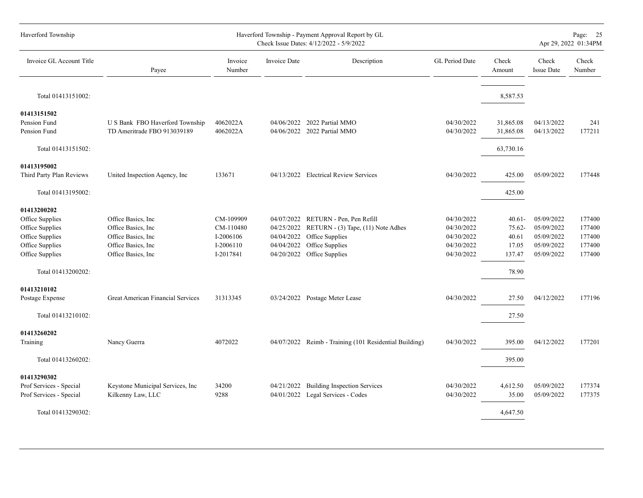| Haverford Township                                                                                                               |                                                                                                                 |                                                               | Page: 25<br>Apr 29, 2022 01:34PM                     |                                                                                                                                    |                                                                    |                                                          |                                                                    |                                                |
|----------------------------------------------------------------------------------------------------------------------------------|-----------------------------------------------------------------------------------------------------------------|---------------------------------------------------------------|------------------------------------------------------|------------------------------------------------------------------------------------------------------------------------------------|--------------------------------------------------------------------|----------------------------------------------------------|--------------------------------------------------------------------|------------------------------------------------|
| Invoice GL Account Title                                                                                                         | Payee                                                                                                           | Invoice<br>Number                                             | <b>Invoice Date</b>                                  | Description                                                                                                                        | GL Period Date                                                     | Check<br>Amount                                          | Check<br><b>Issue Date</b>                                         | Check<br>Number                                |
| Total 01413151002:                                                                                                               |                                                                                                                 |                                                               |                                                      |                                                                                                                                    |                                                                    | 8,587.53                                                 |                                                                    |                                                |
| 01413151502<br>Pension Fund<br>Pension Fund                                                                                      | U S Bank FBO Haverford Township<br>TD Ameritrade FBO 913039189                                                  | 4062022A<br>4062022A                                          |                                                      | 04/06/2022 2022 Partial MMO<br>04/06/2022 2022 Partial MMO                                                                         | 04/30/2022<br>04/30/2022                                           | 31,865.08<br>31,865.08                                   | 04/13/2022<br>04/13/2022                                           | 241<br>177211                                  |
| Total 01413151502:                                                                                                               |                                                                                                                 |                                                               |                                                      |                                                                                                                                    |                                                                    | 63,730.16                                                |                                                                    |                                                |
| 01413195002<br>Third Party Plan Reviews                                                                                          | United Inspection Agency, Inc.                                                                                  | 133671                                                        |                                                      | 04/13/2022 Electrical Review Services                                                                                              | 04/30/2022                                                         | 425.00                                                   | 05/09/2022                                                         | 177448                                         |
| Total 01413195002:                                                                                                               |                                                                                                                 |                                                               |                                                      |                                                                                                                                    |                                                                    | 425.00                                                   |                                                                    |                                                |
| 01413200202<br>Office Supplies<br>Office Supplies<br>Office Supplies<br>Office Supplies<br>Office Supplies<br>Total 01413200202: | Office Basics, Inc.<br>Office Basics, Inc.<br>Office Basics, Inc.<br>Office Basics, Inc.<br>Office Basics, Inc. | CM-109909<br>CM-110480<br>I-2006106<br>I-2006110<br>I-2017841 | 04/25/2022<br>04/04/2022<br>04/04/2022<br>04/20/2022 | 04/07/2022 RETURN - Pen, Pen Refill<br>RETURN - (3) Tape, (11) Note Adhes<br>Office Supplies<br>Office Supplies<br>Office Supplies | 04/30/2022<br>04/30/2022<br>04/30/2022<br>04/30/2022<br>04/30/2022 | $40.61 -$<br>75.62-<br>40.61<br>17.05<br>137.47<br>78.90 | 05/09/2022<br>05/09/2022<br>05/09/2022<br>05/09/2022<br>05/09/2022 | 177400<br>177400<br>177400<br>177400<br>177400 |
| 01413210102<br>Postage Expense                                                                                                   | <b>Great American Financial Services</b>                                                                        | 31313345                                                      |                                                      | 03/24/2022 Postage Meter Lease                                                                                                     | 04/30/2022                                                         | 27.50                                                    | 04/12/2022                                                         | 177196                                         |
| Total 01413210102:                                                                                                               |                                                                                                                 |                                                               |                                                      |                                                                                                                                    |                                                                    | 27.50                                                    |                                                                    |                                                |
| 01413260202<br>Training                                                                                                          | Nancy Guerra                                                                                                    | 4072022                                                       |                                                      | 04/07/2022 Reimb - Training (101 Residential Building)                                                                             | 04/30/2022                                                         | 395.00                                                   | 04/12/2022                                                         | 177201                                         |
| Total 01413260202:                                                                                                               |                                                                                                                 |                                                               |                                                      |                                                                                                                                    |                                                                    | 395.00                                                   |                                                                    |                                                |
| 01413290302<br>Prof Services - Special<br>Prof Services - Special                                                                | Keystone Municipal Services, Inc<br>Kilkenny Law, LLC                                                           | 34200<br>9288                                                 | 04/21/2022                                           | <b>Building Inspection Services</b><br>04/01/2022 Legal Services - Codes                                                           | 04/30/2022<br>04/30/2022                                           | 4,612.50<br>35.00                                        | 05/09/2022<br>05/09/2022                                           | 177374<br>177375                               |
| Total 01413290302:                                                                                                               |                                                                                                                 |                                                               |                                                      |                                                                                                                                    |                                                                    | 4,647.50                                                 |                                                                    |                                                |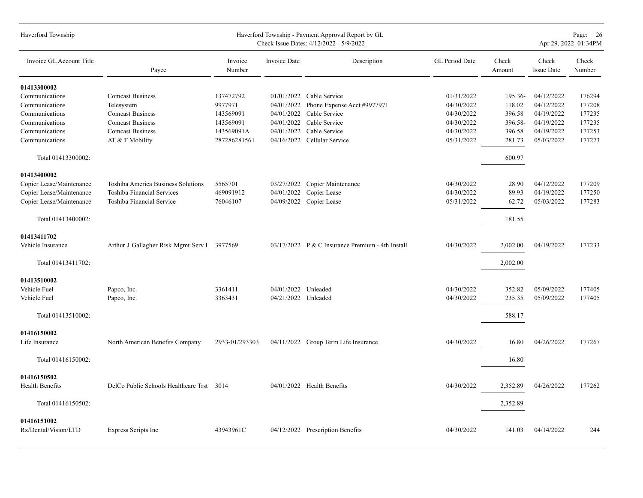| Haverford Township                  |                                             |                   |                     | Haverford Township - Payment Approval Report by GL<br>Check Issue Dates: 4/12/2022 - 5/9/2022 |                |                 |                     | Page: 26<br>Apr 29, 2022 01:34PM |
|-------------------------------------|---------------------------------------------|-------------------|---------------------|-----------------------------------------------------------------------------------------------|----------------|-----------------|---------------------|----------------------------------|
| Invoice GL Account Title            | Payee                                       | Invoice<br>Number | Invoice Date        | Description                                                                                   | GL Period Date | Check<br>Amount | Check<br>Issue Date | Check<br>Number                  |
| 01413300002                         |                                             |                   |                     |                                                                                               |                |                 |                     |                                  |
| Communications                      | <b>Comcast Business</b>                     | 137472792         |                     | $01/01/2022$ Cable Service                                                                    | 01/31/2022     | 195.36-         | 04/12/2022          | 176294                           |
| Communications                      | Telesystem                                  | 9977971           | 04/01/2022          | Phone Expense Acct #9977971                                                                   | 04/30/2022     | 118.02          | 04/12/2022          | 177208                           |
| Communications                      | <b>Comcast Business</b>                     | 143569091         | 04/01/2022          | Cable Service                                                                                 | 04/30/2022     | 396.58          | 04/19/2022          | 177235                           |
| Communications                      | <b>Comcast Business</b>                     | 143569091         | 04/01/2022          | Cable Service                                                                                 | 04/30/2022     | 396.58-         | 04/19/2022          | 177235                           |
| Communications                      | <b>Comcast Business</b>                     | 143569091A        | 04/01/2022          | Cable Service                                                                                 | 04/30/2022     | 396.58          | 04/19/2022          | 177253                           |
| Communications                      | AT & T Mobility                             | 287286281561      |                     | 04/16/2022 Cellular Service                                                                   | 05/31/2022     | 281.73          | 05/03/2022          | 177273                           |
| Total 01413300002:                  |                                             |                   |                     |                                                                                               |                | 600.97          |                     |                                  |
| 01413400002                         |                                             |                   |                     |                                                                                               |                |                 |                     |                                  |
| Copier Lease/Maintenance            | Toshiba America Business Solutions          | 5565701           |                     | 03/27/2022 Copier Maintenance                                                                 | 04/30/2022     | 28.90           | 04/12/2022          | 177209                           |
| Copier Lease/Maintenance            | Toshiba Financial Services                  | 469091912         | 04/01/2022          | Copier Lease                                                                                  | 04/30/2022     | 89.93           | 04/19/2022          | 177250                           |
| Copier Lease/Maintenance            | Toshiba Financial Service                   | 76046107          |                     | 04/09/2022 Copier Lease                                                                       | 05/31/2022     | 62.72           | 05/03/2022          | 177283                           |
| Total 01413400002:                  |                                             |                   |                     |                                                                                               |                | 181.55          |                     |                                  |
| 01413411702                         |                                             |                   |                     |                                                                                               |                |                 |                     |                                  |
| Vehicle Insurance                   | Arthur J Gallagher Risk Mgmt Serv I 3977569 |                   |                     | $03/17/2022$ P & C Insurance Premium - 4th Install                                            | 04/30/2022     | 2,002.00        | 04/19/2022          | 177233                           |
| Total 01413411702:                  |                                             |                   |                     |                                                                                               |                | 2,002.00        |                     |                                  |
| 01413510002                         |                                             |                   |                     |                                                                                               |                |                 |                     |                                  |
| Vehicle Fuel                        | Papco, Inc.                                 | 3361411           | 04/01/2022 Unleaded |                                                                                               | 04/30/2022     | 352.82          | 05/09/2022          | 177405                           |
| Vehicle Fuel                        | Papco, Inc.                                 | 3363431           | 04/21/2022 Unleaded |                                                                                               | 04/30/2022     | 235.35          | 05/09/2022          | 177405                           |
| Total 01413510002:                  |                                             |                   |                     |                                                                                               |                | 588.17          |                     |                                  |
| 01416150002                         |                                             |                   |                     |                                                                                               |                |                 |                     |                                  |
| Life Insurance                      | North American Benefits Company             | 2933-01/293303    |                     | 04/11/2022 Group Term Life Insurance                                                          | 04/30/2022     | 16.80           | 04/26/2022          | 177267                           |
| Total 01416150002:                  |                                             |                   |                     |                                                                                               |                | 16.80           |                     |                                  |
| 01416150502                         |                                             |                   |                     |                                                                                               |                |                 |                     |                                  |
| Health Benefits                     | DelCo Public Schools Healthcare Trst 3014   |                   |                     | 04/01/2022 Health Benefits                                                                    | 04/30/2022     | 2,352.89        | 04/26/2022          | 177262                           |
| Total 01416150502:                  |                                             |                   |                     |                                                                                               |                | 2,352.89        |                     |                                  |
|                                     |                                             |                   |                     |                                                                                               |                |                 |                     |                                  |
| 01416151002<br>Rx/Dental/Vision/LTD | Express Scripts Inc                         | 43943961C         |                     | 04/12/2022 Prescription Benefits                                                              | 04/30/2022     | 141.03          | 04/14/2022          | 244                              |
|                                     |                                             |                   |                     |                                                                                               |                |                 |                     |                                  |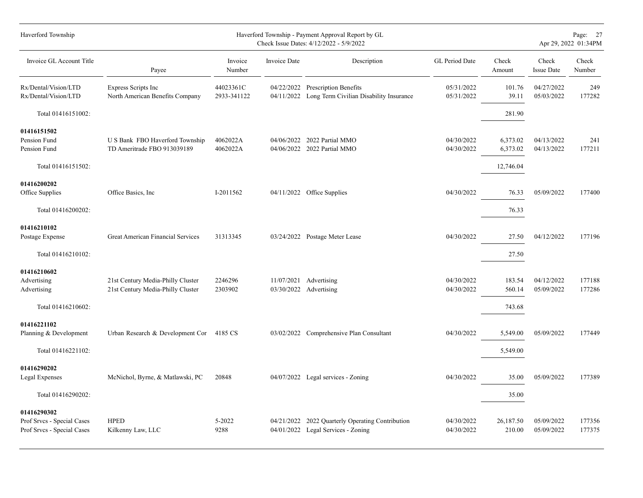| Haverford Township                                                      | Haverford Township - Payment Approval Report by GL<br>Check Issue Dates: 4/12/2022 - 5/9/2022 |                          |              |                                                                                        |                          |                      |                            |                  |  |  |
|-------------------------------------------------------------------------|-----------------------------------------------------------------------------------------------|--------------------------|--------------|----------------------------------------------------------------------------------------|--------------------------|----------------------|----------------------------|------------------|--|--|
| Invoice GL Account Title                                                | Payee                                                                                         | Invoice<br>Number        | Invoice Date | Description                                                                            | GL Period Date           | Check<br>Amount      | Check<br><b>Issue Date</b> | Check<br>Number  |  |  |
| Rx/Dental/Vision/LTD<br>Rx/Dental/Vision/LTD                            | Express Scripts Inc<br>North American Benefits Company                                        | 44023361C<br>2933-341122 |              | 04/22/2022 Prescription Benefits<br>04/11/2022 Long Term Civilian Disability Insurance | 05/31/2022<br>05/31/2022 | 101.76<br>39.11      | 04/27/2022<br>05/03/2022   | 249<br>177282    |  |  |
| Total 01416151002:                                                      |                                                                                               |                          |              |                                                                                        |                          | 281.90               |                            |                  |  |  |
| 01416151502<br>Pension Fund<br>Pension Fund                             | U S Bank FBO Haverford Township<br>TD Ameritrade FBO 913039189                                | 4062022A<br>4062022A     |              | 04/06/2022 2022 Partial MMO<br>04/06/2022 2022 Partial MMO                             | 04/30/2022<br>04/30/2022 | 6,373.02<br>6,373.02 | 04/13/2022<br>04/13/2022   | 241<br>177211    |  |  |
| Total 01416151502:                                                      |                                                                                               |                          |              |                                                                                        |                          | 12,746.04            |                            |                  |  |  |
| 01416200202<br>Office Supplies                                          | Office Basics, Inc.                                                                           | I-2011562                |              | 04/11/2022 Office Supplies                                                             | 04/30/2022               | 76.33                | 05/09/2022                 | 177400           |  |  |
| Total 01416200202:                                                      |                                                                                               |                          |              |                                                                                        |                          | 76.33                |                            |                  |  |  |
| 01416210102<br>Postage Expense                                          | Great American Financial Services                                                             | 31313345                 |              | 03/24/2022 Postage Meter Lease                                                         | 04/30/2022               | 27.50                | 04/12/2022                 | 177196           |  |  |
| Total 01416210102:                                                      |                                                                                               |                          |              |                                                                                        |                          | 27.50                |                            |                  |  |  |
| 01416210602<br>Advertising<br>Advertising                               | 21st Century Media-Philly Cluster<br>21st Century Media-Philly Cluster                        | 2246296<br>2303902       | 11/07/2021   | Advertising<br>03/30/2022 Advertising                                                  | 04/30/2022<br>04/30/2022 | 183.54<br>560.14     | 04/12/2022<br>05/09/2022   | 177188<br>177286 |  |  |
| Total 01416210602:                                                      |                                                                                               |                          |              |                                                                                        |                          | 743.68               |                            |                  |  |  |
| 01416221102<br>Planning & Development                                   | Urban Research & Development Cor 4185 CS                                                      |                          |              | 03/02/2022 Comprehensive Plan Consultant                                               | 04/30/2022               | 5,549.00             | 05/09/2022                 | 177449           |  |  |
| Total 01416221102:                                                      |                                                                                               |                          |              |                                                                                        |                          | 5,549.00             |                            |                  |  |  |
| 01416290202<br>Legal Expenses                                           | McNichol, Byrne, & Matlawski, PC                                                              | 20848                    |              | 04/07/2022 Legal services - Zoning                                                     | 04/30/2022               | 35.00                | 05/09/2022                 | 177389           |  |  |
| Total 01416290202:                                                      |                                                                                               |                          |              |                                                                                        |                          | 35.00                |                            |                  |  |  |
| 01416290302<br>Prof Srvcs - Special Cases<br>Prof Srvcs - Special Cases | <b>HPED</b><br>Kilkenny Law, LLC                                                              | 5-2022<br>9288           | 04/21/2022   | 2022 Quarterly Operating Contribution<br>04/01/2022 Legal Services - Zoning            | 04/30/2022<br>04/30/2022 | 26,187.50<br>210.00  | 05/09/2022<br>05/09/2022   | 177356<br>177375 |  |  |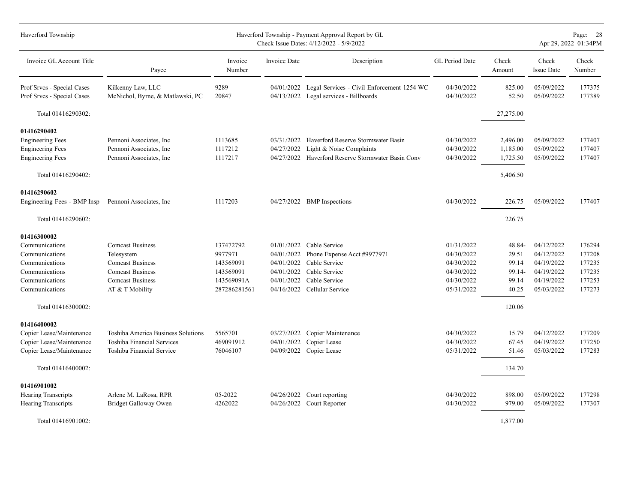| Haverford Township                                       |                                                       |                   |                     | Haverford Township - Payment Approval Report by GL<br>Check Issue Dates: 4/12/2022 - 5/9/2022   |                          |                 |                            | Page: 28<br>Apr 29, 2022 01:34PM |
|----------------------------------------------------------|-------------------------------------------------------|-------------------|---------------------|-------------------------------------------------------------------------------------------------|--------------------------|-----------------|----------------------------|----------------------------------|
| Invoice GL Account Title                                 | Payee                                                 | Invoice<br>Number | <b>Invoice Date</b> | Description                                                                                     | GL Period Date           | Check<br>Amount | Check<br><b>Issue Date</b> | Check<br>Number                  |
| Prof Srvcs - Special Cases<br>Prof Srvcs - Special Cases | Kilkenny Law, LLC<br>McNichol, Byrne, & Matlawski, PC | 9289<br>20847     |                     | 04/01/2022 Legal Services - Civil Enforcement 1254 WC<br>04/13/2022 Legal services - Billboards | 04/30/2022<br>04/30/2022 | 825.00<br>52.50 | 05/09/2022<br>05/09/2022   | 177375<br>177389                 |
| Total 01416290302:                                       |                                                       |                   |                     |                                                                                                 |                          | 27,275.00       |                            |                                  |
| 01416290402                                              |                                                       |                   |                     |                                                                                                 |                          |                 |                            |                                  |
| <b>Engineering Fees</b>                                  | Pennoni Associates, Inc.                              | 1113685           |                     | 03/31/2022 Haverford Reserve Stormwater Basin                                                   | 04/30/2022               | 2,496.00        | 05/09/2022                 | 177407                           |
| <b>Engineering Fees</b>                                  | Pennoni Associates, Inc.                              | 1117212           | 04/27/2022          | Light & Noise Complaints                                                                        | 04/30/2022               | 1,185.00        | 05/09/2022                 | 177407                           |
| <b>Engineering Fees</b>                                  | Pennoni Associates, Inc.                              | 1117217           |                     | 04/27/2022 Haverford Reserve Stormwater Basin Conv                                              | 04/30/2022               | 1,725.50        | 05/09/2022                 | 177407                           |
| Total 01416290402:                                       |                                                       |                   |                     |                                                                                                 |                          | 5,406.50        |                            |                                  |
| 01416290602                                              |                                                       |                   |                     |                                                                                                 |                          |                 |                            |                                  |
| Engineering Fees - BMP Insp                              | Pennoni Associates, Inc.                              | 1117203           |                     | 04/27/2022 BMP Inspections                                                                      | 04/30/2022               | 226.75          | 05/09/2022                 | 177407                           |
| Total 01416290602:                                       |                                                       |                   |                     |                                                                                                 |                          | 226.75          |                            |                                  |
| 01416300002                                              |                                                       |                   |                     |                                                                                                 |                          |                 |                            |                                  |
| Communications                                           | <b>Comcast Business</b>                               | 137472792         |                     | $01/01/2022$ Cable Service                                                                      | 01/31/2022               | 48.84-          | 04/12/2022                 | 176294                           |
| Communications                                           | Telesystem                                            | 9977971           | 04/01/2022          | Phone Expense Acct #9977971                                                                     | 04/30/2022               | 29.51           | 04/12/2022                 | 177208                           |
| Communications                                           | <b>Comcast Business</b>                               | 143569091         | 04/01/2022          | Cable Service                                                                                   | 04/30/2022               | 99.14           | 04/19/2022                 | 177235                           |
| Communications                                           | <b>Comcast Business</b>                               | 143569091         | 04/01/2022          | Cable Service                                                                                   | 04/30/2022               | 99.14-          | 04/19/2022                 | 177235                           |
| Communications                                           | <b>Comcast Business</b>                               | 143569091A        | 04/01/2022          | Cable Service                                                                                   | 04/30/2022               | 99.14           | 04/19/2022                 | 177253                           |
| Communications                                           | AT & T Mobility                                       | 287286281561      |                     | 04/16/2022 Cellular Service                                                                     | 05/31/2022               | 40.25           | 05/03/2022                 | 177273                           |
| Total 01416300002:                                       |                                                       |                   |                     |                                                                                                 |                          | 120.06          |                            |                                  |
| 01416400002                                              |                                                       |                   |                     |                                                                                                 |                          |                 |                            |                                  |
| Copier Lease/Maintenance                                 | Toshiba America Business Solutions                    | 5565701           | 03/27/2022          | Copier Maintenance                                                                              | 04/30/2022               | 15.79           | 04/12/2022                 | 177209                           |
| Copier Lease/Maintenance                                 | Toshiba Financial Services                            | 469091912         | 04/01/2022          | Copier Lease                                                                                    | 04/30/2022               | 67.45           | 04/19/2022                 | 177250                           |
| Copier Lease/Maintenance                                 | Toshiba Financial Service                             | 76046107          | 04/09/2022          | Copier Lease                                                                                    | 05/31/2022               | 51.46           | 05/03/2022                 | 177283                           |
| Total 01416400002:                                       |                                                       |                   |                     |                                                                                                 |                          | 134.70          |                            |                                  |
| 01416901002                                              |                                                       |                   |                     |                                                                                                 |                          |                 |                            |                                  |
| <b>Hearing Transcripts</b>                               | Arlene M. LaRosa, RPR                                 | 05-2022           | 04/26/2022          | Court reporting                                                                                 | 04/30/2022               | 898.00          | 05/09/2022                 | 177298                           |
| <b>Hearing Transcripts</b>                               | Bridget Galloway Owen                                 | 4262022           |                     | 04/26/2022 Court Reporter                                                                       | 04/30/2022               | 979.00          | 05/09/2022                 | 177307                           |
| Total 01416901002:                                       |                                                       |                   |                     |                                                                                                 |                          | 1,877.00        |                            |                                  |
|                                                          |                                                       |                   |                     |                                                                                                 |                          |                 |                            |                                  |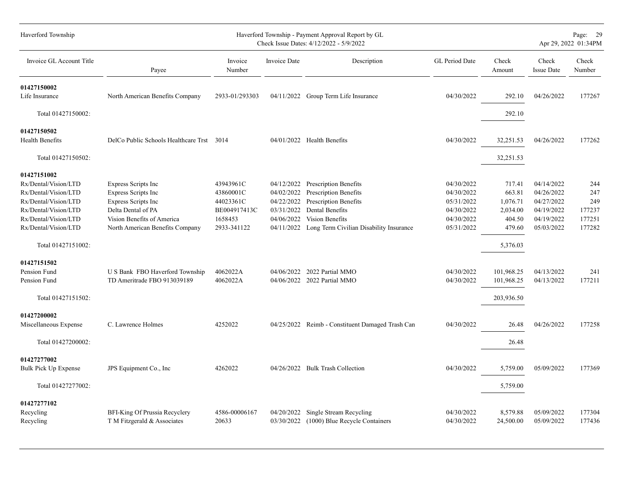| Haverford Township                                                                                                                                                                |                                                                                                                                                                               | Page: 29<br>Apr 29, 2022 01:34PM                                              |                                                                    |                                                                                                                                                                                   |                                                                                  |                                                                          |                                                                                  |                                                 |
|-----------------------------------------------------------------------------------------------------------------------------------------------------------------------------------|-------------------------------------------------------------------------------------------------------------------------------------------------------------------------------|-------------------------------------------------------------------------------|--------------------------------------------------------------------|-----------------------------------------------------------------------------------------------------------------------------------------------------------------------------------|----------------------------------------------------------------------------------|--------------------------------------------------------------------------|----------------------------------------------------------------------------------|-------------------------------------------------|
| Invoice GL Account Title                                                                                                                                                          | Payee                                                                                                                                                                         | Invoice<br>Number                                                             | Invoice Date                                                       | Description                                                                                                                                                                       | GL Period Date                                                                   | Check<br>Amount                                                          | Check<br><b>Issue Date</b>                                                       | Check<br>Number                                 |
| 01427150002<br>Life Insurance                                                                                                                                                     | North American Benefits Company                                                                                                                                               | 2933-01/293303                                                                |                                                                    | 04/11/2022 Group Term Life Insurance                                                                                                                                              | 04/30/2022                                                                       | 292.10                                                                   | 04/26/2022                                                                       | 177267                                          |
| Total 01427150002:                                                                                                                                                                |                                                                                                                                                                               |                                                                               |                                                                    |                                                                                                                                                                                   |                                                                                  | 292.10                                                                   |                                                                                  |                                                 |
| 01427150502<br><b>Health Benefits</b>                                                                                                                                             | DelCo Public Schools Healthcare Trst 3014                                                                                                                                     |                                                                               |                                                                    | 04/01/2022 Health Benefits                                                                                                                                                        | 04/30/2022                                                                       | 32,251.53                                                                | 04/26/2022                                                                       | 177262                                          |
| Total 01427150502:                                                                                                                                                                |                                                                                                                                                                               |                                                                               |                                                                    |                                                                                                                                                                                   |                                                                                  | 32,251.53                                                                |                                                                                  |                                                 |
| 01427151002<br>Rx/Dental/Vision/LTD<br>Rx/Dental/Vision/LTD<br>Rx/Dental/Vision/LTD<br>Rx/Dental/Vision/LTD<br>Rx/Dental/Vision/LTD<br>Rx/Dental/Vision/LTD<br>Total 01427151002: | <b>Express Scripts Inc</b><br><b>Express Scripts Inc</b><br><b>Express Scripts Inc</b><br>Delta Dental of PA<br>Vision Benefits of America<br>North American Benefits Company | 43943961C<br>43860001C<br>44023361C<br>BE004917413C<br>1658453<br>2933-341122 | 04/12/2022<br>04/02/2022<br>04/22/2022<br>03/31/2022<br>04/06/2022 | <b>Prescription Benefits</b><br><b>Prescription Benefits</b><br>Prescription Benefits<br>Dental Benefits<br>Vision Benefits<br>04/11/2022 Long Term Civilian Disability Insurance | 04/30/2022<br>04/30/2022<br>05/31/2022<br>04/30/2022<br>04/30/2022<br>05/31/2022 | 717.41<br>663.81<br>1,076.71<br>2,034.00<br>404.50<br>479.60<br>5,376.03 | 04/14/2022<br>04/26/2022<br>04/27/2022<br>04/19/2022<br>04/19/2022<br>05/03/2022 | 244<br>247<br>249<br>177237<br>177251<br>177282 |
| 01427151502<br>Pension Fund<br>Pension Fund<br>Total 01427151502:                                                                                                                 | U S Bank FBO Haverford Township<br>TD Ameritrade FBO 913039189                                                                                                                | 4062022A<br>4062022A                                                          | 04/06/2022                                                         | 2022 Partial MMO<br>04/06/2022 2022 Partial MMO                                                                                                                                   | 04/30/2022<br>04/30/2022                                                         | 101,968.25<br>101,968.25<br>203,936.50                                   | 04/13/2022<br>04/13/2022                                                         | 241<br>177211                                   |
| 01427200002<br>Miscellaneous Expense<br>Total 01427200002:                                                                                                                        | C. Lawrence Holmes                                                                                                                                                            | 4252022                                                                       |                                                                    | 04/25/2022 Reimb - Constituent Damaged Trash Can                                                                                                                                  | 04/30/2022                                                                       | 26.48<br>26.48                                                           | 04/26/2022                                                                       | 177258                                          |
| 01427277002<br><b>Bulk Pick Up Expense</b><br>Total 01427277002:                                                                                                                  | JPS Equipment Co., Inc.                                                                                                                                                       | 4262022                                                                       |                                                                    | 04/26/2022 Bulk Trash Collection                                                                                                                                                  | 04/30/2022                                                                       | 5,759.00<br>5,759.00                                                     | 05/09/2022                                                                       | 177369                                          |
| 01427277102<br>Recycling<br>Recycling                                                                                                                                             | BFI-King Of Prussia Recyclery<br>T M Fitzgerald & Associates                                                                                                                  | 4586-00006167<br>20633                                                        | 04/20/2022<br>03/30/2022                                           | Single Stream Recycling<br>(1000) Blue Recycle Containers                                                                                                                         | 04/30/2022<br>04/30/2022                                                         | 8,579.88<br>24,500.00                                                    | 05/09/2022<br>05/09/2022                                                         | 177304<br>177436                                |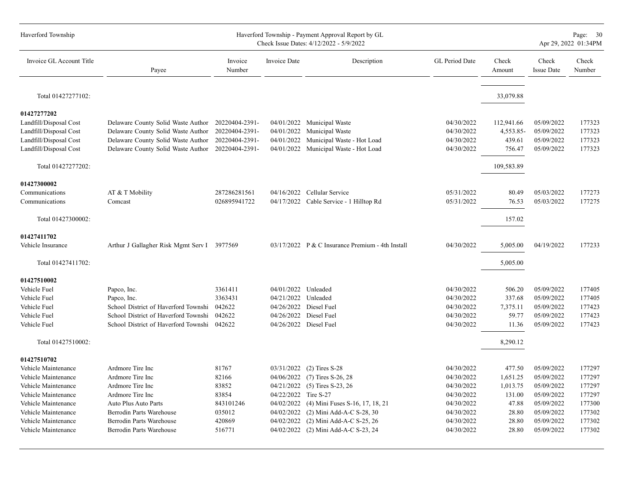| Haverford Township       |                                                   |                   | Page: 30<br>Apr 29, 2022 01:34PM |                                                  |                |                 |                            |                 |
|--------------------------|---------------------------------------------------|-------------------|----------------------------------|--------------------------------------------------|----------------|-----------------|----------------------------|-----------------|
| Invoice GL Account Title | Payee                                             | Invoice<br>Number | Invoice Date                     | Description                                      | GL Period Date | Check<br>Amount | Check<br><b>Issue Date</b> | Check<br>Number |
| Total 01427277102:       |                                                   |                   |                                  |                                                  |                | 33,079.88       |                            |                 |
| 01427277202              |                                                   |                   |                                  |                                                  |                |                 |                            |                 |
| Landfill/Disposal Cost   | Delaware County Solid Waste Author 20220404-2391- |                   |                                  | 04/01/2022 Municipal Waste                       | 04/30/2022     | 112,941.66      | 05/09/2022                 | 177323          |
| Landfill/Disposal Cost   | Delaware County Solid Waste Author                | 20220404-2391-    | 04/01/2022                       | Municipal Waste                                  | 04/30/2022     | 4,553.85-       | 05/09/2022                 | 177323          |
| Landfill/Disposal Cost   | Delaware County Solid Waste Author                | 20220404-2391-    | 04/01/2022                       | Municipal Waste - Hot Load                       | 04/30/2022     | 439.61          | 05/09/2022                 | 177323          |
| Landfill/Disposal Cost   | Delaware County Solid Waste Author                | 20220404-2391-    |                                  | 04/01/2022 Municipal Waste - Hot Load            | 04/30/2022     | 756.47          | 05/09/2022                 | 177323          |
| Total 01427277202:       |                                                   |                   |                                  |                                                  |                | 109,583.89      |                            |                 |
| 01427300002              |                                                   |                   |                                  |                                                  |                |                 |                            |                 |
| Communications           | AT & T Mobility                                   | 287286281561      |                                  | 04/16/2022 Cellular Service                      | 05/31/2022     | 80.49           | 05/03/2022                 | 177273          |
| Communications           | Comcast                                           | 026895941722      |                                  | 04/17/2022 Cable Service - 1 Hilltop Rd          | 05/31/2022     | 76.53           | 05/03/2022                 | 177275          |
| Total 01427300002:       |                                                   |                   |                                  |                                                  |                | 157.02          |                            |                 |
| 01427411702              |                                                   |                   |                                  |                                                  |                |                 |                            |                 |
| Vehicle Insurance        | Arthur J Gallagher Risk Mgmt Serv I 3977569       |                   |                                  | 03/17/2022 P & C Insurance Premium - 4th Install | 04/30/2022     | 5,005.00        | 04/19/2022                 | 177233          |
| Total 01427411702:       |                                                   |                   |                                  |                                                  |                | 5,005.00        |                            |                 |
| 01427510002              |                                                   |                   |                                  |                                                  |                |                 |                            |                 |
| Vehicle Fuel             | Papco, Inc.                                       | 3361411           | 04/01/2022 Unleaded              |                                                  | 04/30/2022     | 506.20          | 05/09/2022                 | 177405          |
| Vehicle Fuel             | Papco, Inc.                                       | 3363431           | 04/21/2022 Unleaded              |                                                  | 04/30/2022     | 337.68          | 05/09/2022                 | 177405          |
| Vehicle Fuel             | School District of Haverford Townshi              | 042622            |                                  | 04/26/2022 Diesel Fuel                           | 04/30/2022     | 7,375.11        | 05/09/2022                 | 177423          |
| Vehicle Fuel             | School District of Haverford Townshi              | 042622            | 04/26/2022                       | Diesel Fuel                                      | 04/30/2022     | 59.77           | 05/09/2022                 | 177423          |
| Vehicle Fuel             | School District of Haverford Townshi              | 042622            |                                  | 04/26/2022 Diesel Fuel                           | 04/30/2022     | 11.36           | 05/09/2022                 | 177423          |
| Total 01427510002:       |                                                   |                   |                                  |                                                  |                | 8,290.12        |                            |                 |
| 01427510702              |                                                   |                   |                                  |                                                  |                |                 |                            |                 |
| Vehicle Maintenance      | Ardmore Tire Inc                                  | 81767             | 03/31/2022                       | $(2)$ Tires S-28                                 | 04/30/2022     | 477.50          | 05/09/2022                 | 177297          |
| Vehicle Maintenance      | Ardmore Tire Inc                                  | 82166             | 04/06/2022                       | $(7)$ Tires S-26, 28                             | 04/30/2022     | 1,651.25        | 05/09/2022                 | 177297          |
| Vehicle Maintenance      | Ardmore Tire Inc                                  | 83852             | 04/21/2022                       | $(5)$ Tires S-23, 26                             | 04/30/2022     | 1,013.75        | 05/09/2022                 | 177297          |
| Vehicle Maintenance      | Ardmore Tire Inc                                  | 83854             | 04/22/2022 Tire S-27             |                                                  | 04/30/2022     | 131.00          | 05/09/2022                 | 177297          |
| Vehicle Maintenance      | Auto Plus Auto Parts                              | 843101246         | 04/02/2022                       | (4) Mini Fuses S-16, 17, 18, 21                  | 04/30/2022     | 47.88           | 05/09/2022                 | 177300          |
| Vehicle Maintenance      | Berrodin Parts Warehouse                          | 035012            | 04/02/2022                       | (2) Mini Add-A-C S-28, 30                        | 04/30/2022     | 28.80           | 05/09/2022                 | 177302          |
| Vehicle Maintenance      | Berrodin Parts Warehouse                          | 420869            | 04/02/2022                       | (2) Mini Add-A-C S-25, 26                        | 04/30/2022     | 28.80           | 05/09/2022                 | 177302          |
| Vehicle Maintenance      | Berrodin Parts Warehouse                          | 516771            |                                  | 04/02/2022 (2) Mini Add-A-C S-23, 24             | 04/30/2022     | 28.80           | 05/09/2022                 | 177302          |
|                          |                                                   |                   |                                  |                                                  |                |                 |                            |                 |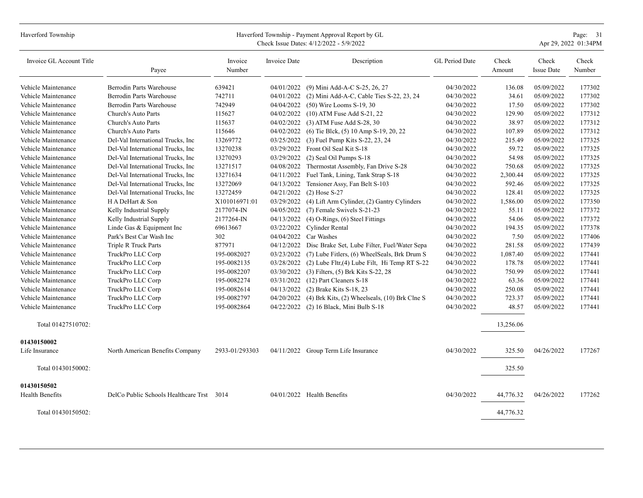| Haverford Township |  |
|--------------------|--|
|                    |  |

## Haverford Township - Payment Approval Report by GL Page: 31<br>Check Issue Dates: 4/12/2022 - 5/9/2022

Check Issue Dates:  $4/12/2022 - 5/9/2022$ 

| Invoice GL Account Title | Payee                                     | Invoice<br>Number | Invoice Date | Description                                         | GL Period Date | Check<br>Amount | Check<br><b>Issue Date</b> | Check<br>Number |
|--------------------------|-------------------------------------------|-------------------|--------------|-----------------------------------------------------|----------------|-----------------|----------------------------|-----------------|
| Vehicle Maintenance      | <b>Berrodin Parts Warehouse</b>           | 639421            | 04/01/2022   | (9) Mini Add-A-C S-25, 26, 27                       | 04/30/2022     | 136.08          | 05/09/2022                 | 177302          |
| Vehicle Maintenance      | Berrodin Parts Warehouse                  | 742711            | 04/01/2022   | (2) Mini Add-A-C, Cable Ties S-22, 23, 24           | 04/30/2022     | 34.61           | 05/09/2022                 | 177302          |
| Vehicle Maintenance      | Berrodin Parts Warehouse                  | 742949            | 04/04/2022   | $(50)$ Wire Looms S-19, 30                          | 04/30/2022     | 17.50           | 05/09/2022                 | 177302          |
| Vehicle Maintenance      | Church's Auto Parts                       | 115627            | 04/02/2022   | $(10)$ ATM Fuse Add S-21, 22                        | 04/30/2022     | 129.90          | 05/09/2022                 | 177312          |
| Vehicle Maintenance      | Church's Auto Parts                       | 115637            | 04/02/2022   | $(3)$ ATM Fuse Add S-28, 30                         | 04/30/2022     | 38.97           | 05/09/2022                 | 177312          |
| Vehicle Maintenance      | Church's Auto Parts                       | 115646            | 04/02/2022   | (6) Tie Blck, (5) 10 Amp S-19, 20, 22               | 04/30/2022     | 107.89          | 05/09/2022                 | 177312          |
| Vehicle Maintenance      | Del-Val International Trucks, Inc.        | 13269772          | 03/25/2022   | (3) Fuel Pump Kits S-22, 23, 24                     | 04/30/2022     | 215.49          | 05/09/2022                 | 177325          |
| Vehicle Maintenance      | Del-Val International Trucks, Inc         | 13270238          | 03/29/2022   | Front Oil Seal Kit S-18                             | 04/30/2022     | 59.72           | 05/09/2022                 | 177325          |
| Vehicle Maintenance      | Del-Val International Trucks, Inc.        | 13270293          | 03/29/2022   | (2) Seal Oil Pumps S-18                             | 04/30/2022     | 54.98           | 05/09/2022                 | 177325          |
| Vehicle Maintenance      | Del-Val International Trucks, Inc         | 13271517          | 04/08/2022   | Thermostat Assembly, Fan Drive S-28                 | 04/30/2022     | 750.68          | 05/09/2022                 | 177325          |
| Vehicle Maintenance      | Del-Val International Trucks, Inc         | 13271634          | 04/11/2022   | Fuel Tank, Lining, Tank Strap S-18                  | 04/30/2022     | 2,300.44        | 05/09/2022                 | 177325          |
| Vehicle Maintenance      | Del-Val International Trucks, Inc         | 13272069          | 04/13/2022   | Tensioner Assy, Fan Belt S-103                      | 04/30/2022     | 592.46          | 05/09/2022                 | 177325          |
| Vehicle Maintenance      | Del-Val International Trucks, Inc         | 13272459          | 04/21/2022   | $(2)$ Hose S-27                                     | 04/30/2022     | 128.41          | 05/09/2022                 | 177325          |
| Vehicle Maintenance      | H A DeHart & Son                          | X101016971:01     | 03/29/2022   | (4) Lift Arm Cylinder, (2) Gantry Cylinders         | 04/30/2022     | 1,586.00        | 05/09/2022                 | 177350          |
| Vehicle Maintenance      | Kelly Industrial Supply                   | 2177074-IN        | 04/05/2022   | (7) Female Swivels S-21-23                          | 04/30/2022     | 55.11           | 05/09/2022                 | 177372          |
| Vehicle Maintenance      | Kelly Industrial Supply                   | 2177264-IN        | 04/13/2022   | $(4)$ O-Rings, $(6)$ Steel Fittings                 | 04/30/2022     | 54.06           | 05/09/2022                 | 177372          |
| Vehicle Maintenance      | Linde Gas & Equipment Inc                 | 69613667          | 03/22/2022   | Cylinder Rental                                     | 04/30/2022     | 194.35          | 05/09/2022                 | 177378          |
| Vehicle Maintenance      | Park's Best Car Wash Inc                  | 302               | 04/04/2022   | Car Washes                                          | 04/30/2022     | 7.50            | 05/09/2022                 | 177406          |
| Vehicle Maintenance      | Triple R Truck Parts                      | 877971            | 04/12/2022   | Disc Brake Set, Lube Filter, Fuel/Water Sepa        | 04/30/2022     | 281.58          | 05/09/2022                 | 177439          |
| Vehicle Maintenance      | TruckPro LLC Corp                         | 195-0082027       | 03/23/2022   | (7) Lube Fitlers, (6) WheelSeals, Brk Drum S        | 04/30/2022     | 1,087.40        | 05/09/2022                 | 177441          |
| Vehicle Maintenance      | TruckPro LLC Corp                         | 195-0082135       | 03/28/2022   | (2) Lube Fltr, (4) Lube Filt, Hi Temp RT S-22       | 04/30/2022     | 178.78          | 05/09/2022                 | 177441          |
| Vehicle Maintenance      | TruckPro LLC Corp                         | 195-0082207       | 03/30/2022   | (3) Filters, (5) Brk Kits S-22, 28                  | 04/30/2022     | 750.99          | 05/09/2022                 | 177441          |
| Vehicle Maintenance      | TruckPro LLC Corp                         | 195-0082274       | 03/31/2022   | (12) Part Cleaners S-18                             | 04/30/2022     | 63.36           | 05/09/2022                 | 177441          |
| Vehicle Maintenance      | TruckPro LLC Corp                         | 195-0082614       | 04/13/2022   | (2) Brake Kits S-18, 23                             | 04/30/2022     | 250.08          | 05/09/2022                 | 177441          |
| Vehicle Maintenance      | TruckPro LLC Corp                         | 195-0082797       | 04/20/2022   | $(4)$ Brk Kits, $(2)$ Wheelseals, $(10)$ Brk Clne S | 04/30/2022     | 723.37          | 05/09/2022                 | 177441          |
| Vehicle Maintenance      | TruckPro LLC Corp                         | 195-0082864       |              | 04/22/2022 (2) 16 Black, Mini Bulb S-18             | 04/30/2022     | 48.57           | 05/09/2022                 | 177441          |
| Total 01427510702:       |                                           |                   |              |                                                     |                | 13,256.06       |                            |                 |
| 01430150002              |                                           |                   |              |                                                     |                |                 |                            |                 |
| Life Insurance           | North American Benefits Company           | 2933-01/293303    | 04/11/2022   | Group Term Life Insurance                           | 04/30/2022     | 325.50          | 04/26/2022                 | 177267          |
| Total 01430150002:       |                                           |                   |              |                                                     |                | 325.50          |                            |                 |
| 01430150502              |                                           |                   |              |                                                     |                |                 |                            |                 |
| Health Benefits          | DelCo Public Schools Healthcare Trst 3014 |                   |              | 04/01/2022 Health Benefits                          | 04/30/2022     | 44,776.32       | 04/26/2022                 | 177262          |
| Total 01430150502:       |                                           |                   |              |                                                     |                | 44,776.32       |                            |                 |
|                          |                                           |                   |              |                                                     |                |                 |                            |                 |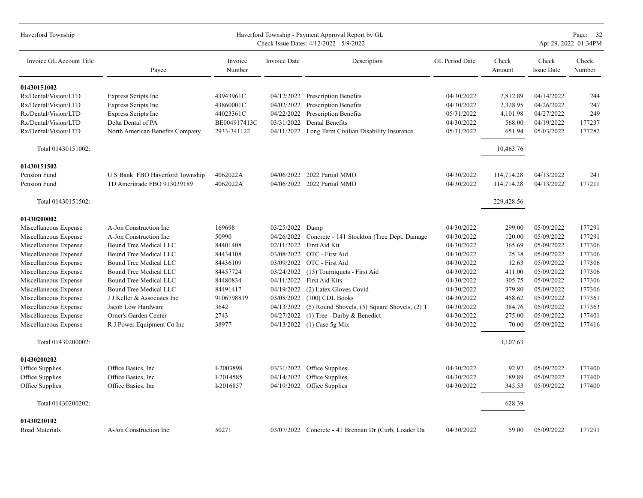| Haverford Township       |                                 |                   |                     | Haverford Township - Payment Approval Report by GL<br>Check Issue Dates: 4/12/2022 - 5/9/2022 |                |                 |                            | Page: 32<br>Apr 29, 2022 01:34PM |
|--------------------------|---------------------------------|-------------------|---------------------|-----------------------------------------------------------------------------------------------|----------------|-----------------|----------------------------|----------------------------------|
| Invoice GL Account Title | Payee                           | Invoice<br>Number | <b>Invoice Date</b> | Description                                                                                   | GL Period Date | Check<br>Amount | Check<br><b>Issue Date</b> | Check<br>Number                  |
| 01430151002              |                                 |                   |                     |                                                                                               |                |                 |                            |                                  |
| Rx/Dental/Vision/LTD     | <b>Express Scripts Inc</b>      | 43943961C         |                     | 04/12/2022 Prescription Benefits                                                              | 04/30/2022     | 2,812.89        | 04/14/2022                 | 244                              |
| Rx/Dental/Vision/LTD     | <b>Express Scripts Inc</b>      | 43860001C         | 04/02/2022          | <b>Prescription Benefits</b>                                                                  | 04/30/2022     | 2,328.95        | 04/26/2022                 | 247                              |
| Rx/Dental/Vision/LTD     | <b>Express Scripts Inc</b>      | 44023361C         | 04/22/2022          | <b>Prescription Benefits</b>                                                                  | 05/31/2022     | 4,101.98        | 04/27/2022                 | 249                              |
| Rx/Dental/Vision/LTD     | Delta Dental of PA              | BE004917413C      | 03/31/2022          | Dental Benefits                                                                               | 04/30/2022     | 568.00          | 04/19/2022                 | 177237                           |
| Rx/Dental/Vision/LTD     | North American Benefits Company | 2933-341122       | 04/11/2022          | Long Term Civilian Disability Insurance                                                       | 05/31/2022     | 651.94          | 05/03/2022                 | 177282                           |
| Total 01430151002:       |                                 |                   |                     |                                                                                               |                | 10,463.76       |                            |                                  |
| 01430151502              |                                 |                   |                     |                                                                                               |                |                 |                            |                                  |
| Pension Fund             | U S Bank FBO Haverford Township | 4062022A          | 04/06/2022          | 2022 Partial MMO                                                                              | 04/30/2022     | 114,714.28      | 04/13/2022                 | 241                              |
| Pension Fund             | TD Ameritrade FBO 913039189     | 4062022A          |                     | 04/06/2022 2022 Partial MMO                                                                   | 04/30/2022     | 114,714.28      | 04/13/2022                 | 177211                           |
| Total 01430151502:       |                                 |                   |                     |                                                                                               |                | 229,428.56      |                            |                                  |
| 01430200002              |                                 |                   |                     |                                                                                               |                |                 |                            |                                  |
| Miscellaneous Expense    | A-Jon Construction Inc          | 169698            | 03/25/2022          | Dump                                                                                          | 04/30/2022     | 299.00          | 05/09/2022                 | 177291                           |
| Miscellaneous Expense    | A-Jon Construction Inc          | 50990             | 04/26/2022          | Concrete - 141 Stockton (Tree Dept. Damage                                                    | 04/30/2022     | 120.00          | 05/09/2022                 | 177291                           |
| Miscellaneous Expense    | Bound Tree Medical LLC          | 84401408          | 02/11/2022          | First Aid Kit                                                                                 | 04/30/2022     | 365.69          | 05/09/2022                 | 177306                           |
| Miscellaneous Expense    | Bound Tree Medical LLC          | 84434108          | 03/08/2022          | OTC - First Aid                                                                               | 04/30/2022     | 25.38           | 05/09/2022                 | 177306                           |
| Miscellaneous Expense    | Bound Tree Medical LLC          | 84436109          |                     | 03/09/2022 OTC - First Aid                                                                    | 04/30/2022     | 12.63           | 05/09/2022                 | 177306                           |
| Miscellaneous Expense    | Bound Tree Medical LLC          | 84457724          | 03/24/2022          | (15) Tourniquets - First Aid                                                                  | 04/30/2022     | 411.00          | 05/09/2022                 | 177306                           |
| Miscellaneous Expense    | Bound Tree Medical LLC          | 84480834          | 04/11/2022          | First Aid Kits                                                                                | 04/30/2022     | 305.75          | 05/09/2022                 | 177306                           |
| Miscellaneous Expense    | Bound Tree Medical LLC          | 84491417          | 04/19/2022          | (2) Latex Gloves Covid                                                                        | 04/30/2022     | 379.80          | 05/09/2022                 | 177306                           |
| Miscellaneous Expense    | J J Keller & Associates Inc     | 9106798819        | 03/08/2022          | $(100)$ CDL Books                                                                             | 04/30/2022     | 458.62          | 05/09/2022                 | 177361                           |
| Miscellaneous Expense    | Jacob Low Hardware              | 3642              | 04/13/2022          | $(5)$ Round Shovels, $(5)$ Square Shovels, $(2)$ T                                            | 04/30/2022     | 384.76          | 05/09/2022                 | 177363                           |
| Miscellaneous Expense    | Orner's Garden Center           | 2743              | 04/27/2022          | (1) Tree - Darby & Benedict                                                                   | 04/30/2022     | 275.00          | 05/09/2022                 | 177401                           |
| Miscellaneous Expense    | R J Power Equipment Co Inc      | 38977             | 04/13/2022          | $(1)$ Case 5g Mix                                                                             | 04/30/2022     | 70.00           | 05/09/2022                 | 177416                           |
| Total 01430200002:       |                                 |                   |                     |                                                                                               |                | 3,107.63        |                            |                                  |
| 01430200202              |                                 |                   |                     |                                                                                               |                |                 |                            |                                  |
| Office Supplies          | Office Basics, Inc              | I-2003898         | 03/31/2022          | Office Supplies                                                                               | 04/30/2022     | 92.97           | 05/09/2022                 | 177400                           |
| Office Supplies          | Office Basics, Inc              | I-2014585         | 04/14/2022          | Office Supplies                                                                               | 04/30/2022     | 189.89          | 05/09/2022                 | 177400                           |
| Office Supplies          | Office Basics, Inc.             | I-2016857         | 04/19/2022          | Office Supplies                                                                               | 04/30/2022     | 345.53          | 05/09/2022                 | 177400                           |
| Total 01430200202:       |                                 |                   |                     |                                                                                               |                | 628.39          |                            |                                  |
| 01430230102              |                                 |                   |                     |                                                                                               |                |                 |                            |                                  |
| Road Materials           | A-Jon Construction Inc          | 50271             |                     | 03/07/2022 Concrete - 41 Brennan Dr (Curb, Loader Da                                          | 04/30/2022     | 59.00           | 05/09/2022                 | 177291                           |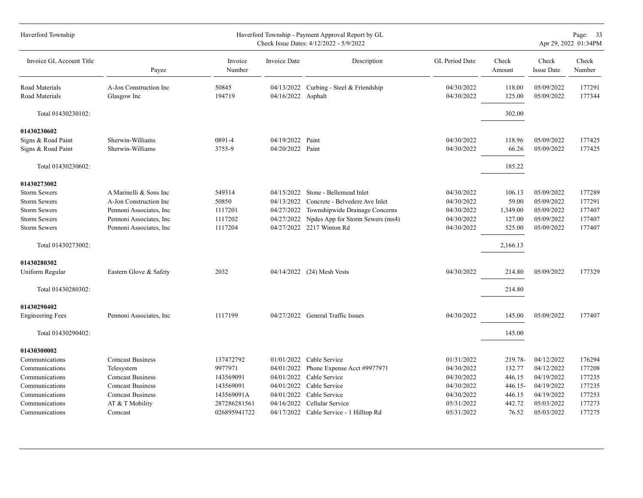| Haverford Township       |                          |                   |                    | Haverford Township - Payment Approval Report by GL<br>Check Issue Dates: 4/12/2022 - 5/9/2022 |                |                 |                            | Page: 33<br>Apr 29, 2022 01:34PM |
|--------------------------|--------------------------|-------------------|--------------------|-----------------------------------------------------------------------------------------------|----------------|-----------------|----------------------------|----------------------------------|
| Invoice GL Account Title | Payee                    | Invoice<br>Number | Invoice Date       | Description                                                                                   | GL Period Date | Check<br>Amount | Check<br><b>Issue Date</b> | Check<br>Number                  |
| Road Materials           | A-Jon Construction Inc   | 50845             |                    | 04/13/2022 Curbing - Steel & Friendship                                                       | 04/30/2022     | 118.00          | 05/09/2022                 | 177291                           |
| Road Materials           | Glasgow Inc              | 194719            | 04/16/2022 Asphalt |                                                                                               | 04/30/2022     | 125.00          | 05/09/2022                 | 177344                           |
| Total 01430230102:       |                          |                   |                    |                                                                                               |                | 302.00          |                            |                                  |
| 01430230602              |                          |                   |                    |                                                                                               |                |                 |                            |                                  |
| Signs & Road Paint       | Sherwin-Williams         | 0891-4            | 04/19/2022 Paint   |                                                                                               | 04/30/2022     | 118.96          | 05/09/2022                 | 177425                           |
| Signs & Road Paint       | Sherwin-Williams         | 3755-9            | 04/20/2022 Paint   |                                                                                               | 04/30/2022     | 66.26           | 05/09/2022                 | 177425                           |
| Total 01430230602:       |                          |                   |                    |                                                                                               |                | 185.22          |                            |                                  |
| 01430273002              |                          |                   |                    |                                                                                               |                |                 |                            |                                  |
| <b>Storm Sewers</b>      | A Marinelli & Sons Inc   | 549314            | 04/15/2022         | Stone - Bellemead Inlet                                                                       | 04/30/2022     | 106.13          | 05/09/2022                 | 177289                           |
| <b>Storm Sewers</b>      | A-Jon Construction Inc   | 50850             | 04/13/2022         | Concrete - Belvedere Ave Inlet                                                                | 04/30/2022     | 59.00           | 05/09/2022                 | 177291                           |
| <b>Storm Sewers</b>      | Pennoni Associates, Inc. | 1117201           | 04/27/2022         | Townshipwide Drainage Concerns                                                                | 04/30/2022     | 1,349.00        | 05/09/2022                 | 177407                           |
| <b>Storm Sewers</b>      | Pennoni Associates, Inc. | 1117202           | 04/27/2022         | Npdes App for Storm Sewers (ms4)                                                              | 04/30/2022     | 127.00          | 05/09/2022                 | 177407                           |
| <b>Storm Sewers</b>      | Pennoni Associates, Inc. | 1117204           |                    | 04/27/2022 2217 Winton Rd                                                                     | 04/30/2022     | 525.00          | 05/09/2022                 | 177407                           |
| Total 01430273002:       |                          |                   |                    |                                                                                               |                | 2,166.13        |                            |                                  |
| 01430280302              |                          |                   |                    |                                                                                               |                |                 |                            |                                  |
| Uniform Regular          | Eastern Glove & Safety   | 2032              |                    | 04/14/2022 (24) Mesh Vests                                                                    | 04/30/2022     | 214.80          | 05/09/2022                 | 177329                           |
| Total 01430280302:       |                          |                   |                    |                                                                                               |                | 214.80          |                            |                                  |
| 01430290402              |                          |                   |                    |                                                                                               |                |                 |                            |                                  |
| <b>Engineering Fees</b>  | Pennoni Associates, Inc. | 1117199           |                    | 04/27/2022 General Traffic Issues                                                             | 04/30/2022     | 145.00          | 05/09/2022                 | 177407                           |
| Total 01430290402:       |                          |                   |                    |                                                                                               |                | 145.00          |                            |                                  |
| 01430300002              |                          |                   |                    |                                                                                               |                |                 |                            |                                  |
| Communications           | <b>Comcast Business</b>  | 137472792         |                    | 01/01/2022 Cable Service                                                                      | 01/31/2022     | 219.78-         | 04/12/2022                 | 176294                           |
| Communications           | Telesystem               | 9977971           | 04/01/2022         | Phone Expense Acct #9977971                                                                   | 04/30/2022     | 132.77          | 04/12/2022                 | 177208                           |
| Communications           | <b>Comcast Business</b>  | 143569091         | 04/01/2022         | Cable Service                                                                                 | 04/30/2022     | 446.15          | 04/19/2022                 | 177235                           |
| Communications           | <b>Comcast Business</b>  | 143569091         |                    | 04/01/2022 Cable Service                                                                      | 04/30/2022     | 446.15-         | 04/19/2022                 | 177235                           |
| Communications           | <b>Comcast Business</b>  | 143569091A        | 04/01/2022         | Cable Service                                                                                 | 04/30/2022     | 446.15          | 04/19/2022                 | 177253                           |
| Communications           | AT & T Mobility          | 287286281561      | 04/16/2022         | Cellular Service                                                                              | 05/31/2022     | 442.72          | 05/03/2022                 | 177273                           |
| Communications           | Comcast                  | 026895941722      |                    | 04/17/2022 Cable Service - 1 Hilltop Rd                                                       | 05/31/2022     | 76.52           | 05/03/2022                 | 177275                           |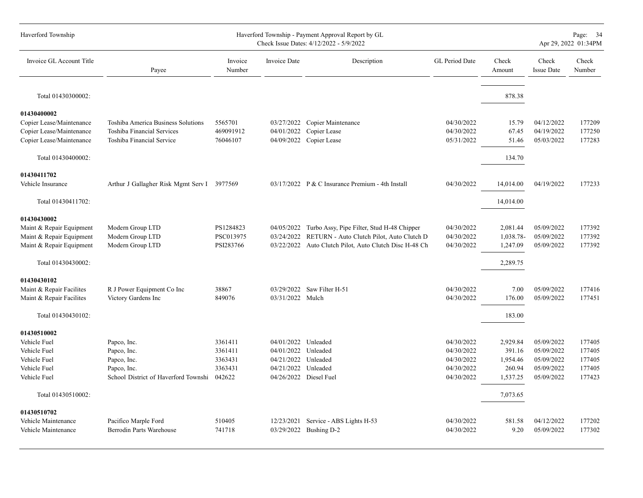| Haverford Township       |                                             |                   | Page: 34<br>Apr 29, 2022 01:34PM |                                                        |                       |                 |                            |                 |
|--------------------------|---------------------------------------------|-------------------|----------------------------------|--------------------------------------------------------|-----------------------|-----------------|----------------------------|-----------------|
| Invoice GL Account Title | Payee                                       | Invoice<br>Number | Invoice Date                     | Description                                            | <b>GL</b> Period Date | Check<br>Amount | Check<br><b>Issue Date</b> | Check<br>Number |
| Total 01430300002:       |                                             |                   |                                  |                                                        |                       | 878.38          |                            |                 |
| 01430400002              |                                             |                   |                                  |                                                        |                       |                 |                            |                 |
| Copier Lease/Maintenance | Toshiba America Business Solutions          | 5565701           |                                  | 03/27/2022 Copier Maintenance                          | 04/30/2022            | 15.79           | 04/12/2022                 | 177209          |
| Copier Lease/Maintenance | Toshiba Financial Services                  | 469091912         | 04/01/2022                       | Copier Lease                                           | 04/30/2022            | 67.45           | 04/19/2022                 | 177250          |
| Copier Lease/Maintenance | Toshiba Financial Service                   | 76046107          | 04/09/2022                       | Copier Lease                                           | 05/31/2022            | 51.46           | 05/03/2022                 | 177283          |
| Total 01430400002:       |                                             |                   |                                  |                                                        |                       | 134.70          |                            |                 |
| 01430411702              |                                             |                   |                                  |                                                        |                       |                 |                            |                 |
| Vehicle Insurance        | Arthur J Gallagher Risk Mgmt Serv I 3977569 |                   |                                  | 03/17/2022 P & C Insurance Premium - 4th Install       | 04/30/2022            | 14,014.00       | 04/19/2022                 | 177233          |
| Total 01430411702:       |                                             |                   |                                  |                                                        |                       | 14,014.00       |                            |                 |
| 01430430002              |                                             |                   |                                  |                                                        |                       |                 |                            |                 |
| Maint & Repair Equipment | Modern Group LTD                            | PS1284823         | 04/05/2022                       | Turbo Assy, Pipe Filter, Stud H-48 Chipper             | 04/30/2022            | 2,081.44        | 05/09/2022                 | 177392          |
| Maint & Repair Equipment | Modern Group LTD                            | PSC013975         | 03/24/2022                       | RETURN - Auto Clutch Pilot, Auto Clutch D              | 04/30/2022            | 1,038.78-       | 05/09/2022                 | 177392          |
| Maint & Repair Equipment | Modern Group LTD                            | PSI283766         |                                  | 03/22/2022 Auto Clutch Pilot. Auto Clutch Disc H-48 Ch | 04/30/2022            | 1,247.09        | 05/09/2022                 | 177392          |
| Total 01430430002:       |                                             |                   |                                  |                                                        |                       | 2,289.75        |                            |                 |
| 01430430102              |                                             |                   |                                  |                                                        |                       |                 |                            |                 |
| Maint & Repair Facilites | R J Power Equipment Co Inc                  | 38867             |                                  | 03/29/2022 Saw Filter H-51                             | 04/30/2022            | 7.00            | 05/09/2022                 | 177416          |
| Maint & Repair Facilites | Victory Gardens Inc                         | 849076            | 03/31/2022 Mulch                 |                                                        | 04/30/2022            | 176.00          | 05/09/2022                 | 177451          |
| Total 01430430102:       |                                             |                   |                                  |                                                        |                       | 183.00          |                            |                 |
| 01430510002              |                                             |                   |                                  |                                                        |                       |                 |                            |                 |
| Vehicle Fuel             | Papco, Inc.                                 | 3361411           | 04/01/2022 Unleaded              |                                                        | 04/30/2022            | 2,929.84        | 05/09/2022                 | 177405          |
| Vehicle Fuel             | Papco, Inc.                                 | 3361411           | 04/01/2022 Unleaded              |                                                        | 04/30/2022            | 391.16          | 05/09/2022                 | 177405          |
| Vehicle Fuel             | Papco, Inc.                                 | 3363431           | 04/21/2022 Unleaded              |                                                        | 04/30/2022            | 1,954.46        | 05/09/2022                 | 177405          |
| Vehicle Fuel             | Papco, Inc.                                 | 3363431           | 04/21/2022                       | Unleaded                                               | 04/30/2022            | 260.94          | 05/09/2022                 | 177405          |
| Vehicle Fuel             | School District of Haverford Townshi        | 042622            |                                  | 04/26/2022 Diesel Fuel                                 | 04/30/2022            | 1,537.25        | 05/09/2022                 | 177423          |
| Total 01430510002:       |                                             |                   |                                  |                                                        |                       | 7,073.65        |                            |                 |
| 01430510702              |                                             |                   |                                  |                                                        |                       |                 |                            |                 |
| Vehicle Maintenance      | Pacifico Marple Ford                        | 510405            |                                  | 12/23/2021 Service - ABS Lights H-53                   | 04/30/2022            | 581.58          | 04/12/2022                 | 177202          |
| Vehicle Maintenance      | <b>Berrodin Parts Warehouse</b>             | 741718            |                                  | 03/29/2022 Bushing D-2                                 | 04/30/2022            | 9.20            | 05/09/2022                 | 177302          |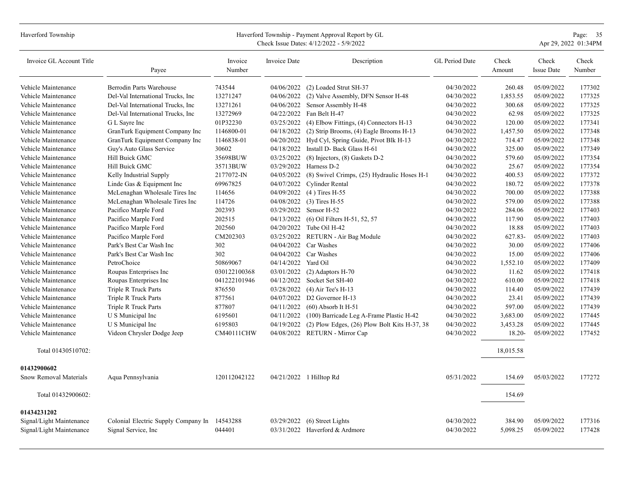| Haverford Township                                   | Haverford Township - Payment Approval Report by GL<br>Check Issue Dates: 4/12/2022 - 5/9/2022 |                    |                     |                                                     |                          |                    |                            |                  |  |
|------------------------------------------------------|-----------------------------------------------------------------------------------------------|--------------------|---------------------|-----------------------------------------------------|--------------------------|--------------------|----------------------------|------------------|--|
| Invoice GL Account Title                             | Payee                                                                                         | Invoice<br>Number  | Invoice Date        | Description                                         | GL Period Date           | Check<br>Amount    | Check<br><b>Issue Date</b> | Check<br>Number  |  |
| Vehicle Maintenance                                  | Berrodin Parts Warehouse                                                                      | 743544             | 04/06/2022          | (2) Loaded Strut SH-37                              | 04/30/2022               | 260.48             | 05/09/2022                 | 177302           |  |
| Vehicle Maintenance                                  | Del-Val International Trucks, Inc.                                                            | 13271247           | 04/06/2022          | (2) Valve Assembly, DFN Sensor H-48                 | 04/30/2022               | 1,853.55           | 05/09/2022                 | 177325           |  |
| Vehicle Maintenance                                  | Del-Val International Trucks, Inc.                                                            | 13271261           |                     | 04/06/2022 Sensor Assembly H-48                     | 04/30/2022               | 300.68             | 05/09/2022                 | 177325           |  |
| Vehicle Maintenance                                  | Del-Val International Trucks, Inc.                                                            | 13272969           | 04/22/2022          | Fan Belt H-47                                       | 04/30/2022               | 62.98              | 05/09/2022                 | 177325           |  |
| Vehicle Maintenance                                  | G L Sayre Inc                                                                                 | 01P32230           | 03/25/2022          | $(4)$ Elbow Fittings, $(4)$ Connectors H-13         | 04/30/2022               | 120.00             | 05/09/2022                 | 177341           |  |
| Vehicle Maintenance                                  | GranTurk Equipment Company Inc                                                                | 1146800-01         | 04/18/2022          | (2) Strip Brooms, (4) Eagle Brooms H-13             | 04/30/2022               | 1,457.50           | 05/09/2022                 | 177348           |  |
| Vehicle Maintenance                                  | GranTurk Equipment Company Inc                                                                | 1146838-01         | 04/20/2022          | Hyd Cyl, Spring Guide, Pivot Blk H-13               | 04/30/2022               | 714.47             | 05/09/2022                 | 177348           |  |
| Vehicle Maintenance                                  | Guy's Auto Glass Service                                                                      | 30602              |                     | 04/18/2022 Install D- Back Glass H-61               | 04/30/2022               | 325.00             | 05/09/2022                 | 177349           |  |
| Vehicle Maintenance                                  | Hill Buick GMC                                                                                | 35698BUW           | 03/25/2022          | $(8)$ Injectors, $(8)$ Gaskets D-2                  | 04/30/2022               | 579.60             | 05/09/2022                 | 177354           |  |
| Vehicle Maintenance                                  | Hill Buick GMC                                                                                | 35713BUW           |                     | 03/29/2022 Harness D-2                              | 04/30/2022               | 25.67              | 05/09/2022                 | 177354           |  |
| Vehicle Maintenance                                  | Kelly Industrial Supply                                                                       | 2177072-IN         | 04/05/2022          | (8) Swivel Crimps, (25) Hydraulic Hoses H-1         | 04/30/2022               | 400.53             | 05/09/2022                 | 177372           |  |
| Vehicle Maintenance                                  | Linde Gas & Equipment Inc                                                                     | 69967825           | 04/07/2022          | Cylinder Rental                                     | 04/30/2022               | 180.72             | 05/09/2022                 | 177378           |  |
| Vehicle Maintenance                                  | McLenaghan Wholesale Tires Inc                                                                | 114656             | 04/09/2022          | $(4)$ Tires H-55                                    | 04/30/2022               | 700.00             | 05/09/2022                 | 177388           |  |
| Vehicle Maintenance                                  | McLenaghan Wholesale Tires Inc                                                                | 114726             | 04/08/2022          | $(3)$ Tires H-55                                    | 04/30/2022               | 579.00             | 05/09/2022                 | 177388           |  |
| Vehicle Maintenance                                  | Pacifico Marple Ford                                                                          | 202393             | 03/29/2022          | Sensor H-52                                         | 04/30/2022               | 284.06             | 05/09/2022                 | 177403           |  |
| Vehicle Maintenance                                  | Pacifico Marple Ford                                                                          | 202515             | 04/13/2022          | (6) Oil Filters H-51, 52, 57                        | 04/30/2022               | 117.90             | 05/09/2022                 | 177403           |  |
| Vehicle Maintenance                                  | Pacifico Marple Ford                                                                          | 202560             |                     | 04/20/2022 Tube Oil H-42                            | 04/30/2022               | 18.88              | 05/09/2022                 | 177403           |  |
| Vehicle Maintenance                                  | Pacifico Marple Ford                                                                          | CM202303           |                     | 03/25/2022 RETURN - Air Bag Module                  | 04/30/2022               | 627.83-            | 05/09/2022                 | 177403           |  |
| Vehicle Maintenance                                  | Park's Best Car Wash Inc                                                                      | 302                |                     | 04/04/2022 Car Washes                               | 04/30/2022               | 30.00              | 05/09/2022                 | 177406           |  |
| Vehicle Maintenance                                  | Park's Best Car Wash Inc                                                                      | 302                | 04/04/2022          | Car Washes                                          | 04/30/2022               | 15.00              | 05/09/2022                 | 177406           |  |
| Vehicle Maintenance                                  | PetroChoice                                                                                   | 50869067           | 04/14/2022 Yard Oil |                                                     | 04/30/2022               | 1,552.10           | 05/09/2022                 | 177409           |  |
| Vehicle Maintenance                                  | Roupas Enterprises Inc                                                                        | 030122100368       | 03/01/2022          | $(2)$ Adaptors H-70                                 | 04/30/2022               | 11.62              | 05/09/2022                 | 177418           |  |
| Vehicle Maintenance                                  | Roupas Enterprises Inc                                                                        | 041222101946       | 04/12/2022          | Socket Set SH-40                                    | 04/30/2022               | 610.00             | 05/09/2022                 | 177418           |  |
| Vehicle Maintenance                                  | Triple R Truck Parts                                                                          | 876550             | 03/28/2022          | $(4)$ Air Tee's H-13                                | 04/30/2022               | 114.40             | 05/09/2022                 | 177439           |  |
| Vehicle Maintenance                                  | Triple R Truck Parts                                                                          | 877561             | 04/07/2022          | D2 Governor H-13                                    | 04/30/2022               | 23.41              | 05/09/2022                 | 177439           |  |
| Vehicle Maintenance                                  | Triple R Truck Parts                                                                          | 877807             | 04/11/2022          | $(60)$ Absorb It H-51                               | 04/30/2022               | 597.00             | 05/09/2022                 | 177439           |  |
| Vehicle Maintenance                                  | U S Municipal Inc                                                                             | 6195601            | 04/11/2022          | (100) Barricade Leg A-Frame Plastic H-42            | 04/30/2022               | 3,683.00           | 05/09/2022                 | 177445           |  |
| Vehicle Maintenance                                  | U S Municipal Inc                                                                             | 6195803            | 04/19/2022          | $(2)$ Plow Edges, $(26)$ Plow Bolt Kits H-37, 38    | 04/30/2022               | 3,453.28           | 05/09/2022                 | 177445           |  |
| Vehicle Maintenance                                  | Videon Chrysler Dodge Jeep                                                                    | <b>CM40111CHW</b>  |                     | 04/08/2022 RETURN - Mirror Cap                      | 04/30/2022               | 18.20-             | 05/09/2022                 | 177452           |  |
| Total 01430510702:                                   |                                                                                               |                    |                     |                                                     |                          | 18,015.58          |                            |                  |  |
| 01432900602                                          |                                                                                               |                    |                     |                                                     |                          |                    |                            |                  |  |
| Snow Removal Materials                               | Aqua Pennsylvania                                                                             | 120112042122       |                     | 04/21/2022 1 Hilltop Rd                             | 05/31/2022               | 154.69             | 05/03/2022                 | 177272           |  |
| Total 01432900602:                                   |                                                                                               |                    |                     |                                                     |                          | 154.69             |                            |                  |  |
| 01434231202                                          |                                                                                               |                    |                     |                                                     |                          |                    |                            |                  |  |
| Signal/Light Maintenance<br>Signal/Light Maintenance | Colonial Electric Supply Company In<br>Signal Service, Inc.                                   | 14543288<br>044401 | 03/29/2022          | (6) Street Lights<br>03/31/2022 Haverford & Ardmore | 04/30/2022<br>04/30/2022 | 384.90<br>5,098.25 | 05/09/2022<br>05/09/2022   | 177316<br>177428 |  |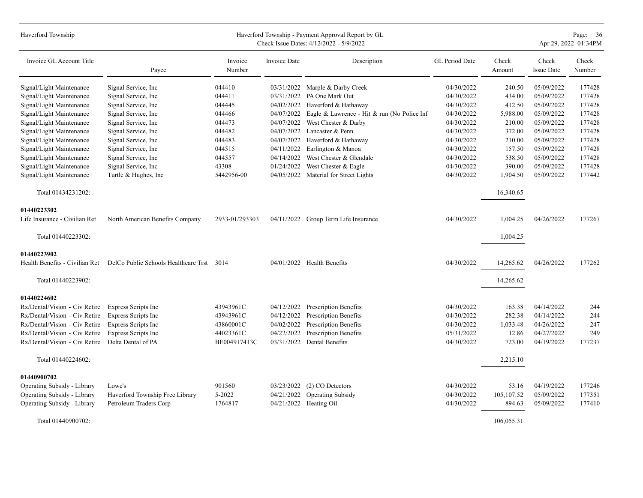| Haverford Township             |                                           |                   |              | Haverford Township - Payment Approval Report by GL<br>Check Issue Dates: 4/12/2022 - 5/9/2022 |                |                 |                            | Page: 36<br>Apr 29, 2022 01:34PM |
|--------------------------------|-------------------------------------------|-------------------|--------------|-----------------------------------------------------------------------------------------------|----------------|-----------------|----------------------------|----------------------------------|
| Invoice GL Account Title       | Payee                                     | Invoice<br>Number | Invoice Date | Description                                                                                   | GL Period Date | Check<br>Amount | Check<br><b>Issue Date</b> | Check<br>Number                  |
| Signal/Light Maintenance       | Signal Service, Inc                       | 044410            |              | 03/31/2022 Marple & Darby Creek                                                               | 04/30/2022     | 240.50          | 05/09/2022                 | 177428                           |
| Signal/Light Maintenance       | Signal Service, Inc                       | 044411            | 03/31/2022   | PA One Mark Out                                                                               | 04/30/2022     | 434.00          | 05/09/2022                 | 177428                           |
| Signal/Light Maintenance       | Signal Service, Inc                       | 044445            | 04/02/2022   | Haverford & Hathaway                                                                          | 04/30/2022     | 412.50          | 05/09/2022                 | 177428                           |
| Signal/Light Maintenance       | Signal Service, Inc                       | 044466            | 04/07/2022   | Eagle & Lawrence - Hit & run (No Police Inf                                                   | 04/30/2022     | 5,988.00        | 05/09/2022                 | 177428                           |
| Signal/Light Maintenance       | Signal Service, Inc                       | 044473            | 04/07/2022   | West Chester & Darby                                                                          | 04/30/2022     | 210.00          | 05/09/2022                 | 177428                           |
| Signal/Light Maintenance       | Signal Service, Inc.                      | 044482            | 04/07/2022   | Lancaster & Penn                                                                              | 04/30/2022     | 372.00          | 05/09/2022                 | 177428                           |
| Signal/Light Maintenance       | Signal Service, Inc.                      | 044483            | 04/07/2022   | Haverford & Hathaway                                                                          | 04/30/2022     | 210.00          | 05/09/2022                 | 177428                           |
| Signal/Light Maintenance       | Signal Service, Inc.                      | 044515            | 04/11/2022   | Earlington & Manoa                                                                            | 04/30/2022     | 157.50          | 05/09/2022                 | 177428                           |
| Signal/Light Maintenance       | Signal Service, Inc.                      | 044557            | 04/14/2022   | West Chester & Glendale                                                                       | 04/30/2022     | 538.50          | 05/09/2022                 | 177428                           |
| Signal/Light Maintenance       | Signal Service, Inc.                      | 43308             | 01/24/2022   | West Chester & Eagle                                                                          | 04/30/2022     | 390.00          | 05/09/2022                 | 177428                           |
| Signal/Light Maintenance       | Turtle & Hughes, Inc.                     | 5442956-00        | 04/05/2022   | Material for Street Lights                                                                    | 04/30/2022     | 1,904.50        | 05/09/2022                 | 177442                           |
| Total 01434231202:             |                                           |                   |              |                                                                                               |                | 16,340.65       |                            |                                  |
| 01440223302                    |                                           |                   |              |                                                                                               |                |                 |                            |                                  |
| Life Insurance - Civilian Ret  | North American Benefits Company           | 2933-01/293303    |              | 04/11/2022 Group Term Life Insurance                                                          | 04/30/2022     | 1,004.25        | 04/26/2022                 | 177267                           |
| Total 01440223302:             |                                           |                   |              |                                                                                               |                | 1,004.25        |                            |                                  |
| 01440223902                    |                                           |                   |              |                                                                                               |                |                 |                            |                                  |
| Health Benefits - Civilian Ret | DelCo Public Schools Healthcare Trst 3014 |                   |              | 04/01/2022 Health Benefits                                                                    | 04/30/2022     | 14,265.62       | 04/26/2022                 | 177262                           |
| Total 01440223902:             |                                           |                   |              |                                                                                               |                | 14,265.62       |                            |                                  |
| 01440224602                    |                                           |                   |              |                                                                                               |                |                 |                            |                                  |
| Rx/Dental/Vision - Civ Retire  | Express Scripts Inc                       | 43943961C         | 04/12/2022   | <b>Prescription Benefits</b>                                                                  | 04/30/2022     | 163.38          | 04/14/2022                 | 244                              |
| Rx/Dental/Vision - Civ Retire  | Express Scripts Inc                       | 43943961C         | 04/12/2022   | <b>Prescription Benefits</b>                                                                  | 04/30/2022     | 282.38          | 04/14/2022                 | 244                              |
| Rx/Dental/Vision - Civ Retire  | Express Scripts Inc                       | 43860001C         | 04/02/2022   | Prescription Benefits                                                                         | 04/30/2022     | 1,033.48        | 04/26/2022                 | 247                              |
| Rx/Dental/Vision - Civ Retire  | Express Scripts Inc                       | 44023361C         | 04/22/2022   | Prescription Benefits                                                                         | 05/31/2022     | 12.86           | 04/27/2022                 | 249                              |
| Rx/Dental/Vision - Civ Retire  | Delta Dental of PA                        | BE004917413C      | 03/31/2022   | Dental Benefits                                                                               | 04/30/2022     | 723.00          | 04/19/2022                 | 177237                           |
| Total 01440224602:             |                                           |                   |              |                                                                                               |                | 2,215.10        |                            |                                  |
| 01440900702                    |                                           |                   |              |                                                                                               |                |                 |                            |                                  |
| Operating Subsidy - Library    | Lowe's                                    | 901560            | 03/23/2022   | (2) CO Detectors                                                                              | 04/30/2022     | 53.16           | 04/19/2022                 | 177246                           |
| Operating Subsidy - Library    | Haverford Township Free Library           | 5-2022            | 04/21/2022   | <b>Operating Subsidy</b>                                                                      | 04/30/2022     | 105, 107.52     | 05/09/2022                 | 177351                           |
| Operating Subsidy - Library    | Petroleum Traders Corp                    | 1764817           | 04/21/2022   | Heating Oil                                                                                   | 04/30/2022     | 894.63          | 05/09/2022                 | 177410                           |
| Total 01440900702:             |                                           |                   |              |                                                                                               |                | 106,055.31      |                            |                                  |
|                                |                                           |                   |              |                                                                                               |                |                 |                            |                                  |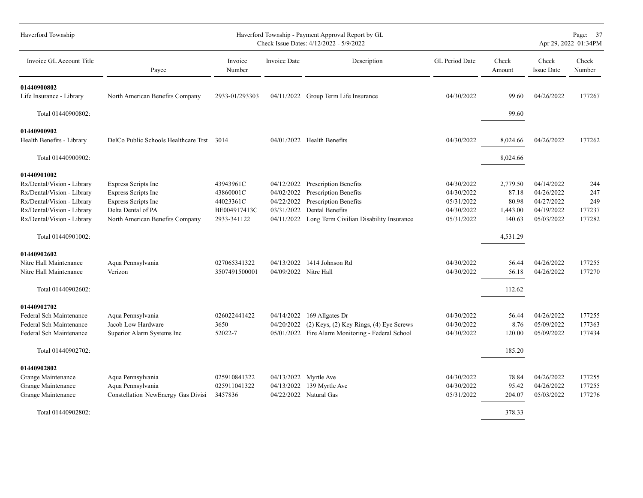| Haverford Township                                       |                                                  |                           |                          | Haverford Township - Payment Approval Report by GL<br>Check Issue Dates: 4/12/2022 - 5/9/2022 |                          |                    | Page: 37<br>Apr 29, 2022 01:34PM |                 |  |  |  |  |
|----------------------------------------------------------|--------------------------------------------------|---------------------------|--------------------------|-----------------------------------------------------------------------------------------------|--------------------------|--------------------|----------------------------------|-----------------|--|--|--|--|
| Invoice GL Account Title                                 | Payee                                            | Invoice<br>Number         | <b>Invoice Date</b>      | Description                                                                                   | <b>GL</b> Period Date    | Check<br>Amount    | Check<br><b>Issue Date</b>       | Check<br>Number |  |  |  |  |
| 01440900802                                              |                                                  |                           |                          |                                                                                               |                          |                    |                                  |                 |  |  |  |  |
| Life Insurance - Library                                 | North American Benefits Company                  | 2933-01/293303            |                          | 04/11/2022 Group Term Life Insurance                                                          | 04/30/2022               | 99.60              | 04/26/2022                       | 177267          |  |  |  |  |
| Total 01440900802:                                       |                                                  |                           |                          |                                                                                               |                          | 99.60              |                                  |                 |  |  |  |  |
| 01440900902                                              |                                                  |                           |                          |                                                                                               |                          |                    |                                  |                 |  |  |  |  |
| Health Benefits - Library                                | DelCo Public Schools Healthcare Trst 3014        |                           |                          | $04/01/2022$ Health Benefits                                                                  | 04/30/2022               | 8,024.66           | 04/26/2022                       | 177262          |  |  |  |  |
| Total 01440900902:                                       |                                                  |                           |                          |                                                                                               |                          | 8,024.66           |                                  |                 |  |  |  |  |
| 01440901002                                              |                                                  |                           |                          |                                                                                               |                          |                    |                                  |                 |  |  |  |  |
| Rx/Dental/Vision - Library                               | Express Scripts Inc                              | 43943961C                 | 04/12/2022               | <b>Prescription Benefits</b>                                                                  | 04/30/2022               | 2,779.50           | 04/14/2022                       | 244             |  |  |  |  |
| Rx/Dental/Vision - Library                               | <b>Express Scripts Inc</b>                       | 43860001C                 | 04/02/2022               | Prescription Benefits                                                                         | 04/30/2022               | 87.18              | 04/26/2022                       | 247             |  |  |  |  |
| Rx/Dental/Vision - Library                               | <b>Express Scripts Inc</b><br>Delta Dental of PA | 44023361C<br>BE004917413C | 04/22/2022<br>03/31/2022 | Prescription Benefits<br>Dental Benefits                                                      | 05/31/2022<br>04/30/2022 | 80.98              | 04/27/2022<br>04/19/2022         | 249<br>177237   |  |  |  |  |
| Rx/Dental/Vision - Library<br>Rx/Dental/Vision - Library | North American Benefits Company                  | 2933-341122               | 04/11/2022               | Long Term Civilian Disability Insurance                                                       | 05/31/2022               | 1,443.00<br>140.63 | 05/03/2022                       | 177282          |  |  |  |  |
| Total 01440901002:                                       |                                                  |                           |                          |                                                                                               |                          | 4,531.29           |                                  |                 |  |  |  |  |
| 01440902602                                              |                                                  |                           |                          |                                                                                               |                          |                    |                                  |                 |  |  |  |  |
| Nitre Hall Maintenance                                   | Aqua Pennsylvania                                | 027065341322              | 04/13/2022               | 1414 Johnson Rd                                                                               | 04/30/2022               | 56.44              | 04/26/2022                       | 177255          |  |  |  |  |
| Nitre Hall Maintenance                                   | Verizon                                          | 3507491500001             | 04/09/2022 Nitre Hall    |                                                                                               | 04/30/2022               | 56.18              | 04/26/2022                       | 177270          |  |  |  |  |
| Total 01440902602:                                       |                                                  |                           |                          |                                                                                               |                          | 112.62             |                                  |                 |  |  |  |  |
| 01440902702                                              |                                                  |                           |                          |                                                                                               |                          |                    |                                  |                 |  |  |  |  |
| Federal Sch Maintenance                                  | Aqua Pennsylvania                                | 026022441422              | 04/14/2022               | 169 Allgates Dr                                                                               | 04/30/2022               | 56.44              | 04/26/2022                       | 177255          |  |  |  |  |
| Federal Sch Maintenance                                  | Jacob Low Hardware                               | 3650                      | 04/20/2022               | $(2)$ Keys, $(2)$ Key Rings, $(4)$ Eye Screws                                                 | 04/30/2022               | 8.76               | 05/09/2022                       | 177363          |  |  |  |  |
| Federal Sch Maintenance                                  | Superior Alarm Systems Inc                       | 52022-7                   |                          | 05/01/2022 Fire Alarm Monitoring - Federal School                                             | 04/30/2022               | 120.00             | 05/09/2022                       | 177434          |  |  |  |  |
| Total 01440902702:                                       |                                                  |                           |                          |                                                                                               |                          | 185.20             |                                  |                 |  |  |  |  |
| 01440902802                                              |                                                  |                           |                          |                                                                                               |                          |                    |                                  |                 |  |  |  |  |
| Grange Maintenance                                       | Aqua Pennsylvania                                | 025910841322              | 04/13/2022               | Myrtle Ave                                                                                    | 04/30/2022               | 78.84              | 04/26/2022                       | 177255          |  |  |  |  |
| Grange Maintenance                                       | Aqua Pennsylvania                                | 025911041322              | 04/13/2022               | 139 Myrtle Ave                                                                                | 04/30/2022               | 95.42              | 04/26/2022                       | 177255          |  |  |  |  |
| Grange Maintenance                                       | Constellation NewEnergy Gas Divisi               | 3457836                   | 04/22/2022               | Natural Gas                                                                                   | 05/31/2022               | 204.07             | 05/03/2022                       | 177276          |  |  |  |  |
| Total 01440902802:                                       |                                                  |                           |                          |                                                                                               |                          | 378.33             |                                  |                 |  |  |  |  |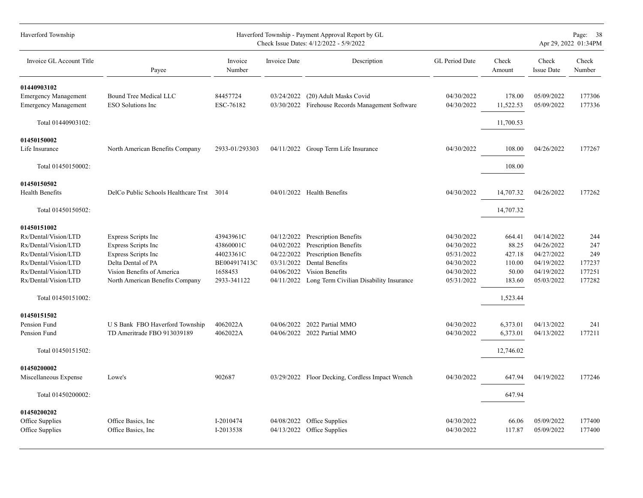| Haverford Township                                                                                                                                                                | Haverford Township - Payment Approval Report by GL<br>Check Issue Dates: 4/12/2022 - 5/9/2022                                                                          |                                                                               |                                                                                  |                                                                                                                                                          |                                                                                  |                                                                    |                                                                                  |                                                 |  |
|-----------------------------------------------------------------------------------------------------------------------------------------------------------------------------------|------------------------------------------------------------------------------------------------------------------------------------------------------------------------|-------------------------------------------------------------------------------|----------------------------------------------------------------------------------|----------------------------------------------------------------------------------------------------------------------------------------------------------|----------------------------------------------------------------------------------|--------------------------------------------------------------------|----------------------------------------------------------------------------------|-------------------------------------------------|--|
| Invoice GL Account Title                                                                                                                                                          | Payee                                                                                                                                                                  | Invoice<br>Number                                                             | <b>Invoice Date</b>                                                              | Description                                                                                                                                              | GL Period Date                                                                   | Check<br>Amount                                                    | Check<br><b>Issue Date</b>                                                       | Check<br>Number                                 |  |
| 01440903102<br><b>Emergency Management</b>                                                                                                                                        | Bound Tree Medical LLC<br><b>ESO Solutions Inc</b>                                                                                                                     | 84457724<br>ESC-76182                                                         | 03/24/2022                                                                       | (20) Adult Masks Covid<br>03/30/2022 Firehouse Records Management Software                                                                               | 04/30/2022<br>04/30/2022                                                         | 178.00<br>11,522.53                                                | 05/09/2022<br>05/09/2022                                                         | 177306<br>177336                                |  |
| <b>Emergency Management</b><br>Total 01440903102:                                                                                                                                 |                                                                                                                                                                        |                                                                               |                                                                                  |                                                                                                                                                          |                                                                                  | 11,700.53                                                          |                                                                                  |                                                 |  |
| 01450150002<br>Life Insurance                                                                                                                                                     | North American Benefits Company                                                                                                                                        | 2933-01/293303                                                                |                                                                                  | 04/11/2022 Group Term Life Insurance                                                                                                                     | 04/30/2022                                                                       | 108.00                                                             | 04/26/2022                                                                       | 177267                                          |  |
| Total 01450150002:                                                                                                                                                                |                                                                                                                                                                        |                                                                               |                                                                                  |                                                                                                                                                          |                                                                                  | 108.00                                                             |                                                                                  |                                                 |  |
| 01450150502<br><b>Health Benefits</b>                                                                                                                                             | DelCo Public Schools Healthcare Trst 3014                                                                                                                              |                                                                               |                                                                                  | 04/01/2022 Health Benefits                                                                                                                               | 04/30/2022                                                                       | 14,707.32                                                          | 04/26/2022                                                                       | 177262                                          |  |
| Total 01450150502:                                                                                                                                                                |                                                                                                                                                                        |                                                                               |                                                                                  |                                                                                                                                                          |                                                                                  | 14,707.32                                                          |                                                                                  |                                                 |  |
| 01450151002<br>Rx/Dental/Vision/LTD<br>Rx/Dental/Vision/LTD<br>Rx/Dental/Vision/LTD<br>Rx/Dental/Vision/LTD<br>Rx/Dental/Vision/LTD<br>Rx/Dental/Vision/LTD<br>Total 01450151002: | <b>Express Scripts Inc</b><br>Express Scripts Inc<br><b>Express Scripts Inc</b><br>Delta Dental of PA<br>Vision Benefits of America<br>North American Benefits Company | 43943961C<br>43860001C<br>44023361C<br>BE004917413C<br>1658453<br>2933-341122 | 04/12/2022<br>04/02/2022<br>04/22/2022<br>03/31/2022<br>04/06/2022<br>04/11/2022 | Prescription Benefits<br>Prescription Benefits<br>Prescription Benefits<br>Dental Benefits<br>Vision Benefits<br>Long Term Civilian Disability Insurance | 04/30/2022<br>04/30/2022<br>05/31/2022<br>04/30/2022<br>04/30/2022<br>05/31/2022 | 664.41<br>88.25<br>427.18<br>110.00<br>50.00<br>183.60<br>1,523.44 | 04/14/2022<br>04/26/2022<br>04/27/2022<br>04/19/2022<br>04/19/2022<br>05/03/2022 | 244<br>247<br>249<br>177237<br>177251<br>177282 |  |
| 01450151502<br>Pension Fund<br>Pension Fund<br>Total 01450151502:                                                                                                                 | U S Bank FBO Haverford Township<br>TD Ameritrade FBO 913039189                                                                                                         | 4062022A<br>4062022A                                                          | 04/06/2022                                                                       | 2022 Partial MMO<br>04/06/2022 2022 Partial MMO                                                                                                          | 04/30/2022<br>04/30/2022                                                         | 6,373.01<br>6,373.01<br>12,746.02                                  | 04/13/2022<br>04/13/2022                                                         | 241<br>177211                                   |  |
| 01450200002<br>Miscellaneous Expense<br>Total 01450200002:                                                                                                                        | Lowe's                                                                                                                                                                 | 902687                                                                        |                                                                                  | 03/29/2022 Floor Decking, Cordless Impact Wrench                                                                                                         | 04/30/2022                                                                       | 647.94<br>647.94                                                   | 04/19/2022                                                                       | 177246                                          |  |
| 01450200202<br>Office Supplies<br>Office Supplies                                                                                                                                 | Office Basics, Inc.<br>Office Basics, Inc.                                                                                                                             | I-2010474<br>I-2013538                                                        | 04/08/2022                                                                       | Office Supplies<br>04/13/2022 Office Supplies                                                                                                            | 04/30/2022<br>04/30/2022                                                         | 66.06<br>117.87                                                    | 05/09/2022<br>05/09/2022                                                         | 177400<br>177400                                |  |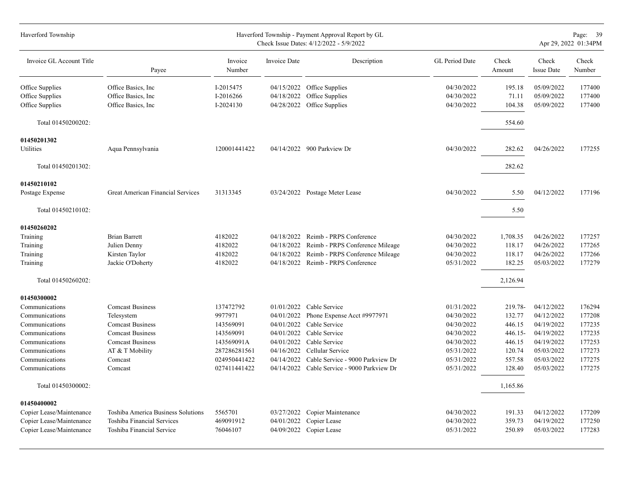| Haverford Township       |                                    |                   |              | Haverford Township - Payment Approval Report by GL<br>Check Issue Dates: 4/12/2022 - 5/9/2022 |                |                 |                            | Page: 39<br>Apr 29, 2022 01:34PM |
|--------------------------|------------------------------------|-------------------|--------------|-----------------------------------------------------------------------------------------------|----------------|-----------------|----------------------------|----------------------------------|
| Invoice GL Account Title | Payee                              | Invoice<br>Number | Invoice Date | Description                                                                                   | GL Period Date | Check<br>Amount | Check<br><b>Issue Date</b> | Check<br>Number                  |
| Office Supplies          | Office Basics, Inc.                | I-2015475         | 04/15/2022   | Office Supplies                                                                               | 04/30/2022     | 195.18          | 05/09/2022                 | 177400                           |
| Office Supplies          | Office Basics, Inc.                | I-2016266         | 04/18/2022   | Office Supplies                                                                               | 04/30/2022     | 71.11           | 05/09/2022                 | 177400                           |
| Office Supplies          | Office Basics, Inc.                | I-2024130         | 04/28/2022   | Office Supplies                                                                               | 04/30/2022     | 104.38          | 05/09/2022                 | 177400                           |
| Total 01450200202:       |                                    |                   |              |                                                                                               |                | 554.60          |                            |                                  |
| 01450201302              |                                    |                   |              |                                                                                               |                |                 |                            |                                  |
| Utilities                | Aqua Pennsylvania                  | 120001441422      |              | 04/14/2022 900 Parkview Dr                                                                    | 04/30/2022     | 282.62          | 04/26/2022                 | 177255                           |
| Total 01450201302:       |                                    |                   |              |                                                                                               |                | 282.62          |                            |                                  |
| 01450210102              |                                    |                   |              |                                                                                               |                |                 |                            |                                  |
| Postage Expense          | Great American Financial Services  | 31313345          |              | 03/24/2022 Postage Meter Lease                                                                | 04/30/2022     | 5.50            | 04/12/2022                 | 177196                           |
| Total 01450210102:       |                                    |                   |              |                                                                                               |                | 5.50            |                            |                                  |
| 01450260202              |                                    |                   |              |                                                                                               |                |                 |                            |                                  |
| Training                 | <b>Brian Barrett</b>               | 4182022           |              | 04/18/2022 Reimb - PRPS Conference                                                            | 04/30/2022     | 1,708.35        | 04/26/2022                 | 177257                           |
| Training                 | Julien Denny                       | 4182022           | 04/18/2022   | Reimb - PRPS Conference Mileage                                                               | 04/30/2022     | 118.17          | 04/26/2022                 | 177265                           |
| Training                 | Kirsten Taylor                     | 4182022           | 04/18/2022   | Reimb - PRPS Conference Mileage                                                               | 04/30/2022     | 118.17          | 04/26/2022                 | 177266                           |
| Training                 | Jackie O'Doherty                   | 4182022           | 04/18/2022   | Reimb - PRPS Conference                                                                       | 05/31/2022     | 182.25          | 05/03/2022                 | 177279                           |
| Total 01450260202:       |                                    |                   |              |                                                                                               |                | 2,126.94        |                            |                                  |
| 01450300002              |                                    |                   |              |                                                                                               |                |                 |                            |                                  |
| Communications           | <b>Comcast Business</b>            | 137472792         | 01/01/2022   | Cable Service                                                                                 | 01/31/2022     | 219.78-         | 04/12/2022                 | 176294                           |
| Communications           | Telesystem                         | 9977971           | 04/01/2022   | Phone Expense Acct #9977971                                                                   | 04/30/2022     | 132.77          | 04/12/2022                 | 177208                           |
| Communications           | <b>Comcast Business</b>            | 143569091         | 04/01/2022   | Cable Service                                                                                 | 04/30/2022     | 446.15          | 04/19/2022                 | 177235                           |
| Communications           | <b>Comcast Business</b>            | 143569091         | 04/01/2022   | Cable Service                                                                                 | 04/30/2022     | $446.15-$       | 04/19/2022                 | 177235                           |
| Communications           | <b>Comcast Business</b>            | 143569091A        | 04/01/2022   | Cable Service                                                                                 | 04/30/2022     | 446.15          | 04/19/2022                 | 177253                           |
| Communications           | AT & T Mobility                    | 287286281561      | 04/16/2022   | Cellular Service                                                                              | 05/31/2022     | 120.74          | 05/03/2022                 | 177273                           |
| Communications           | Comcast                            | 024950441422      | 04/14/2022   | Cable Service - 9000 Parkview Dr                                                              | 05/31/2022     | 557.58          | 05/03/2022                 | 177275                           |
| Communications           | Comcast                            | 027411441422      |              | 04/14/2022 Cable Service - 9000 Parkview Dr                                                   | 05/31/2022     | 128.40          | 05/03/2022                 | 177275                           |
| Total 01450300002:       |                                    |                   |              |                                                                                               |                | 1,165.86        |                            |                                  |
| 01450400002              |                                    |                   |              |                                                                                               |                |                 |                            |                                  |
| Copier Lease/Maintenance | Toshiba America Business Solutions | 5565701           | 03/27/2022   | Copier Maintenance                                                                            | 04/30/2022     | 191.33          | 04/12/2022                 | 177209                           |
| Copier Lease/Maintenance | Toshiba Financial Services         | 469091912         | 04/01/2022   | Copier Lease                                                                                  | 04/30/2022     | 359.73          | 04/19/2022                 | 177250                           |
| Copier Lease/Maintenance | Toshiba Financial Service          | 76046107          |              | 04/09/2022 Copier Lease                                                                       | 05/31/2022     | 250.89          | 05/03/2022                 | 177283                           |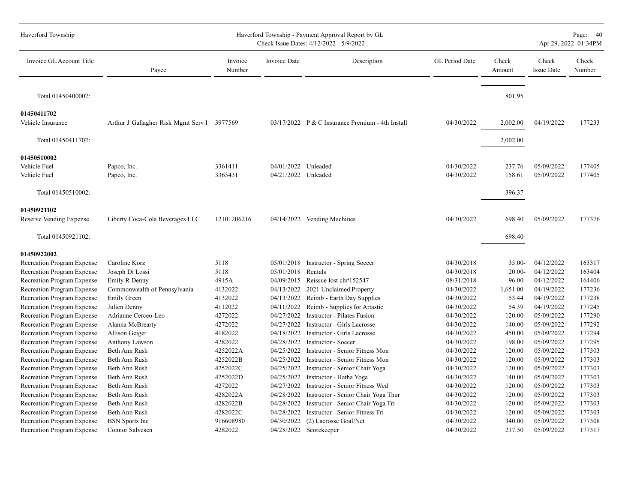| Haverford Township         |                                             |                   |                     | Haverford Township - Payment Approval Report by GL<br>Check Issue Dates: 4/12/2022 - 5/9/2022 |                       |                 |                            | Page: 40<br>Apr 29, 2022 01:34PM |
|----------------------------|---------------------------------------------|-------------------|---------------------|-----------------------------------------------------------------------------------------------|-----------------------|-----------------|----------------------------|----------------------------------|
| Invoice GL Account Title   | Payee                                       | Invoice<br>Number | <b>Invoice Date</b> | Description                                                                                   | <b>GL</b> Period Date | Check<br>Amount | Check<br><b>Issue Date</b> | Check<br>Number                  |
| Total 01450400002:         |                                             |                   |                     |                                                                                               |                       | 801.95          |                            |                                  |
| 01450411702                |                                             |                   |                     |                                                                                               |                       |                 |                            |                                  |
| Vehicle Insurance          | Arthur J Gallagher Risk Mgmt Serv I 3977569 |                   |                     | 03/17/2022 P & C Insurance Premium - 4th Install                                              | 04/30/2022            | 2,002.00        | 04/19/2022                 | 177233                           |
| Total 01450411702:         |                                             |                   |                     |                                                                                               |                       | 2,002.00        |                            |                                  |
| 01450510002                |                                             |                   |                     |                                                                                               |                       |                 |                            |                                  |
| Vehicle Fuel               | Papco, Inc.                                 | 3361411           | 04/01/2022 Unleaded |                                                                                               | 04/30/2022            | 237.76          | 05/09/2022                 | 177405                           |
| Vehicle Fuel               | Papco, Inc.                                 | 3363431           | 04/21/2022 Unleaded |                                                                                               | 04/30/2022            | 158.61          | 05/09/2022                 | 177405                           |
| Total 01450510002:         |                                             |                   |                     |                                                                                               |                       | 396.37          |                            |                                  |
| 01450921102                |                                             |                   |                     |                                                                                               |                       |                 |                            |                                  |
| Reserve Vending Expense    | Liberty Coca-Cola Beverages LLC             | 12101206216       |                     | 04/14/2022 Vending Machines                                                                   | 04/30/2022            | 698.40          | 05/09/2022                 | 177376                           |
| Total 01450921102:         |                                             |                   |                     |                                                                                               |                       | 698.40          |                            |                                  |
| 01450922002                |                                             |                   |                     |                                                                                               |                       |                 |                            |                                  |
| Recreation Program Expense | Caroline Korz                               | 5118              | 05/01/2018          | Instructor - Spring Soccer                                                                    | 04/30/2018            | $35.00 -$       | 04/12/2022                 | 163317                           |
| Recreation Program Expense | Joseph Di Lossi                             | 5118              | 05/01/2018          | Rentals                                                                                       | 04/30/2018            | $20.00 -$       | 04/12/2022                 | 163404                           |
| Recreation Program Expense | Emily R Denny                               | 4915A             | 04/09/2015          | Reissue lost ch#152547                                                                        | 08/31/2018            | 96.00-          | 04/12/2022                 | 164406                           |
| Recreation Program Expense | Commonwealth of Pennsylvania                | 4132022           | 04/13/2022          | 2021 Unclaimed Property                                                                       | 04/30/2022            | 1,651.00        | 04/19/2022                 | 177236                           |
| Recreation Program Expense | <b>Emily Green</b>                          | 4132022           | 04/13/2022          | Reimb - Earth Day Supplies                                                                    | 04/30/2022            | 53.44           | 04/19/2022                 | 177238                           |
| Recreation Program Expense | Julien Denny                                | 4112022           | 04/11/2022          | Reimb - Supplies for Artastic                                                                 | 04/30/2022            | 54.39           | 04/19/2022                 | 177245                           |
| Recreation Program Expense | Adrianne Cerceo-Leo                         | 4272022           | 04/27/2022          | Instructor - Pilates Fusion                                                                   | 04/30/2022            | 120.00          | 05/09/2022                 | 177290                           |
| Recreation Program Expense | Alanna McBrearty                            | 4272022           | 04/27/2022          | Instructor - Girls Lacrosse                                                                   | 04/30/2022            | 140.00          | 05/09/2022                 | 177292                           |
| Recreation Program Expense | Allison Geiger                              | 4182022           | 04/18/2022          | Instructor - Girls Lacrosse                                                                   | 04/30/2022            | 450.00          | 05/09/2022                 | 177294                           |
| Recreation Program Expense | Anthony Lawson                              | 4282022           | 04/28/2022          | <b>Instructor - Soccer</b>                                                                    | 04/30/2022            | 198.00          | 05/09/2022                 | 177295                           |
| Recreation Program Expense | Beth Ann Rush                               | 4252022A          | 04/25/2022          | Instructor - Senior Fitness Mon                                                               | 04/30/2022            | 120.00          | 05/09/2022                 | 177303                           |
| Recreation Program Expense | Beth Ann Rush                               | 4252022B          | 04/25/2022          | Instructor - Senior Fitness Mon                                                               | 04/30/2022            | 120.00          | 05/09/2022                 | 177303                           |
| Recreation Program Expense | Beth Ann Rush                               | 4252022C          | 04/25/2022          | Instructor - Senior Chair Yoga                                                                | 04/30/2022            | 120.00          | 05/09/2022                 | 177303                           |
| Recreation Program Expense | Beth Ann Rush                               | 4252022D          | 04/25/2022          | Instructor - Hatha Yoga                                                                       | 04/30/2022            | 140.00          | 05/09/2022                 | 177303                           |
| Recreation Program Expense | Beth Ann Rush                               | 4272022           | 04/27/2022          | Instructor - Senior Fitness Wed                                                               | 04/30/2022            | 120.00          | 05/09/2022                 | 177303                           |
| Recreation Program Expense | Beth Ann Rush                               | 4282022A          | 04/28/2022          | Instructor - Senior Chair Yoga Thur                                                           | 04/30/2022            | 120.00          | 05/09/2022                 | 177303                           |
| Recreation Program Expense | Beth Ann Rush                               | 4282022B          | 04/28/2022          | Instructor - Senior Chair Yoga Fri                                                            | 04/30/2022            | 120.00          | 05/09/2022                 | 177303                           |
| Recreation Program Expense | Beth Ann Rush                               | 4282022C          | 04/28/2022          | Instructor - Senior Fitness Fri                                                               | 04/30/2022            | 120.00          | 05/09/2022                 | 177303                           |
| Recreation Program Expense | <b>BSN</b> Sports Inc                       | 916608980         | 04/30/2022          | (2) Lacrosse Goal/Net                                                                         | 04/30/2022            | 340.00          | 05/09/2022                 | 177308                           |
| Recreation Program Expense | Connor Salvesen                             | 4282022           |                     | 04/28/2022 Scorekeeper                                                                        | 04/30/2022            | 217.50          | 05/09/2022                 | 177317                           |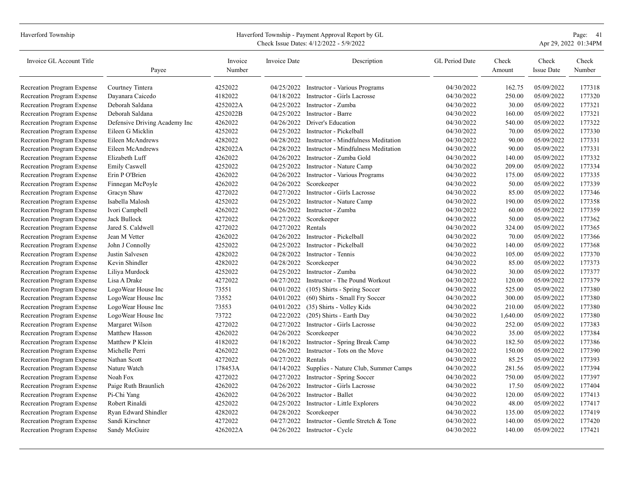| Haverford Township         | Haverford Township - Payment Approval Report by GL<br>Apr 29, 2022 01:34PM<br>Check Issue Dates: 4/12/2022 - 5/9/2022 |                   |                    |                                                |                |                 |                            |                 |  |  |
|----------------------------|-----------------------------------------------------------------------------------------------------------------------|-------------------|--------------------|------------------------------------------------|----------------|-----------------|----------------------------|-----------------|--|--|
| Invoice GL Account Title   | Payee                                                                                                                 | Invoice<br>Number | Invoice Date       | Description                                    | GL Period Date | Check<br>Amount | Check<br><b>Issue Date</b> | Check<br>Number |  |  |
| Recreation Program Expense | Courtney Tintera                                                                                                      | 4252022           |                    | 04/25/2022 Instructor - Various Programs       | 04/30/2022     | 162.75          | 05/09/2022                 | 177318          |  |  |
| Recreation Program Expense | Dayanara Caicedo                                                                                                      | 4182022           |                    | 04/18/2022 Instructor - Girls Lacrosse         | 04/30/2022     | 250.00          | 05/09/2022                 | 177320          |  |  |
| Recreation Program Expense | Deborah Saldana                                                                                                       | 4252022A          |                    | 04/25/2022 Instructor - Zumba                  | 04/30/2022     | 30.00           | 05/09/2022                 | 177321          |  |  |
| Recreation Program Expense | Deborah Saldana                                                                                                       | 4252022B          |                    | 04/25/2022 Instructor - Barre                  | 04/30/2022     | 160.00          | 05/09/2022                 | 177321          |  |  |
| Recreation Program Expense | Defensive Driving Academy Inc                                                                                         | 4262022           |                    | 04/26/2022 Driver's Education                  | 04/30/2022     | 540.00          | 05/09/2022                 | 177322          |  |  |
| Recreation Program Expense | Eileen G Micklin                                                                                                      | 4252022           | 04/25/2022         | Instructor - Pickelball                        | 04/30/2022     | 70.00           | 05/09/2022                 | 177330          |  |  |
| Recreation Program Expense | Eileen McAndrews                                                                                                      | 4282022           | 04/28/2022         | Instructor - Mindfulness Meditation            | 04/30/2022     | 90.00           | 05/09/2022                 | 177331          |  |  |
| Recreation Program Expense | Eileen McAndrews                                                                                                      | 4282022A          |                    | 04/28/2022 Instructor - Mindfulness Meditation | 04/30/2022     | 90.00           | 05/09/2022                 | 177331          |  |  |
| Recreation Program Expense | Elizabeth Luff                                                                                                        | 4262022           | 04/26/2022         | Instructor - Zumba Gold                        | 04/30/2022     | 140.00          | 05/09/2022                 | 177332          |  |  |
| Recreation Program Expense | <b>Emily Caswell</b>                                                                                                  | 4252022           | 04/25/2022         | Instructor - Nature Camp                       | 04/30/2022     | 209.00          | 05/09/2022                 | 177334          |  |  |
| Recreation Program Expense | Erin P O'Brien                                                                                                        | 4262022           |                    | 04/26/2022 Instructor - Various Programs       | 04/30/2022     | 175.00          | 05/09/2022                 | 177335          |  |  |
| Recreation Program Expense | Finnegan McPoyle                                                                                                      | 4262022           |                    | 04/26/2022 Scorekeeper                         | 04/30/2022     | 50.00           | 05/09/2022                 | 177339          |  |  |
| Recreation Program Expense | Gracyn Shaw                                                                                                           | 4272022           |                    | 04/27/2022 Instructor - Girls Lacrosse         | 04/30/2022     | 85.00           | 05/09/2022                 | 177346          |  |  |
| Recreation Program Expense | Isabella Malosh                                                                                                       | 4252022           | 04/25/2022         | Instructor - Nature Camp                       | 04/30/2022     | 190.00          | 05/09/2022                 | 177358          |  |  |
| Recreation Program Expense | Ivori Campbell                                                                                                        | 4262022           |                    | 04/26/2022 Instructor - Zumba                  | 04/30/2022     | 60.00           | 05/09/2022                 | 177359          |  |  |
| Recreation Program Expense | Jack Bullock                                                                                                          | 4272022           |                    | 04/27/2022 Scorekeeper                         | 04/30/2022     | 50.00           | 05/09/2022                 | 177362          |  |  |
| Recreation Program Expense | Jared S. Caldwell                                                                                                     | 4272022           | 04/27/2022 Rentals |                                                | 04/30/2022     | 324.00          | 05/09/2022                 | 177365          |  |  |
| Recreation Program Expense | Jean M Vetter                                                                                                         | 4262022           | 04/26/2022         | Instructor - Pickelball                        | 04/30/2022     | 70.00           | 05/09/2022                 | 177366          |  |  |
| Recreation Program Expense | John J Connolly                                                                                                       | 4252022           | 04/25/2022         | Instructor - Pickelball                        | 04/30/2022     | 140.00          | 05/09/2022                 | 177368          |  |  |
| Recreation Program Expense | Justin Salvesen                                                                                                       | 4282022           | 04/28/2022         | Instructor - Tennis                            | 04/30/2022     | 105.00          | 05/09/2022                 | 177370          |  |  |
| Recreation Program Expense | Kevin Shindler                                                                                                        | 4282022           |                    | 04/28/2022 Scorekeeper                         | 04/30/2022     | 85.00           | 05/09/2022                 | 177373          |  |  |
| Recreation Program Expense | Liliya Murdock                                                                                                        | 4252022           | 04/25/2022         | Instructor - Zumba                             | 04/30/2022     | 30.00           | 05/09/2022                 | 177377          |  |  |
| Recreation Program Expense | Lisa A Drake                                                                                                          | 4272022           | 04/27/2022         | Instructor - The Pound Workout                 | 04/30/2022     | 120.00          | 05/09/2022                 | 177379          |  |  |
| Recreation Program Expense | LogoWear House Inc                                                                                                    | 73551             |                    | 04/01/2022 (105) Shirts - Spring Soccer        | 04/30/2022     | 525.00          | 05/09/2022                 | 177380          |  |  |
| Recreation Program Expense | LogoWear House Inc                                                                                                    | 73552             |                    | 04/01/2022 (60) Shirts - Small Fry Soccer      | 04/30/2022     | 300.00          | 05/09/2022                 | 177380          |  |  |
| Recreation Program Expense | LogoWear House Inc                                                                                                    | 73553             |                    | 04/01/2022 (35) Shirts - Volley Kids           | 04/30/2022     | 210.00          | 05/09/2022                 | 177380          |  |  |
| Recreation Program Expense | LogoWear House Inc                                                                                                    | 73722             | 04/22/2022         | (205) Shirts - Earth Day                       | 04/30/2022     | 1,640.00        | 05/09/2022                 | 177380          |  |  |
| Recreation Program Expense | Margaret Wilson                                                                                                       | 4272022           | 04/27/2022         | Instructor - Girls Lacrosse                    | 04/30/2022     | 252.00          | 05/09/2022                 | 177383          |  |  |
| Recreation Program Expense | Matthew Hasson                                                                                                        | 4262022           |                    | 04/26/2022 Scorekeeper                         | 04/30/2022     | 35.00           | 05/09/2022                 | 177384          |  |  |
| Recreation Program Expense | Matthew P Klein                                                                                                       | 4182022           | 04/18/2022         | Instructor - Spring Break Camp                 | 04/30/2022     | 182.50          | 05/09/2022                 | 177386          |  |  |
| Recreation Program Expense | Michelle Perri                                                                                                        | 4262022           | 04/26/2022         | Instructor - Tots on the Move                  | 04/30/2022     | 150.00          | 05/09/2022                 | 177390          |  |  |
| Recreation Program Expense | Nathan Scott                                                                                                          | 4272022           | 04/27/2022 Rentals |                                                | 04/30/2022     | 85.25           | 05/09/2022                 | 177393          |  |  |
| Recreation Program Expense | Nature Watch                                                                                                          | 178453A           | 04/14/2022         | Supplies - Nature Club, Summer Camps           | 04/30/2022     | 281.56          | 05/09/2022                 | 177394          |  |  |
| Recreation Program Expense | Noah Fox                                                                                                              | 4272022           |                    | 04/27/2022 Instructor - Spring Soccer          | 04/30/2022     | 750.00          | 05/09/2022                 | 177397          |  |  |
| Recreation Program Expense | Paige Ruth Braunlich                                                                                                  | 4262022           | 04/26/2022         | Instructor - Girls Lacrosse                    | 04/30/2022     | 17.50           | 05/09/2022                 | 177404          |  |  |
| Recreation Program Expense | Pi-Chi Yang                                                                                                           | 4262022           | 04/26/2022         | Instructor - Ballet                            | 04/30/2022     | 120.00          | 05/09/2022                 | 177413          |  |  |
| Recreation Program Expense | Robert Rinaldi                                                                                                        | 4252022           |                    | 04/25/2022 Instructor - Little Explorers       | 04/30/2022     | 48.00           | 05/09/2022                 | 177417          |  |  |
| Recreation Program Expense | Ryan Edward Shindler                                                                                                  | 4282022           |                    | 04/28/2022 Scorekeeper                         | 04/30/2022     | 135.00          | 05/09/2022                 | 177419          |  |  |
| Recreation Program Expense | Sandi Kirschner                                                                                                       | 4272022           | 04/27/2022         | Instructor - Gentle Stretch & Tone             | 04/30/2022     | 140.00          | 05/09/2022                 | 177420          |  |  |
| Recreation Program Expense | Sandy McGuire                                                                                                         | 4262022A          |                    | 04/26/2022 Instructor - Cycle                  | 04/30/2022     | 140.00          | 05/09/2022                 | 177421          |  |  |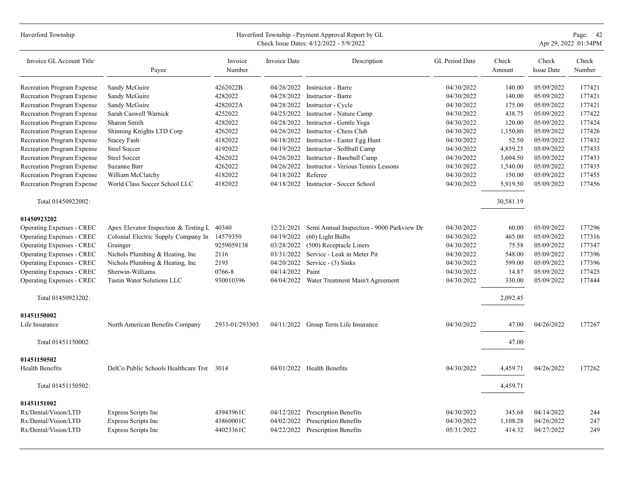| Haverford Township               |                                           |                   |                     | Haverford Township - Payment Approval Report by GL<br>Check Issue Dates: 4/12/2022 - 5/9/2022 |                |                 |                            | Page: 42<br>Apr 29, 2022 01:34PM |
|----------------------------------|-------------------------------------------|-------------------|---------------------|-----------------------------------------------------------------------------------------------|----------------|-----------------|----------------------------|----------------------------------|
| Invoice GL Account Title         | Payee                                     | Invoice<br>Number | <b>Invoice Date</b> | Description                                                                                   | GL Period Date | Check<br>Amount | Check<br><b>Issue Date</b> | Check<br>Number                  |
| Recreation Program Expense       | Sandy McGuire                             | 4262022B          | 04/26/2022          | Instructor - Barre                                                                            | 04/30/2022     | 140.00          | 05/09/2022                 | 177421                           |
| Recreation Program Expense       | Sandy McGuire                             | 4282022           | 04/28/2022          | Instructor - Barre                                                                            | 04/30/2022     | 140.00          | 05/09/2022                 | 177421                           |
| Recreation Program Expense       | Sandy McGuire                             | 4282022A          | 04/28/2022          | Instructor - Cycle                                                                            | 04/30/2022     | 175.00          | 05/09/2022                 | 177421                           |
| Recreation Program Expense       | Sarah Caswell Warnick                     | 4252022           | 04/25/2022          | Instructor - Nature Camp                                                                      | 04/30/2022     | 438.75          | 05/09/2022                 | 177422                           |
| Recreation Program Expense       | Sharon Smith                              | 4282022           |                     | 04/28/2022 Instructor - Gentle Yoga                                                           | 04/30/2022     | 120.00          | 05/09/2022                 | 177424                           |
| Recreation Program Expense       | Shinning Knights LTD Corp                 | 4262022           | 04/26/2022          | Instructor - Chess Club                                                                       | 04/30/2022     | 1,150.80        | 05/09/2022                 | 177426                           |
| Recreation Program Expense       | <b>Stacey Fash</b>                        | 4182022           |                     | 04/18/2022 Instructor - Easter Egg Hunt                                                       | 04/30/2022     | 52.50           | 05/09/2022                 | 177432                           |
| Recreation Program Expense       | <b>Steel Soccer</b>                       | 4192022           | 04/19/2022          | Instructor - Softball Camp                                                                    | 04/30/2022     | 4,859.25        | 05/09/2022                 | 177433                           |
| Recreation Program Expense       | Steel Soccer                              | 4262022           | 04/26/2022          | Instructor - Baseball Camp                                                                    | 04/30/2022     | 3,604.50        | 05/09/2022                 | 177433                           |
| Recreation Program Expense       | Suzanne Barr                              | 4262022           | 04/26/2022          | Instructor - Verious Tennis Lessons                                                           | 04/30/2022     | 1,540.00        | 05/09/2022                 | 177435                           |
| Recreation Program Expense       | William McClatchy                         | 4182022           | 04/18/2022          | Referee                                                                                       | 04/30/2022     | 150.00          | 05/09/2022                 | 177455                           |
| Recreation Program Expense       | World Class Soccer School LLC             | 4182022           |                     | 04/18/2022 Instructor - Soccer School                                                         | 04/30/2022     | 5,919.50        | 05/09/2022                 | 177456                           |
| Total 01450922002:               |                                           |                   |                     |                                                                                               |                | 30,581.19       |                            |                                  |
| 01450923202                      |                                           |                   |                     |                                                                                               |                |                 |                            |                                  |
| Operating Expenses - CREC        | Apex Elevator Inspection & Testing L      | 40340             | 12/21/2021          | Semi Annual Inspection - 9000 Parkview Dr                                                     | 04/30/2022     | 60.00           | 05/09/2022                 | 177296                           |
| Operating Expenses - CREC        | Colonial Electric Supply Company In       | 14579350          | 04/19/2022          | (60) Light Bulbs                                                                              | 04/30/2022     | 465.00          | 05/09/2022                 | 177316                           |
| <b>Operating Expenses - CREC</b> | Grainger                                  | 9259059138        |                     | 03/28/2022 (500) Receptacle Liners                                                            | 04/30/2022     | 75.58           | 05/09/2022                 | 177347                           |
| Operating Expenses - CREC        | Nichols Plumbing & Heating, Inc           | 2116              | 03/31/2022          | Service - Leak in Meter Pit                                                                   | 04/30/2022     | 548.00          | 05/09/2022                 | 177396                           |
| Operating Expenses - CREC        | Nichols Plumbing & Heating, Inc           | 2193              | 04/20/2022          | Service - (3) Sinks                                                                           | 04/30/2022     | 599.00          | 05/09/2022                 | 177396                           |
| <b>Operating Expenses - CREC</b> | Sherwin-Williams                          | 0766-8            | 04/14/2022          | Paint                                                                                         | 04/30/2022     | 14.87           | 05/09/2022                 | 177425                           |
| <b>Operating Expenses - CREC</b> | Tustin Water Solutions LLC                | 930010396         | 04/04/2022          | Water Treatment Main't Agreement                                                              | 04/30/2022     | 330.00          | 05/09/2022                 | 177444                           |
| Total 01450923202:               |                                           |                   |                     |                                                                                               |                | 2,092.45        |                            |                                  |
| 01451150002                      |                                           |                   |                     |                                                                                               |                |                 |                            |                                  |
| Life Insurance                   | North American Benefits Company           | 2933-01/293303    |                     | 04/11/2022 Group Term Life Insurance                                                          | 04/30/2022     | 47.00           | 04/26/2022                 | 177267                           |
| Total 01451150002:               |                                           |                   |                     |                                                                                               |                | 47.00           |                            |                                  |
| 01451150502                      |                                           |                   |                     |                                                                                               |                |                 |                            |                                  |
| <b>Health Benefits</b>           | DelCo Public Schools Healthcare Trst 3014 |                   |                     | $04/01/2022$ Health Benefits                                                                  | 04/30/2022     | 4.459.71        | 04/26/2022                 | 177262                           |
| Total 01451150502:               |                                           |                   |                     |                                                                                               |                | 4,459.71        |                            |                                  |
| 01451151002                      |                                           |                   |                     |                                                                                               |                |                 |                            |                                  |
| Rx/Dental/Vision/LTD             | Express Scripts Inc                       | 43943961C         | 04/12/2022          | <b>Prescription Benefits</b>                                                                  | 04/30/2022     | 345.68          | 04/14/2022                 | 244                              |
| Rx/Dental/Vision/LTD             | Express Scripts Inc                       | 43860001C         | 04/02/2022          | Prescription Benefits                                                                         | 04/30/2022     | 1,108.28        | 04/26/2022                 | 247                              |
| Rx/Dental/Vision/LTD             | Express Scripts Inc                       | 44023361C         |                     | 04/22/2022 Prescription Benefits                                                              | 05/31/2022     | 414.32          | 04/27/2022                 | 249                              |
|                                  |                                           |                   |                     |                                                                                               |                |                 |                            |                                  |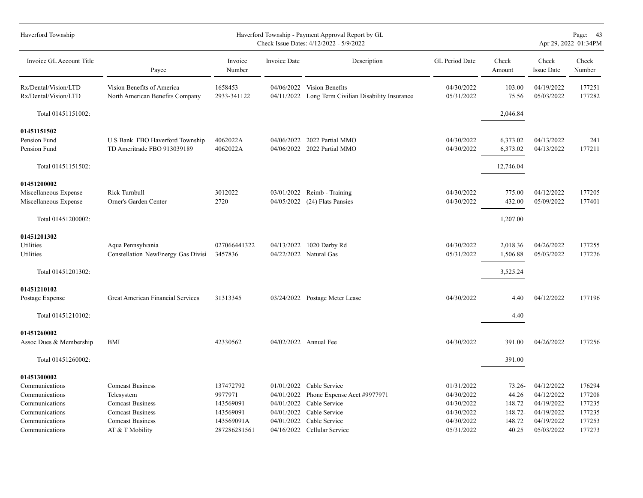| Haverford Township                                                                                                      |                                                                                                                                           |                                                                              |                                        | Haverford Township - Payment Approval Report by GL<br>Check Issue Dates: 4/12/2022 - 5/9/2022                                                        |                                                                                  |                                                            |                                                                                  | Page: 43<br>Apr 29, 2022 01:34PM                         |
|-------------------------------------------------------------------------------------------------------------------------|-------------------------------------------------------------------------------------------------------------------------------------------|------------------------------------------------------------------------------|----------------------------------------|------------------------------------------------------------------------------------------------------------------------------------------------------|----------------------------------------------------------------------------------|------------------------------------------------------------|----------------------------------------------------------------------------------|----------------------------------------------------------|
| Invoice GL Account Title                                                                                                | Payee                                                                                                                                     | Invoice<br>Number                                                            | Invoice Date                           | Description                                                                                                                                          | GL Period Date                                                                   | Check<br>Amount                                            | Check<br><b>Issue Date</b>                                                       | Check<br>Number                                          |
| Rx/Dental/Vision/LTD<br>Rx/Dental/Vision/LTD                                                                            | Vision Benefits of America<br>North American Benefits Company                                                                             | 1658453<br>2933-341122                                                       |                                        | 04/06/2022 Vision Benefits<br>04/11/2022 Long Term Civilian Disability Insurance                                                                     | 04/30/2022<br>05/31/2022                                                         | 103.00<br>75.56                                            | 04/19/2022<br>05/03/2022                                                         | 177251<br>177282                                         |
| Total 01451151002:                                                                                                      |                                                                                                                                           |                                                                              |                                        |                                                                                                                                                      |                                                                                  | 2,046.84                                                   |                                                                                  |                                                          |
| 01451151502<br>Pension Fund<br>Pension Fund                                                                             | U S Bank FBO Haverford Township<br>TD Ameritrade FBO 913039189                                                                            | 4062022A<br>4062022A                                                         |                                        | 04/06/2022 2022 Partial MMO<br>04/06/2022 2022 Partial MMO                                                                                           | 04/30/2022<br>04/30/2022                                                         | 6,373.02<br>6,373.02                                       | 04/13/2022<br>04/13/2022                                                         | 241<br>177211                                            |
| Total 01451151502:                                                                                                      |                                                                                                                                           |                                                                              |                                        |                                                                                                                                                      |                                                                                  | 12,746.04                                                  |                                                                                  |                                                          |
| 01451200002<br>Miscellaneous Expense<br>Miscellaneous Expense                                                           | Rick Turnbull<br>Orner's Garden Center                                                                                                    | 3012022<br>2720                                                              | 04/05/2022                             | 03/01/2022 Reimb - Training<br>(24) Flats Pansies                                                                                                    | 04/30/2022<br>04/30/2022                                                         | 775.00<br>432.00                                           | 04/12/2022<br>05/09/2022                                                         | 177205<br>177401                                         |
| Total 01451200002:                                                                                                      |                                                                                                                                           |                                                                              |                                        |                                                                                                                                                      |                                                                                  | 1,207.00                                                   |                                                                                  |                                                          |
| 01451201302<br>Utilities<br>Utilities<br>Total 01451201302:                                                             | Aqua Pennsylvania<br>Constellation NewEnergy Gas Divisi                                                                                   | 027066441322<br>3457836                                                      |                                        | 04/13/2022 1020 Darby Rd<br>04/22/2022 Natural Gas                                                                                                   | 04/30/2022<br>05/31/2022                                                         | 2,018.36<br>1,506.88<br>3,525.24                           | 04/26/2022<br>05/03/2022                                                         | 177255<br>177276                                         |
| 01451210102<br>Postage Expense<br>Total 01451210102:                                                                    | Great American Financial Services                                                                                                         | 31313345                                                                     |                                        | 03/24/2022 Postage Meter Lease                                                                                                                       | 04/30/2022                                                                       | 4.40<br>4.40                                               | 04/12/2022                                                                       | 177196                                                   |
| 01451260002<br>Assoc Dues & Membership                                                                                  | <b>BMI</b>                                                                                                                                | 42330562                                                                     |                                        | 04/02/2022 Annual Fee                                                                                                                                | 04/30/2022                                                                       | 391.00                                                     | 04/26/2022                                                                       | 177256                                                   |
| Total 01451260002:                                                                                                      |                                                                                                                                           |                                                                              |                                        |                                                                                                                                                      |                                                                                  | 391.00                                                     |                                                                                  |                                                          |
| 01451300002<br>Communications<br>Communications<br>Communications<br>Communications<br>Communications<br>Communications | <b>Comcast Business</b><br>Telesystem<br><b>Comcast Business</b><br><b>Comcast Business</b><br><b>Comcast Business</b><br>AT & T Mobility | 137472792<br>9977971<br>143569091<br>143569091<br>143569091A<br>287286281561 | 04/01/2022<br>04/01/2022<br>04/01/2022 | 01/01/2022 Cable Service<br>Phone Expense Acct #9977971<br>Cable Service<br>04/01/2022 Cable Service<br>Cable Service<br>04/16/2022 Cellular Service | 01/31/2022<br>04/30/2022<br>04/30/2022<br>04/30/2022<br>04/30/2022<br>05/31/2022 | $73.26 -$<br>44.26<br>148.72<br>148.72-<br>148.72<br>40.25 | 04/12/2022<br>04/12/2022<br>04/19/2022<br>04/19/2022<br>04/19/2022<br>05/03/2022 | 176294<br>177208<br>177235<br>177235<br>177253<br>177273 |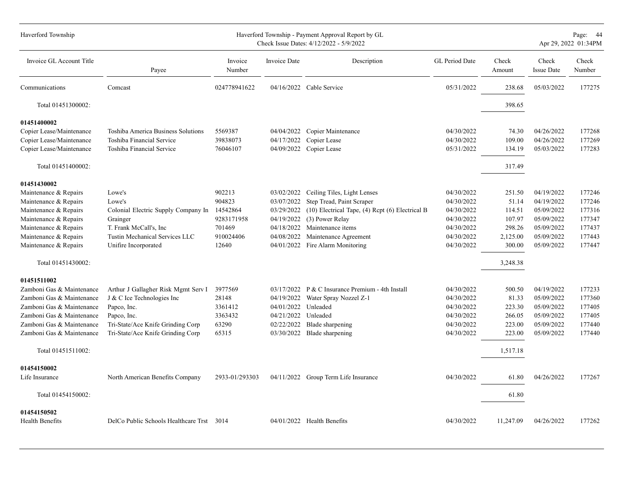| Haverford Township        |                                              |                   |              | Haverford Township - Payment Approval Report by GL<br>Check Issue Dates: 4/12/2022 - 5/9/2022 |                |                 |                            | Page: 44<br>Apr 29, 2022 01:34PM |
|---------------------------|----------------------------------------------|-------------------|--------------|-----------------------------------------------------------------------------------------------|----------------|-----------------|----------------------------|----------------------------------|
| Invoice GL Account Title  | Payee                                        | Invoice<br>Number | Invoice Date | Description                                                                                   | GL Period Date | Check<br>Amount | Check<br><b>Issue Date</b> | Check<br>Number                  |
| Communications            | Comcast                                      | 024778941622      |              | 04/16/2022 Cable Service                                                                      | 05/31/2022     | 238.68          | 05/03/2022                 | 177275                           |
| Total 01451300002:        |                                              |                   |              |                                                                                               |                | 398.65          |                            |                                  |
| 01451400002               |                                              |                   |              |                                                                                               |                |                 |                            |                                  |
| Copier Lease/Maintenance  | Toshiba America Business Solutions           | 5569387           | 04/04/2022   | Copier Maintenance                                                                            | 04/30/2022     | 74.30           | 04/26/2022                 | 177268                           |
| Copier Lease/Maintenance  | Toshiba Financial Service                    | 39838073          | 04/17/2022   | Copier Lease                                                                                  | 04/30/2022     | 109.00          | 04/26/2022                 | 177269                           |
| Copier Lease/Maintenance  | Toshiba Financial Service                    | 76046107          | 04/09/2022   | Copier Lease                                                                                  | 05/31/2022     | 134.19          | 05/03/2022                 | 177283                           |
| Total 01451400002:        |                                              |                   |              |                                                                                               |                | 317.49          |                            |                                  |
| 01451430002               |                                              |                   |              |                                                                                               |                |                 |                            |                                  |
| Maintenance & Repairs     | Lowe's                                       | 902213            | 03/02/2022   | Ceiling Tiles, Light Lenses                                                                   | 04/30/2022     | 251.50          | 04/19/2022                 | 177246                           |
| Maintenance & Repairs     | Lowe's                                       | 904823            | 03/07/2022   | Step Tread, Paint Scraper                                                                     | 04/30/2022     | 51.14           | 04/19/2022                 | 177246                           |
| Maintenance & Repairs     | Colonial Electric Supply Company In 14542864 |                   | 03/29/2022   | (10) Electrical Tape, (4) Rcpt (6) Electrical B                                               | 04/30/2022     | 114.51          | 05/09/2022                 | 177316                           |
| Maintenance & Repairs     | Grainger                                     | 9283171958        | 04/19/2022   | (3) Power Relay                                                                               | 04/30/2022     | 107.97          | 05/09/2022                 | 177347                           |
| Maintenance & Repairs     | T. Frank McCall's, Inc.                      | 701469            | 04/18/2022   | Maintenance items                                                                             | 04/30/2022     | 298.26          | 05/09/2022                 | 177437                           |
| Maintenance & Repairs     | Tustin Mechanical Services LLC               | 910024406         | 04/08/2022   | Maintenance Agreement                                                                         | 04/30/2022     | 2,125.00        | 05/09/2022                 | 177443                           |
| Maintenance & Repairs     | Unifire Incorporated                         | 12640             |              | 04/01/2022 Fire Alarm Monitoring                                                              | 04/30/2022     | 300.00          | 05/09/2022                 | 177447                           |
| Total 01451430002:        |                                              |                   |              |                                                                                               |                | 3,248.38        |                            |                                  |
| 01451511002               |                                              |                   |              |                                                                                               |                |                 |                            |                                  |
| Zamboni Gas & Maintenance | Arthur J Gallagher Risk Mgmt Serv I          | 3977569           |              | $03/17/2022$ P & C Insurance Premium - 4th Install                                            | 04/30/2022     | 500.50          | 04/19/2022                 | 177233                           |
| Zamboni Gas & Maintenance | J & C Ice Technologies Inc                   | 28148             | 04/19/2022   | Water Spray Nozzel Z-1                                                                        | 04/30/2022     | 81.33           | 05/09/2022                 | 177360                           |
| Zamboni Gas & Maintenance | Papco, Inc.                                  | 3361412           | 04/01/2022   | Unleaded                                                                                      | 04/30/2022     | 223.30          | 05/09/2022                 | 177405                           |
| Zamboni Gas & Maintenance | Papco, Inc.                                  | 3363432           | 04/21/2022   | Unleaded                                                                                      | 04/30/2022     | 266.05          | 05/09/2022                 | 177405                           |
| Zamboni Gas & Maintenance | Tri-State/Ace Knife Grinding Corp            | 63290             | 02/22/2022   | Blade sharpening                                                                              | 04/30/2022     | 223.00          | 05/09/2022                 | 177440                           |
| Zamboni Gas & Maintenance | Tri-State/Ace Knife Grinding Corp            | 65315             | 03/30/2022   | Blade sharpening                                                                              | 04/30/2022     | 223.00          | 05/09/2022                 | 177440                           |
| Total 01451511002:        |                                              |                   |              |                                                                                               |                | 1,517.18        |                            |                                  |
| 01454150002               |                                              |                   |              |                                                                                               |                |                 |                            |                                  |
| Life Insurance            | North American Benefits Company              | 2933-01/293303    |              | 04/11/2022 Group Term Life Insurance                                                          | 04/30/2022     | 61.80           | 04/26/2022                 | 177267                           |
| Total 01454150002:        |                                              |                   |              |                                                                                               |                | 61.80           |                            |                                  |
| 01454150502               |                                              |                   |              |                                                                                               |                |                 |                            |                                  |
| Health Benefits           | DelCo Public Schools Healthcare Trst         | 3014              |              | 04/01/2022 Health Benefits                                                                    | 04/30/2022     | 11,247.09       | 04/26/2022                 | 177262                           |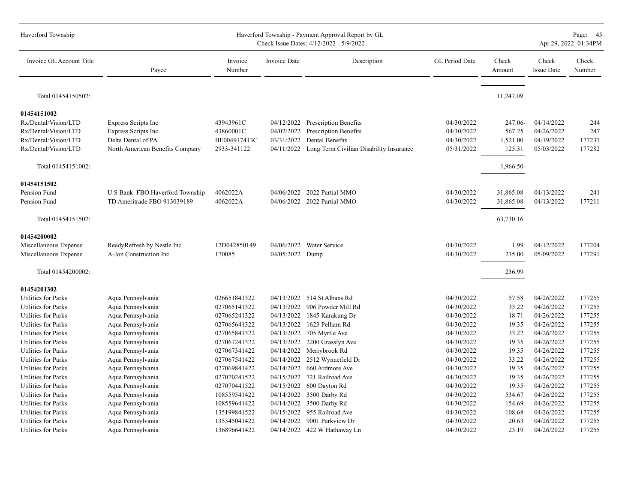| Haverford Township         | Haverford Township - Payment Approval Report by GL<br>Check Issue Dates: 4/12/2022 - 5/9/2022 |                   |                     |                                         |                |                 |                            |                 |  |
|----------------------------|-----------------------------------------------------------------------------------------------|-------------------|---------------------|-----------------------------------------|----------------|-----------------|----------------------------|-----------------|--|
| Invoice GL Account Title   | Payee                                                                                         | Invoice<br>Number | <b>Invoice Date</b> | Description                             | GL Period Date | Check<br>Amount | Check<br><b>Issue Date</b> | Check<br>Number |  |
| Total 01454150502:         |                                                                                               |                   |                     |                                         |                | 11,247.09       |                            |                 |  |
| 01454151002                |                                                                                               |                   |                     |                                         |                |                 |                            |                 |  |
| Rx/Dental/Vision/LTD       | Express Scripts Inc                                                                           | 43943961C         |                     | 04/12/2022 Prescription Benefits        | 04/30/2022     | 247.06-         | 04/14/2022                 | 244             |  |
| Rx/Dental/Vision/LTD       | Express Scripts Inc                                                                           | 43860001C         | 04/02/2022          | Prescription Benefits                   | 04/30/2022     | 567.25          | 04/26/2022                 | 247             |  |
| Rx/Dental/Vision/LTD       | Delta Dental of PA                                                                            | BE004917413C      | 03/31/2022          | Dental Benefits                         | 04/30/2022     | 1,521.00        | 04/19/2022                 | 177237          |  |
| Rx/Dental/Vision/LTD       | North American Benefits Company                                                               | 2933-341122       | 04/11/2022          | Long Term Civilian Disability Insurance | 05/31/2022     | 125.31          | 05/03/2022                 | 177282          |  |
| Total 01454151002:         |                                                                                               |                   |                     |                                         |                | 1,966.50        |                            |                 |  |
| 01454151502                |                                                                                               |                   |                     |                                         |                |                 |                            |                 |  |
| Pension Fund               | U S Bank FBO Haverford Township                                                               | 4062022A          |                     | 04/06/2022 2022 Partial MMO             | 04/30/2022     | 31,865.08       | 04/13/2022                 | 241             |  |
| Pension Fund               | TD Ameritrade FBO 913039189                                                                   | 4062022A          |                     | 04/06/2022 2022 Partial MMO             | 04/30/2022     | 31,865.08       | 04/13/2022                 | 177211          |  |
| Total 01454151502:         |                                                                                               |                   |                     |                                         |                | 63,730.16       |                            |                 |  |
| 01454200002                |                                                                                               |                   |                     |                                         |                |                 |                            |                 |  |
| Miscellaneous Expense      | ReadyRefresh by Nestle Inc                                                                    | 12D042850149      |                     | 04/06/2022 Water Service                | 04/30/2022     | 1.99            | 04/12/2022                 | 177204          |  |
| Miscellaneous Expense      | A-Jon Construction Inc                                                                        | 170085            | 04/05/2022 Dump     |                                         | 04/30/2022     | 235.00          | 05/09/2022                 | 177291          |  |
| Total 01454200002:         |                                                                                               |                   |                     |                                         |                | 236.99          |                            |                 |  |
| 01454201302                |                                                                                               |                   |                     |                                         |                |                 |                            |                 |  |
| Utilities for Parks        | Aqua Pennsylvania                                                                             | 026651841322      |                     | 04/13/2022 514 St Albans Rd             | 04/30/2022     | 57.58           | 04/26/2022                 | 177255          |  |
| Utilities for Parks        | Aqua Pennsylvania                                                                             | 027065141322      | 04/13/2022          | 906 Powder Mill Rd                      | 04/30/2022     | 33.22           | 04/26/2022                 | 177255          |  |
| Utilities for Parks        | Aqua Pennsylvania                                                                             | 027065241322      | 04/13/2022          | 1845 Karakung Dr                        | 04/30/2022     | 18.71           | 04/26/2022                 | 177255          |  |
| Utilities for Parks        | Aqua Pennsylvania                                                                             | 027065641322      | 04/13/2022          | 1623 Pelham Rd                          | 04/30/2022     | 19.35           | 04/26/2022                 | 177255          |  |
| Utilities for Parks        | Aqua Pennsylvania                                                                             | 027065841322      |                     | 04/13/2022 705 Myrtle Ave               | 04/30/2022     | 33.22           | 04/26/2022                 | 177255          |  |
| <b>Utilities for Parks</b> | Aqua Pennsylvania                                                                             | 027067241322      | 04/13/2022          | 2200 Grasslyn Ave                       | 04/30/2022     | 19.35           | 04/26/2022                 | 177255          |  |
| Utilities for Parks        | Aqua Pennsylvania                                                                             | 027067341422      | 04/14/2022          | Merrybrook Rd                           | 04/30/2022     | 19.35           | 04/26/2022                 | 177255          |  |
| <b>Utilities for Parks</b> | Aqua Pennsylvania                                                                             | 027067541422      | 04/14/2022          | 2512 Wynnefield Dr                      | 04/30/2022     | 33.22           | 04/26/2022                 | 177255          |  |
| Utilities for Parks        | Aqua Pennsylvania                                                                             | 027069841422      | 04/14/2022          | 660 Ardmore Ave                         | 04/30/2022     | 19.35           | 04/26/2022                 | 177255          |  |
| Utilities for Parks        | Aqua Pennsylvania                                                                             | 027070241522      |                     | 04/15/2022 721 Railroad Ave             | 04/30/2022     | 19.35           | 04/26/2022                 | 177255          |  |
| <b>Utilities for Parks</b> | Aqua Pennsylvania                                                                             | 027070441522      | 04/15/2022          | 600 Dayton Rd                           | 04/30/2022     | 19.35           | 04/26/2022                 | 177255          |  |
| Utilities for Parks        | Aqua Pennsylvania                                                                             | 108559541422      | 04/14/2022          | 3500 Darby Rd                           | 04/30/2022     | 534.67          | 04/26/2022                 | 177255          |  |
| Utilities for Parks        | Aqua Pennsylvania                                                                             | 108559641422      | 04/14/2022          | 3500 Darby Rd                           | 04/30/2022     | 154.69          | 04/26/2022                 | 177255          |  |
| Utilities for Parks        | Aqua Pennsylvania                                                                             | 135199841522      | 04/15/2022          | 955 Railroad Ave                        | 04/30/2022     | 108.68          | 04/26/2022                 | 177255          |  |
| Utilities for Parks        | Aqua Pennsylvania                                                                             | 135345041422      | 04/14/2022          | 9001 Parkview Dr                        | 04/30/2022     | 20.63           | 04/26/2022                 | 177255          |  |
| Utilities for Parks        | Aqua Pennsylvania                                                                             | 136896641422      |                     | 04/14/2022 422 W Hathaway Ln            | 04/30/2022     | 23.19           | 04/26/2022                 | 177255          |  |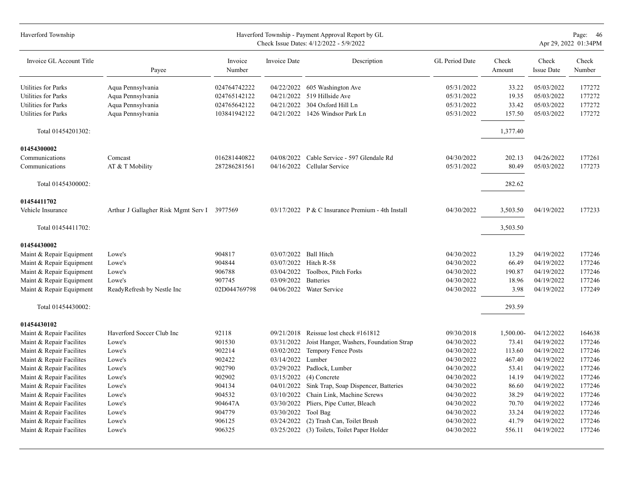| Haverford Township         |                                             |                   |                       | Haverford Township - Payment Approval Report by GL<br>Check Issue Dates: 4/12/2022 - 5/9/2022 |                |                 |                            | Page: 46<br>Apr 29, 2022 01:34PM |
|----------------------------|---------------------------------------------|-------------------|-----------------------|-----------------------------------------------------------------------------------------------|----------------|-----------------|----------------------------|----------------------------------|
| Invoice GL Account Title   | Payee                                       | Invoice<br>Number | <b>Invoice Date</b>   | Description                                                                                   | GL Period Date | Check<br>Amount | Check<br><b>Issue Date</b> | Check<br>Number                  |
| <b>Utilities for Parks</b> | Aqua Pennsylvania                           | 024764742222      |                       | 04/22/2022 605 Washington Ave                                                                 | 05/31/2022     | 33.22           | 05/03/2022                 | 177272                           |
| Utilities for Parks        | Aqua Pennsylvania                           | 024765142122      |                       | 04/21/2022 519 Hillside Ave                                                                   | 05/31/2022     | 19.35           | 05/03/2022                 | 177272                           |
| Utilities for Parks        | Aqua Pennsylvania                           | 024765642122      |                       | 04/21/2022 304 Oxford Hill Ln                                                                 | 05/31/2022     | 33.42           | 05/03/2022                 | 177272                           |
| Utilities for Parks        | Aqua Pennsylvania                           | 103841942122      |                       | 04/21/2022 1426 Windsor Park Ln                                                               | 05/31/2022     | 157.50          | 05/03/2022                 | 177272                           |
| Total 01454201302:         |                                             |                   |                       |                                                                                               |                | 1,377.40        |                            |                                  |
| 01454300002                |                                             |                   |                       |                                                                                               |                |                 |                            |                                  |
| Communications             | Comcast                                     | 016281440822      |                       | 04/08/2022 Cable Service - 597 Glendale Rd                                                    | 04/30/2022     | 202.13          | 04/26/2022                 | 177261                           |
| Communications             | AT & T Mobility                             | 287286281561      |                       | 04/16/2022 Cellular Service                                                                   | 05/31/2022     | 80.49           | 05/03/2022                 | 177273                           |
| Total 01454300002:         |                                             |                   |                       |                                                                                               |                | 282.62          |                            |                                  |
| 01454411702                |                                             |                   |                       |                                                                                               |                |                 |                            |                                  |
| Vehicle Insurance          | Arthur J Gallagher Risk Mgmt Serv I 3977569 |                   |                       | 03/17/2022 P & C Insurance Premium - 4th Install                                              | 04/30/2022     | 3,503.50        | 04/19/2022                 | 177233                           |
| Total 01454411702:         |                                             |                   |                       |                                                                                               |                | 3,503.50        |                            |                                  |
| 01454430002                |                                             |                   |                       |                                                                                               |                |                 |                            |                                  |
| Maint & Repair Equipment   | Lowe's                                      | 904817            | 03/07/2022 Ball Hitch |                                                                                               | 04/30/2022     | 13.29           | 04/19/2022                 | 177246                           |
| Maint & Repair Equipment   | Lowe's                                      | 904844            |                       | 03/07/2022 Hitch R-58                                                                         | 04/30/2022     | 66.49           | 04/19/2022                 | 177246                           |
| Maint & Repair Equipment   | Lowe's                                      | 906788            |                       | 03/04/2022 Toolbox, Pitch Forks                                                               | 04/30/2022     | 190.87          | 04/19/2022                 | 177246                           |
| Maint & Repair Equipment   | Lowe's                                      | 907745            | 03/09/2022            | <b>Batteries</b>                                                                              | 04/30/2022     | 18.96           | 04/19/2022                 | 177246                           |
| Maint & Repair Equipment   | ReadyRefresh by Nestle Inc                  | 02D044769798      |                       | 04/06/2022 Water Service                                                                      | 04/30/2022     | 3.98            | 04/19/2022                 | 177249                           |
| Total 01454430002:         |                                             |                   |                       |                                                                                               |                | 293.59          |                            |                                  |
| 01454430102                |                                             |                   |                       |                                                                                               |                |                 |                            |                                  |
| Maint & Repair Facilites   | Haverford Soccer Club Inc                   | 92118             | 09/21/2018            | Reissue lost check #161812                                                                    | 09/30/2018     | 1,500.00-       | 04/12/2022                 | 164638                           |
| Maint & Repair Facilites   | Lowe's                                      | 901530            | 03/31/2022            | Joist Hanger, Washers, Foundation Strap                                                       | 04/30/2022     | 73.41           | 04/19/2022                 | 177246                           |
| Maint & Repair Facilites   | Lowe's                                      | 902214            | 03/02/2022            | Tempory Fence Posts                                                                           | 04/30/2022     | 113.60          | 04/19/2022                 | 177246                           |
| Maint & Repair Facilites   | Lowe's                                      | 902422            | 03/14/2022            | Lumber                                                                                        | 04/30/2022     | 467.40          | 04/19/2022                 | 177246                           |
| Maint & Repair Facilites   | Lowe's                                      | 902790            | 03/29/2022            | Padlock, Lumber                                                                               | 04/30/2022     | 53.41           | 04/19/2022                 | 177246                           |
| Maint & Repair Facilites   | Lowe's                                      | 902902            | 03/15/2022            | $(4)$ Concrete                                                                                | 04/30/2022     | 14.19           | 04/19/2022                 | 177246                           |
| Maint & Repair Facilites   | Lowe's                                      | 904134            | 04/01/2022            | Sink Trap, Soap Dispencer, Batteries                                                          | 04/30/2022     | 86.60           | 04/19/2022                 | 177246                           |
| Maint & Repair Facilites   | Lowe's                                      | 904532            | 03/10/2022            | Chain Link, Machine Screws                                                                    | 04/30/2022     | 38.29           | 04/19/2022                 | 177246                           |
| Maint & Repair Facilites   | Lowe's                                      | 904647A           | 03/30/2022            | Pliers, Pipe Cutter, Bleach                                                                   | 04/30/2022     | 70.70           | 04/19/2022                 | 177246                           |
| Maint & Repair Facilites   | Lowe's                                      | 904779            | 03/30/2022            | Tool Bag                                                                                      | 04/30/2022     | 33.24           | 04/19/2022                 | 177246                           |
| Maint & Repair Facilites   | Lowe's                                      | 906125            | 03/24/2022            | (2) Trash Can, Toilet Brush                                                                   | 04/30/2022     | 41.79           | 04/19/2022                 | 177246                           |
| Maint & Repair Facilites   | Lowe's                                      | 906325            |                       | 03/25/2022 (3) Toilets, Toilet Paper Holder                                                   | 04/30/2022     | 556.11          | 04/19/2022                 | 177246                           |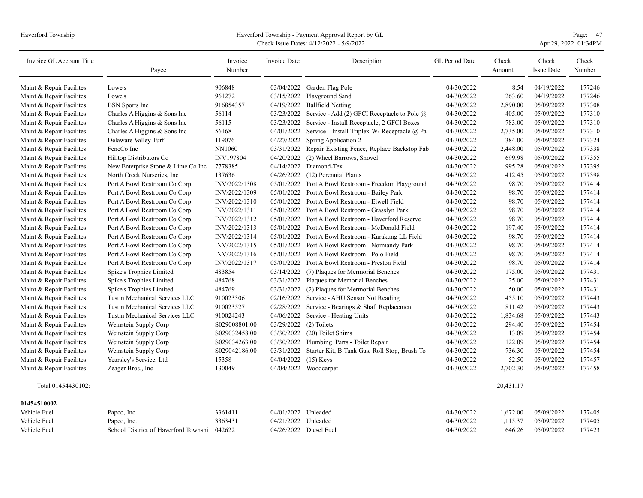| Haverford Township       | Page: 47<br>Haverford Township - Payment Approval Report by GL<br>Apr 29, 2022 01:34PM<br>Check Issue Dates: 4/12/2022 - 5/9/2022 |                   |                     |                                                          |                |                 |                            |                 |  |  |
|--------------------------|-----------------------------------------------------------------------------------------------------------------------------------|-------------------|---------------------|----------------------------------------------------------|----------------|-----------------|----------------------------|-----------------|--|--|
| Invoice GL Account Title | Payee                                                                                                                             | Invoice<br>Number | Invoice Date        | Description                                              | GL Period Date | Check<br>Amount | Check<br><b>Issue Date</b> | Check<br>Number |  |  |
| Maint & Repair Facilites | Lowe's                                                                                                                            | 906848            | 03/04/2022          | Garden Flag Pole                                         | 04/30/2022     | 8.54            | 04/19/2022                 | 177246          |  |  |
| Maint & Repair Facilites | Lowe's                                                                                                                            | 961272            | 03/15/2022          | Playground Sand                                          | 04/30/2022     | 263.60          | 04/19/2022                 | 177246          |  |  |
| Maint & Repair Facilites | <b>BSN</b> Sports Inc                                                                                                             | 916854357         | 04/19/2022          | <b>Ballfield Netting</b>                                 | 04/30/2022     | 2,890.00        | 05/09/2022                 | 177308          |  |  |
| Maint & Repair Facilites | Charles A Higgins & Sons Inc                                                                                                      | 56114             | 03/23/2022          | Service - Add (2) GFCI Receptacle to Pole $\overline{a}$ | 04/30/2022     | 405.00          | 05/09/2022                 | 177310          |  |  |
| Maint & Repair Facilites | Charles A Higgins & Sons Inc                                                                                                      | 56115             | 03/23/2022          | Service - Install Receptacle, 2 GFCI Boxes               | 04/30/2022     | 783.00          | 05/09/2022                 | 177310          |  |  |
| Maint & Repair Facilites | Charles A Higgins & Sons Inc                                                                                                      | 56168             | 04/01/2022          | Service - Install Triplex W/ Receptacle @ Pa             | 04/30/2022     | 2,735.00        | 05/09/2022                 | 177310          |  |  |
| Maint & Repair Facilites | Delaware Valley Turf                                                                                                              | 119076            | 04/27/2022          | Spring Application 2                                     | 04/30/2022     | 384.00          | 05/09/2022                 | 177324          |  |  |
| Maint & Repair Facilites | FencCo Inc                                                                                                                        | NN1060            | 03/31/2022          | Repair Existing Fence, Replace Backstop Fab              | 04/30/2022     | 2,448.00        | 05/09/2022                 | 177338          |  |  |
| Maint & Repair Facilites | Hilltop Distributors Co                                                                                                           | INV197804         | 04/20/2022          | (2) Wheel Barrows, Shovel                                | 04/30/2022     | 699.98          | 05/09/2022                 | 177355          |  |  |
| Maint & Repair Facilites | New Enterprise Stone & Lime Co Inc                                                                                                | 7778385           | 04/14/2022          | Diamond-Tex                                              | 04/30/2022     | 995.28          | 05/09/2022                 | 177395          |  |  |
| Maint & Repair Facilites | North Creek Nurseries, Inc                                                                                                        | 137636            | 04/26/2022          | (12) Perennial Plants                                    | 04/30/2022     | 412.45          | 05/09/2022                 | 177398          |  |  |
| Maint & Repair Facilites | Port A Bowl Restroom Co Corp                                                                                                      | INV/2022/1308     | 05/01/2022          | Port A Bowl Restroom - Freedom Playground                | 04/30/2022     | 98.70           | 05/09/2022                 | 177414          |  |  |
| Maint & Repair Facilites | Port A Bowl Restroom Co Corp                                                                                                      | INV/2022/1309     | 05/01/2022          | Port A Bowl Restroom - Bailey Park                       | 04/30/2022     | 98.70           | 05/09/2022                 | 177414          |  |  |
| Maint & Repair Facilites | Port A Bowl Restroom Co Corp                                                                                                      | INV/2022/1310     | 05/01/2022          | Port A Bowl Restroom - Elwell Field                      | 04/30/2022     | 98.70           | 05/09/2022                 | 177414          |  |  |
| Maint & Repair Facilites | Port A Bowl Restroom Co Corp                                                                                                      | INV/2022/1311     | 05/01/2022          | Port A Bowl Restroom - Grasslyn Park                     | 04/30/2022     | 98.70           | 05/09/2022                 | 177414          |  |  |
| Maint & Repair Facilites | Port A Bowl Restroom Co Corp                                                                                                      | INV/2022/1312     | 05/01/2022          | Port A Bowl Restroom - Haverford Reserve                 | 04/30/2022     | 98.70           | 05/09/2022                 | 177414          |  |  |
| Maint & Repair Facilites | Port A Bowl Restroom Co Corp                                                                                                      | INV/2022/1313     | 05/01/2022          | Port A Bowl Restroom - McDonald Field                    | 04/30/2022     | 197.40          | 05/09/2022                 | 177414          |  |  |
| Maint & Repair Facilites | Port A Bowl Restroom Co Corp                                                                                                      | INV/2022/1314     | 05/01/2022          | Port A Bowl Restroom - Karakung LL Field                 | 04/30/2022     | 98.70           | 05/09/2022                 | 177414          |  |  |
| Maint & Repair Facilites | Port A Bowl Restroom Co Corp                                                                                                      | INV/2022/1315     | 05/01/2022          | Port A Bowl Restroom - Normandy Park                     | 04/30/2022     | 98.70           | 05/09/2022                 | 177414          |  |  |
| Maint & Repair Facilites | Port A Bowl Restroom Co Corp                                                                                                      | INV/2022/1316     | 05/01/2022          | Port A Bowl Restroom - Polo Field                        | 04/30/2022     | 98.70           | 05/09/2022                 | 177414          |  |  |
| Maint & Repair Facilites | Port A Bowl Restroom Co Corp                                                                                                      | INV/2022/1317     | 05/01/2022          | Port A Bowl Restroom - Preston Field                     | 04/30/2022     | 98.70           | 05/09/2022                 | 177414          |  |  |
| Maint & Repair Facilites | Spike's Trophies Limited                                                                                                          | 483854            | 03/14/2022          | (7) Plaques for Mermorial Benches                        | 04/30/2022     | 175.00          | 05/09/2022                 | 177431          |  |  |
| Maint & Repair Facilites | Spike's Trophies Limited                                                                                                          | 484768            | 03/31/2022          | Plaques for Memorial Benches                             | 04/30/2022     | 25.00           | 05/09/2022                 | 177431          |  |  |
| Maint & Repair Facilites | Spike's Trophies Limited                                                                                                          | 484769            | 03/31/2022          | (2) Plaques for Mermorial Benches                        | 04/30/2022     | 50.00           | 05/09/2022                 | 177431          |  |  |
| Maint & Repair Facilites | Tustin Mechanical Services LLC                                                                                                    | 910023306         | 02/16/2022          | Service - AHU Sensor Not Reading                         | 04/30/2022     | 455.10          | 05/09/2022                 | 177443          |  |  |
| Maint & Repair Facilites | Tustin Mechanical Services LLC                                                                                                    | 910023527         | 02/28/2022          | Service - Bearings & Shaft Replacement                   | 04/30/2022     | 811.42          | 05/09/2022                 | 177443          |  |  |
| Maint & Repair Facilites | Tustin Mechanical Services LLC                                                                                                    | 910024243         | 04/06/2022          | Service - Heating Units                                  | 04/30/2022     | 1,834.68        | 05/09/2022                 | 177443          |  |  |
| Maint & Repair Facilites | Weinstein Supply Corp                                                                                                             | S029008801.00     | 03/29/2022          | (2) Toilets                                              | 04/30/2022     | 294.40          | 05/09/2022                 | 177454          |  |  |
| Maint & Repair Facilites | Weinstein Supply Corp                                                                                                             | S029032458.00     | 03/30/2022          | (20) Toilet Shims                                        | 04/30/2022     | 13.09           | 05/09/2022                 | 177454          |  |  |
| Maint & Repair Facilites | Weinstein Supply Corp                                                                                                             | S029034263.00     | 03/30/2022          | Plumbing Parts - Toilet Repair                           | 04/30/2022     | 122.09          | 05/09/2022                 | 177454          |  |  |
| Maint & Repair Facilites | Weinstein Supply Corp                                                                                                             | S029042186.00     | 03/31/2022          | Starter Kit, B Tank Gas, Roll Stop, Brush To             | 04/30/2022     | 736.30          | 05/09/2022                 | 177454          |  |  |
| Maint & Repair Facilites | Yearsley's Service, Ltd                                                                                                           | 15358             | 04/04/2022          | $(15)$ Keys                                              | 04/30/2022     | 52.50           | 05/09/2022                 | 177457          |  |  |
| Maint & Repair Facilites | Zeager Bros., Inc.                                                                                                                | 130049            |                     | 04/04/2022 Woodcarpet                                    | 04/30/2022     | 2,702.30        | 05/09/2022                 | 177458          |  |  |
| Total 01454430102:       |                                                                                                                                   |                   |                     |                                                          |                | 20,431.17       |                            |                 |  |  |
| 01454510002              |                                                                                                                                   |                   |                     |                                                          |                |                 |                            |                 |  |  |
| Vehicle Fuel             | Papco, Inc.                                                                                                                       | 3361411           | 04/01/2022 Unleaded |                                                          | 04/30/2022     | 1,672.00        | 05/09/2022                 | 177405          |  |  |
| Vehicle Fuel             | Papco, Inc.                                                                                                                       | 3363431           | 04/21/2022          | Unleaded                                                 | 04/30/2022     | 1,115.37        | 05/09/2022                 | 177405          |  |  |
| Vehicle Fuel             | School District of Haverford Townshi 042622                                                                                       |                   |                     | 04/26/2022 Diesel Fuel                                   | 04/30/2022     | 646.26          | 05/09/2022                 | 177423          |  |  |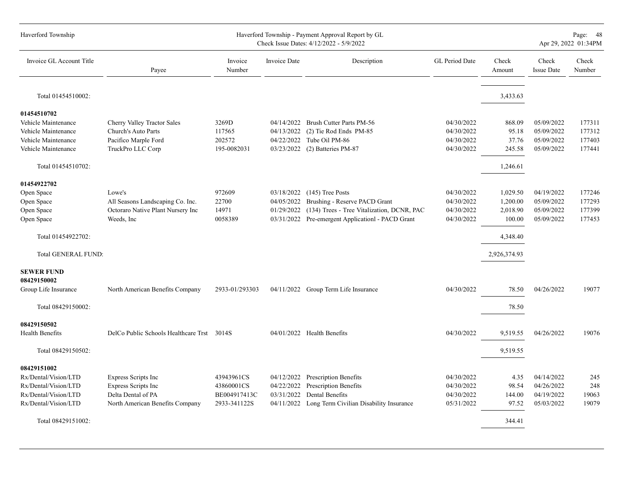| Haverford Township                                                                                          | Haverford Township - Payment Approval Report by GL<br>Check Issue Dates: 4/12/2022 - 5/9/2022              |                                                          |                                                      |                                                                                                                     |                                                      |                                  |                                                      | Page: 48<br>Apr 29, 2022 01:34PM |  |
|-------------------------------------------------------------------------------------------------------------|------------------------------------------------------------------------------------------------------------|----------------------------------------------------------|------------------------------------------------------|---------------------------------------------------------------------------------------------------------------------|------------------------------------------------------|----------------------------------|------------------------------------------------------|----------------------------------|--|
| Invoice GL Account Title                                                                                    | Payee                                                                                                      | Invoice<br>Number                                        | <b>Invoice Date</b>                                  | Description                                                                                                         | GL Period Date                                       | Check<br>Amount                  | Check<br><b>Issue Date</b>                           | Check<br>Number                  |  |
| Total 01454510002:                                                                                          |                                                                                                            |                                                          |                                                      |                                                                                                                     |                                                      | 3,433.63                         |                                                      |                                  |  |
| 01454510702                                                                                                 |                                                                                                            |                                                          |                                                      |                                                                                                                     |                                                      |                                  |                                                      |                                  |  |
| Vehicle Maintenance                                                                                         | Cherry Valley Tractor Sales                                                                                | 3269D                                                    | 04/14/2022                                           | Brush Cutter Parts PM-56                                                                                            | 04/30/2022                                           | 868.09                           | 05/09/2022                                           | 177311                           |  |
| Vehicle Maintenance                                                                                         | Church's Auto Parts                                                                                        | 117565                                                   | 04/13/2022                                           | (2) Tie Rod Ends PM-85                                                                                              | 04/30/2022                                           | 95.18                            | 05/09/2022                                           | 177312                           |  |
| Vehicle Maintenance                                                                                         | Pacifico Marple Ford                                                                                       | 202572                                                   | 04/22/2022                                           | Tube Oil PM-86                                                                                                      | 04/30/2022                                           | 37.76                            | 05/09/2022                                           | 177403                           |  |
| Vehicle Maintenance                                                                                         | TruckPro LLC Corp                                                                                          | 195-0082031                                              | 03/23/2022                                           | (2) Batteries PM-87                                                                                                 | 04/30/2022                                           | 245.58                           | 05/09/2022                                           | 177441                           |  |
| Total 01454510702:                                                                                          |                                                                                                            |                                                          |                                                      |                                                                                                                     |                                                      | 1,246.61                         |                                                      |                                  |  |
|                                                                                                             |                                                                                                            |                                                          |                                                      |                                                                                                                     |                                                      |                                  |                                                      |                                  |  |
| 01454922702                                                                                                 |                                                                                                            |                                                          |                                                      |                                                                                                                     |                                                      |                                  |                                                      |                                  |  |
| Open Space                                                                                                  | Lowe's                                                                                                     | 972609                                                   | 03/18/2022                                           | $(145)$ Tree Posts                                                                                                  | 04/30/2022                                           | 1,029.50                         | 04/19/2022                                           | 177246                           |  |
| Open Space                                                                                                  | All Seasons Landscaping Co. Inc.                                                                           | 22700                                                    | 04/05/2022                                           | Brushing - Reserve PACD Grant                                                                                       | 04/30/2022                                           | 1,200.00                         | 05/09/2022                                           | 177293                           |  |
| Open Space                                                                                                  | Octoraro Native Plant Nursery Inc                                                                          | 14971                                                    | 01/29/2022                                           | (134) Trees - Tree Vitalization, DCNR, PAC                                                                          | 04/30/2022                                           | 2,018.90                         | 05/09/2022                                           | 177399                           |  |
| Open Space                                                                                                  | Weeds, Inc.                                                                                                | 0058389                                                  |                                                      | 03/31/2022 Pre-emergent Applicationl - PACD Grant                                                                   | 04/30/2022                                           | 100.00                           | 05/09/2022                                           | 177453                           |  |
| Total 01454922702:                                                                                          |                                                                                                            |                                                          |                                                      |                                                                                                                     |                                                      | 4,348.40                         |                                                      |                                  |  |
| <b>Total GENERAL FUND:</b>                                                                                  |                                                                                                            |                                                          |                                                      |                                                                                                                     |                                                      | 2,926,374.93                     |                                                      |                                  |  |
| <b>SEWER FUND</b><br>08429150002<br>Group Life Insurance                                                    | North American Benefits Company                                                                            | 2933-01/293303                                           |                                                      | 04/11/2022 Group Term Life Insurance                                                                                | 04/30/2022                                           | 78.50                            | 04/26/2022                                           | 19077                            |  |
|                                                                                                             |                                                                                                            |                                                          |                                                      |                                                                                                                     |                                                      |                                  |                                                      |                                  |  |
| Total 08429150002:                                                                                          |                                                                                                            |                                                          |                                                      |                                                                                                                     |                                                      | 78.50                            |                                                      |                                  |  |
| 08429150502<br><b>Health Benefits</b>                                                                       | DelCo Public Schools Healthcare Trst 3014S                                                                 |                                                          |                                                      | 04/01/2022 Health Benefits                                                                                          | 04/30/2022                                           | 9,519.55                         | 04/26/2022                                           | 19076                            |  |
| Total 08429150502:                                                                                          |                                                                                                            |                                                          |                                                      |                                                                                                                     |                                                      | 9,519.55                         |                                                      |                                  |  |
| 08429151002<br>Rx/Dental/Vision/LTD<br>Rx/Dental/Vision/LTD<br>Rx/Dental/Vision/LTD<br>Rx/Dental/Vision/LTD | <b>Express Scripts Inc</b><br>Express Scripts Inc<br>Delta Dental of PA<br>North American Benefits Company | 43943961CS<br>43860001CS<br>BE004917413C<br>2933-341122S | 04/12/2022<br>04/22/2022<br>03/31/2022<br>04/11/2022 | <b>Prescription Benefits</b><br>Prescription Benefits<br>Dental Benefits<br>Long Term Civilian Disability Insurance | 04/30/2022<br>04/30/2022<br>04/30/2022<br>05/31/2022 | 4.35<br>98.54<br>144.00<br>97.52 | 04/14/2022<br>04/26/2022<br>04/19/2022<br>05/03/2022 | 245<br>248<br>19063<br>19079     |  |
| Total 08429151002:                                                                                          |                                                                                                            |                                                          |                                                      |                                                                                                                     |                                                      | 344.41                           |                                                      |                                  |  |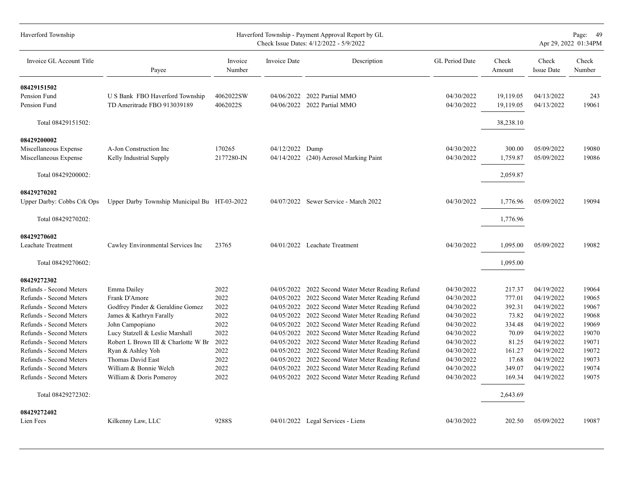| Haverford Township         | Haverford Township - Payment Approval Report by GL<br>Check Issue Dates: 4/12/2022 - 5/9/2022 |                   |                     |                                                   |                |                 |                            | Page: 49<br>Apr 29, 2022 01:34PM |  |
|----------------------------|-----------------------------------------------------------------------------------------------|-------------------|---------------------|---------------------------------------------------|----------------|-----------------|----------------------------|----------------------------------|--|
| Invoice GL Account Title   | Payee                                                                                         | Invoice<br>Number | <b>Invoice Date</b> | Description                                       | GL Period Date | Check<br>Amount | Check<br><b>Issue Date</b> | Check<br>Number                  |  |
| 08429151502                |                                                                                               |                   |                     |                                                   |                |                 |                            |                                  |  |
| Pension Fund               | U S Bank FBO Haverford Township                                                               | 4062022SW         |                     | 04/06/2022 2022 Partial MMO                       | 04/30/2022     | 19,119.05       | 04/13/2022                 | 243                              |  |
| Pension Fund               | TD Ameritrade FBO 913039189                                                                   | 4062022S          |                     | 04/06/2022 2022 Partial MMO                       | 04/30/2022     | 19,119.05       | 04/13/2022                 | 19061                            |  |
| Total 08429151502:         |                                                                                               |                   |                     |                                                   |                | 38,238.10       |                            |                                  |  |
| 08429200002                |                                                                                               |                   |                     |                                                   |                |                 |                            |                                  |  |
| Miscellaneous Expense      | A-Jon Construction Inc                                                                        | 170265            | 04/12/2022          | Dump                                              | 04/30/2022     | 300.00          | 05/09/2022                 | 19080                            |  |
| Miscellaneous Expense      | Kelly Industrial Supply                                                                       | 2177280-IN        | 04/14/2022          | (240) Aerosol Marking Paint                       | 04/30/2022     | 1,759.87        | 05/09/2022                 | 19086                            |  |
| Total 08429200002:         |                                                                                               |                   |                     |                                                   |                | 2,059.87        |                            |                                  |  |
| 08429270202                |                                                                                               |                   |                     |                                                   |                |                 |                            |                                  |  |
| Upper Darby: Cobbs Crk Ops | Upper Darby Township Municipal Bu HT-03-2022                                                  |                   |                     | 04/07/2022 Sewer Service - March 2022             | 04/30/2022     | 1,776.96        | 05/09/2022                 | 19094                            |  |
| Total 08429270202:         |                                                                                               |                   |                     |                                                   |                | 1,776.96        |                            |                                  |  |
| 08429270602                |                                                                                               |                   |                     |                                                   |                |                 |                            |                                  |  |
| Leachate Treatment         | Cawley Environmental Services Inc                                                             | 23765             |                     | 04/01/2022 Leachate Treatment                     | 04/30/2022     | 1,095.00        | 05/09/2022                 | 19082                            |  |
| Total 08429270602:         |                                                                                               |                   |                     |                                                   |                | 1,095.00        |                            |                                  |  |
| 08429272302                |                                                                                               |                   |                     |                                                   |                |                 |                            |                                  |  |
| Refunds - Second Meters    | Emma Dailey                                                                                   | 2022              |                     | 04/05/2022 2022 Second Water Meter Reading Refund | 04/30/2022     | 217.37          | 04/19/2022                 | 19064                            |  |
| Refunds - Second Meters    | Frank D'Amore                                                                                 | 2022              |                     | 04/05/2022 2022 Second Water Meter Reading Refund | 04/30/2022     | 777.01          | 04/19/2022                 | 19065                            |  |
| Refunds - Second Meters    | Godfrey Pinder & Geraldine Gomez                                                              | 2022              | 04/05/2022          | 2022 Second Water Meter Reading Refund            | 04/30/2022     | 392.31          | 04/19/2022                 | 19067                            |  |
| Refunds - Second Meters    | James & Kathryn Farally                                                                       | 2022              |                     | 04/05/2022 2022 Second Water Meter Reading Refund | 04/30/2022     | 73.82           | 04/19/2022                 | 19068                            |  |
| Refunds - Second Meters    | John Campopiano                                                                               | 2022              |                     | 04/05/2022 2022 Second Water Meter Reading Refund | 04/30/2022     | 334.48          | 04/19/2022                 | 19069                            |  |
| Refunds - Second Meters    | Lucy Statzell & Leslie Marshall                                                               | 2022              |                     | 04/05/2022 2022 Second Water Meter Reading Refund | 04/30/2022     | 70.09           | 04/19/2022                 | 19070                            |  |
| Refunds - Second Meters    | Robert L Brown III & Charlotte W Br                                                           | 2022              |                     | 04/05/2022 2022 Second Water Meter Reading Refund | 04/30/2022     | 81.25           | 04/19/2022                 | 19071                            |  |
| Refunds - Second Meters    | Ryan & Ashley Yoh                                                                             | 2022              |                     | 04/05/2022 2022 Second Water Meter Reading Refund | 04/30/2022     | 161.27          | 04/19/2022                 | 19072                            |  |
| Refunds - Second Meters    | <b>Thomas David East</b>                                                                      | 2022              |                     | 04/05/2022 2022 Second Water Meter Reading Refund | 04/30/2022     | 17.68           | 04/19/2022                 | 19073                            |  |
| Refunds - Second Meters    | William & Bonnie Welch                                                                        | 2022              | 04/05/2022          | 2022 Second Water Meter Reading Refund            | 04/30/2022     | 349.07          | 04/19/2022                 | 19074                            |  |
| Refunds - Second Meters    | William & Doris Pomeroy                                                                       | 2022              |                     | 04/05/2022 2022 Second Water Meter Reading Refund | 04/30/2022     | 169.34          | 04/19/2022                 | 19075                            |  |
| Total 08429272302:         |                                                                                               |                   |                     |                                                   |                | 2,643.69        |                            |                                  |  |
| 08429272402                |                                                                                               |                   |                     |                                                   |                |                 |                            |                                  |  |
| Lien Fees                  | Kilkenny Law, LLC                                                                             | 9288S             |                     | 04/01/2022 Legal Services - Liens                 | 04/30/2022     | 202.50          | 05/09/2022                 | 19087                            |  |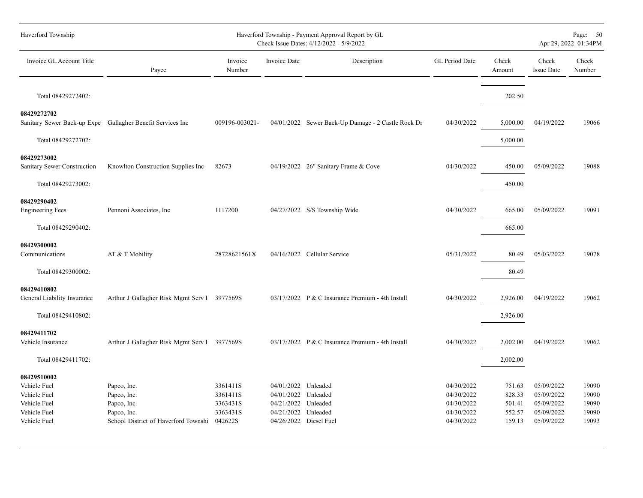| Haverford Township - Payment Approval Report by GL<br>Check Issue Dates: 4/12/2022 - 5/9/2022    |                                                         |                                                                                              |             |                                                                                                                                                                                                                                                                                                                                                                                         |                                                |                                                                    | Page: 50<br>Apr 29, 2022 01:34PM          |  |
|--------------------------------------------------------------------------------------------------|---------------------------------------------------------|----------------------------------------------------------------------------------------------|-------------|-----------------------------------------------------------------------------------------------------------------------------------------------------------------------------------------------------------------------------------------------------------------------------------------------------------------------------------------------------------------------------------------|------------------------------------------------|--------------------------------------------------------------------|-------------------------------------------|--|
| Payee                                                                                            | Invoice<br>Number                                       | Invoice Date                                                                                 | Description | GL Period Date                                                                                                                                                                                                                                                                                                                                                                          | Check<br>Amount                                | Check<br><b>Issue Date</b>                                         | Check<br>Number                           |  |
|                                                                                                  |                                                         |                                                                                              |             |                                                                                                                                                                                                                                                                                                                                                                                         | 202.50                                         |                                                                    |                                           |  |
| Sanitary Sewer Back-up Expe Gallagher Benefit Services Inc                                       | 009196-003021-                                          |                                                                                              |             | 04/30/2022                                                                                                                                                                                                                                                                                                                                                                              | 5,000.00                                       | 04/19/2022                                                         | 19066                                     |  |
|                                                                                                  |                                                         |                                                                                              |             |                                                                                                                                                                                                                                                                                                                                                                                         | 5,000.00                                       |                                                                    |                                           |  |
|                                                                                                  | 82673                                                   |                                                                                              |             | 04/30/2022                                                                                                                                                                                                                                                                                                                                                                              | 450.00                                         | 05/09/2022                                                         | 19088                                     |  |
|                                                                                                  |                                                         |                                                                                              |             |                                                                                                                                                                                                                                                                                                                                                                                         | 450.00                                         |                                                                    |                                           |  |
| Pennoni Associates, Inc.                                                                         | 1117200                                                 |                                                                                              |             | 04/30/2022                                                                                                                                                                                                                                                                                                                                                                              | 665.00                                         | 05/09/2022                                                         | 19091                                     |  |
|                                                                                                  |                                                         |                                                                                              |             |                                                                                                                                                                                                                                                                                                                                                                                         | 665.00                                         |                                                                    |                                           |  |
| AT & T Mobility                                                                                  | 28728621561X                                            |                                                                                              |             | 05/31/2022                                                                                                                                                                                                                                                                                                                                                                              | 80.49                                          | 05/03/2022                                                         | 19078                                     |  |
|                                                                                                  |                                                         |                                                                                              |             |                                                                                                                                                                                                                                                                                                                                                                                         | 80.49                                          |                                                                    |                                           |  |
|                                                                                                  |                                                         |                                                                                              |             | 04/30/2022                                                                                                                                                                                                                                                                                                                                                                              | 2,926.00                                       | 04/19/2022                                                         | 19062                                     |  |
|                                                                                                  |                                                         |                                                                                              |             |                                                                                                                                                                                                                                                                                                                                                                                         | 2,926.00                                       |                                                                    |                                           |  |
|                                                                                                  |                                                         |                                                                                              |             | 04/30/2022                                                                                                                                                                                                                                                                                                                                                                              | 2,002.00                                       | 04/19/2022                                                         | 19062                                     |  |
|                                                                                                  |                                                         |                                                                                              |             |                                                                                                                                                                                                                                                                                                                                                                                         | 2,002.00                                       |                                                                    |                                           |  |
| Papco, Inc.<br>Papco, Inc.<br>Papco, Inc.<br>Papco, Inc.<br>School District of Haverford Townshi | 3361411S<br>3361411S<br>3363431S<br>3363431S<br>042622S |                                                                                              |             | 04/30/2022<br>04/30/2022<br>04/30/2022<br>04/30/2022<br>04/30/2022                                                                                                                                                                                                                                                                                                                      | 751.63<br>828.33<br>501.41<br>552.57<br>159.13 | 05/09/2022<br>05/09/2022<br>05/09/2022<br>05/09/2022<br>05/09/2022 | 19090<br>19090<br>19090<br>19090<br>19093 |  |
|                                                                                                  | Knowlton Construction Supplies Inc                      | Arthur J Gallagher Risk Mgmt Serv I 3977569S<br>Arthur J Gallagher Risk Mgmt Serv I 3977569S |             | 04/01/2022 Sewer Back-Up Damage - 2 Castle Rock Dr<br>04/19/2022 26" Sanitary Frame & Cove<br>04/27/2022 S/S Township Wide<br>04/16/2022 Cellular Service<br>03/17/2022 P & C Insurance Premium - 4th Install<br>03/17/2022 P & C Insurance Premium - 4th Install<br>04/01/2022 Unleaded<br>04/01/2022 Unleaded<br>04/21/2022 Unleaded<br>04/21/2022 Unleaded<br>04/26/2022 Diesel Fuel |                                                |                                                                    |                                           |  |